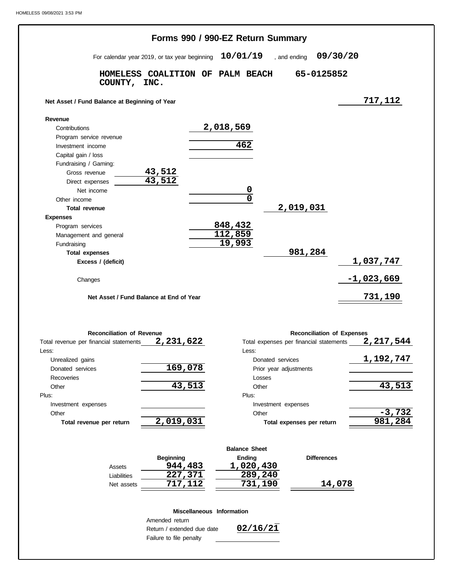| Forms 990 / 990-EZ Return Summary                                                       |           |                |                                         |              |            |                                                |
|-----------------------------------------------------------------------------------------|-----------|----------------|-----------------------------------------|--------------|------------|------------------------------------------------|
| For calendar year 2019, or tax year beginning                                           | 10/01/19  |                |                                         | , and ending |            | 09/30/20                                       |
| HOMELESS COALITION OF PALM BEACH<br>COUNTY, INC.                                        |           |                |                                         |              | 65-0125852 |                                                |
| Net Asset / Fund Balance at Beginning of Year                                           |           |                |                                         |              |            | 717,112                                        |
| Revenue                                                                                 |           |                |                                         |              |            |                                                |
| Contributions                                                                           | 2,018,569 |                |                                         |              |            |                                                |
| Program service revenue                                                                 |           |                |                                         |              |            |                                                |
| Investment income                                                                       | 462       |                |                                         |              |            |                                                |
| Capital gain / loss                                                                     |           |                |                                         |              |            |                                                |
| Fundraising / Gaming:                                                                   |           |                |                                         |              |            |                                                |
| <u>43,512</u><br>Gross revenue                                                          |           |                |                                         |              |            |                                                |
| $\overline{43,512}$<br>Direct expenses                                                  |           |                |                                         |              |            |                                                |
| Net income                                                                              |           | 0              |                                         |              |            |                                                |
| Other income                                                                            |           | $\overline{0}$ |                                         |              |            |                                                |
| <b>Total revenue</b>                                                                    |           |                |                                         | 2,019,031    |            |                                                |
| <b>Expenses</b>                                                                         |           |                |                                         |              |            |                                                |
| Program services                                                                        | 848,432   |                |                                         |              |            |                                                |
| Management and general                                                                  | 112,859   |                |                                         |              |            |                                                |
| Fundraising                                                                             | 19,993    |                |                                         |              |            |                                                |
| <b>Total expenses</b>                                                                   |           |                |                                         | 981,284      |            |                                                |
| Excess / (deficit)                                                                      |           |                |                                         |              |            | 1,037,747                                      |
| Changes                                                                                 |           |                |                                         |              |            | -1,023,669                                     |
| Net Asset / Fund Balance at End of Year                                                 |           |                |                                         |              |            | 731,190                                        |
| <b>Reconciliation of Revenue</b><br>2,231,622<br>Total revenue per financial statements |           |                | Total expenses per financial statements |              |            | <b>Reconciliation of Expenses</b><br>2,217,544 |
| Less:                                                                                   |           | Less:          |                                         |              |            |                                                |

| Total revenue per financial statements | 4,431,044 | rotal expenses per financial statemer |
|----------------------------------------|-----------|---------------------------------------|
| Less:                                  |           | Less:                                 |
| Unrealized gains                       |           | Donated services                      |
| Donated services                       | 169,078   | Prior year adjustments                |
| <b>Recoveries</b>                      |           | Losses                                |
| Other                                  | 43,513    | Other                                 |
| Plus:                                  |           | Plus:                                 |
| Investment expenses                    |           | Investment expenses                   |
| Other                                  |           | Other                                 |
| Total revenue per return               | 2,019,031 | Total expenses per return             |
|                                        |           |                                       |

|             | <b>Beginning</b> | Ending    | <b>Differences</b> |
|-------------|------------------|-----------|--------------------|
| Assets      | 944,483          | 1,020,430 |                    |
| Liabilities | 227,371          | 289,240   |                    |
| Net assets  | 717,112          | 731,190   | 14,078             |
|             |                  |           |                    |

#### **Miscellaneous Information**

Amended return

Return / extended due date Failure to file penalty

```
02/16/21
```
**1,192,747**

**43,513**

**-3,732 981,284**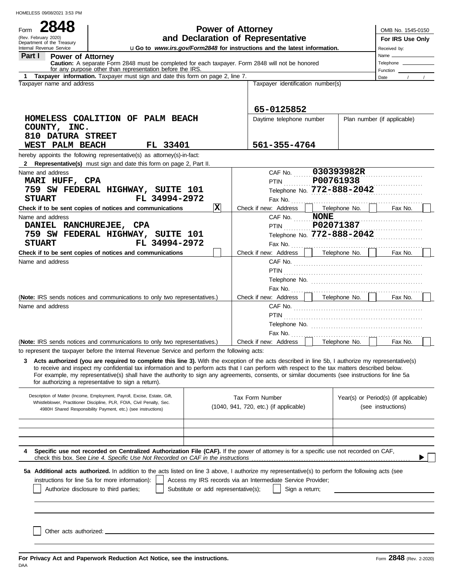| <b>Power of Attorney</b>          |  |  |  |  |  |  |  |  |  |  |
|-----------------------------------|--|--|--|--|--|--|--|--|--|--|
| and Declaration of Representative |  |  |  |  |  |  |  |  |  |  |

| 2848<br>Form<br>(Rev. February 2020) |                                                                                                                                                                                                                                                                                                                                                                                                                                                                                                                                                                                                                | OMB No. 1545-0150                    |                                          |                                                                                                               |               |                                                            |                             |  |  |
|--------------------------------------|----------------------------------------------------------------------------------------------------------------------------------------------------------------------------------------------------------------------------------------------------------------------------------------------------------------------------------------------------------------------------------------------------------------------------------------------------------------------------------------------------------------------------------------------------------------------------------------------------------------|--------------------------------------|------------------------------------------|---------------------------------------------------------------------------------------------------------------|---------------|------------------------------------------------------------|-----------------------------|--|--|
| Department of the Treasury           |                                                                                                                                                                                                                                                                                                                                                                                                                                                                                                                                                                                                                |                                      |                                          | and Declaration of Representative<br>UGo to www.irs.gov/Form2848 for instructions and the latest information. |               |                                                            | For IRS Use Only            |  |  |
| Internal Revenue Service<br>Part I   |                                                                                                                                                                                                                                                                                                                                                                                                                                                                                                                                                                                                                |                                      |                                          |                                                                                                               |               |                                                            | Received by:                |  |  |
|                                      | <b>Power of Attorney</b><br>Caution: A separate Form 2848 must be completed for each taxpayer. Form 2848 will not be honored                                                                                                                                                                                                                                                                                                                                                                                                                                                                                   |                                      |                                          |                                                                                                               |               |                                                            |                             |  |  |
|                                      | for any purpose other than representation before the IRS.                                                                                                                                                                                                                                                                                                                                                                                                                                                                                                                                                      |                                      |                                          |                                                                                                               |               |                                                            | Function _______________    |  |  |
|                                      | 1 Taxpayer information. Taxpayer must sign and date this form on page 2, line 7.                                                                                                                                                                                                                                                                                                                                                                                                                                                                                                                               |                                      |                                          |                                                                                                               |               | Date                                                       |                             |  |  |
| Taxpayer name and address            | HOMELESS COALITION OF PALM BEACH                                                                                                                                                                                                                                                                                                                                                                                                                                                                                                                                                                               |                                      |                                          | Taxpayer identification number(s)<br>65-0125852<br>Daytime telephone number                                   |               |                                                            | Plan number (if applicable) |  |  |
| COUNTY, INC.<br>810 DATURA STREET    |                                                                                                                                                                                                                                                                                                                                                                                                                                                                                                                                                                                                                |                                      |                                          |                                                                                                               |               |                                                            |                             |  |  |
| WEST PALM BEACH                      | FL 33401                                                                                                                                                                                                                                                                                                                                                                                                                                                                                                                                                                                                       |                                      |                                          | 561-355-4764                                                                                                  |               |                                                            |                             |  |  |
|                                      | hereby appoints the following representative(s) as attorney(s)-in-fact:<br>2 Representative(s) must sign and date this form on page 2, Part II.                                                                                                                                                                                                                                                                                                                                                                                                                                                                |                                      |                                          |                                                                                                               |               |                                                            |                             |  |  |
| Name and address                     |                                                                                                                                                                                                                                                                                                                                                                                                                                                                                                                                                                                                                |                                      |                                          | CAF No. 030393982R                                                                                            |               |                                                            |                             |  |  |
| MARI HUFF, CPA                       |                                                                                                                                                                                                                                                                                                                                                                                                                                                                                                                                                                                                                |                                      |                                          | PTIN P00761938                                                                                                |               |                                                            | .                           |  |  |
|                                      | 759 SW FEDERAL HIGHWAY, SUITE 101                                                                                                                                                                                                                                                                                                                                                                                                                                                                                                                                                                              |                                      |                                          | Telephone No. 772-888-2042                                                                                    |               |                                                            | .                           |  |  |
| <b>STUART</b>                        | FL 34994-2972                                                                                                                                                                                                                                                                                                                                                                                                                                                                                                                                                                                                  |                                      |                                          |                                                                                                               |               |                                                            |                             |  |  |
|                                      | Check if to be sent copies of notices and communications                                                                                                                                                                                                                                                                                                                                                                                                                                                                                                                                                       | x                                    |                                          | Check if new: Address                                                                                         |               | Telephone No.                                              | Fax No.                     |  |  |
| Name and address                     |                                                                                                                                                                                                                                                                                                                                                                                                                                                                                                                                                                                                                |                                      |                                          | CAF No.                                                                                                       | <b>NONE</b>   |                                                            |                             |  |  |
|                                      | DANIEL RANCHUREJEE, CPA                                                                                                                                                                                                                                                                                                                                                                                                                                                                                                                                                                                        |                                      |                                          | PTIN PO2071387                                                                                                |               |                                                            |                             |  |  |
|                                      | 759 SW FEDERAL HIGHWAY, SUITE 101                                                                                                                                                                                                                                                                                                                                                                                                                                                                                                                                                                              |                                      |                                          |                                                                                                               |               |                                                            | Telephone No. 772-888-2042  |  |  |
| <b>STUART</b>                        | FL 34994-2972                                                                                                                                                                                                                                                                                                                                                                                                                                                                                                                                                                                                  |                                      |                                          |                                                                                                               |               |                                                            |                             |  |  |
|                                      | Check if to be sent copies of notices and communications                                                                                                                                                                                                                                                                                                                                                                                                                                                                                                                                                       |                                      |                                          | Check if new: Address                                                                                         |               | Telephone No.                                              | Fax No.                     |  |  |
| Name and address                     |                                                                                                                                                                                                                                                                                                                                                                                                                                                                                                                                                                                                                |                                      |                                          |                                                                                                               |               |                                                            |                             |  |  |
|                                      |                                                                                                                                                                                                                                                                                                                                                                                                                                                                                                                                                                                                                |                                      |                                          |                                                                                                               |               |                                                            |                             |  |  |
|                                      |                                                                                                                                                                                                                                                                                                                                                                                                                                                                                                                                                                                                                |                                      |                                          |                                                                                                               |               |                                                            |                             |  |  |
|                                      |                                                                                                                                                                                                                                                                                                                                                                                                                                                                                                                                                                                                                |                                      |                                          |                                                                                                               |               |                                                            |                             |  |  |
|                                      | (Note: IRS sends notices and communications to only two representatives.)                                                                                                                                                                                                                                                                                                                                                                                                                                                                                                                                      |                                      | Check if new: Address  <br>Telephone No. |                                                                                                               |               |                                                            | Fax No.                     |  |  |
| Name and address                     |                                                                                                                                                                                                                                                                                                                                                                                                                                                                                                                                                                                                                |                                      |                                          |                                                                                                               |               |                                                            |                             |  |  |
|                                      |                                                                                                                                                                                                                                                                                                                                                                                                                                                                                                                                                                                                                |                                      |                                          |                                                                                                               |               |                                                            |                             |  |  |
|                                      |                                                                                                                                                                                                                                                                                                                                                                                                                                                                                                                                                                                                                |                                      |                                          |                                                                                                               |               |                                                            |                             |  |  |
|                                      |                                                                                                                                                                                                                                                                                                                                                                                                                                                                                                                                                                                                                |                                      |                                          | Fax No. $\frac{1}{2}$                                                                                         |               |                                                            |                             |  |  |
|                                      | (Note: IRS sends notices and communications to only two representatives.)                                                                                                                                                                                                                                                                                                                                                                                                                                                                                                                                      |                                      |                                          | Check if new: Address                                                                                         | Telephone No. | Fax No.                                                    |                             |  |  |
|                                      | to represent the taxpayer before the Internal Revenue Service and perform the following acts:<br>Acts authorized (you are required to complete this line 3). With the exception of the acts described in line 5b, I authorize my representative(s)<br>to receive and inspect my confidential tax information and to perform acts that I can perform with respect to the tax matters described below.<br>For example, my representative(s) shall have the authority to sign any agreements, consents, or similar documents (see instructions for line 5a<br>for authorizing a representative to sign a return). |                                      |                                          |                                                                                                               |               |                                                            |                             |  |  |
|                                      | Description of Matter (Income, Employment, Payroll, Excise, Estate, Gift,<br>Whistleblower, Practitioner Discipline, PLR, FOIA, Civil Penalty, Sec.<br>4980H Shared Responsibility Payment, etc.) (see instructions)                                                                                                                                                                                                                                                                                                                                                                                           |                                      |                                          | <b>Tax Form Number</b><br>(1040, 941, 720, etc.) (if applicable)                                              |               | Year(s) or Period(s) (if applicable)<br>(see instructions) |                             |  |  |
|                                      | Specific use not recorded on Centralized Authorization File (CAF). If the power of attorney is for a specific use not recorded on CAF,                                                                                                                                                                                                                                                                                                                                                                                                                                                                         |                                      |                                          |                                                                                                               |               |                                                            |                             |  |  |
|                                      |                                                                                                                                                                                                                                                                                                                                                                                                                                                                                                                                                                                                                |                                      |                                          |                                                                                                               |               |                                                            |                             |  |  |
|                                      | 5a Additional acts authorized. In addition to the acts listed on line 3 above, I authorize my representative(s) to perform the following acts (see<br>instructions for line 5a for more information):<br>Authorize disclosure to third parties;                                                                                                                                                                                                                                                                                                                                                                | Substitute or add representative(s); |                                          | Access my IRS records via an Intermediate Service Provider;<br>Sign a return;                                 |               |                                                            |                             |  |  |
|                                      |                                                                                                                                                                                                                                                                                                                                                                                                                                                                                                                                                                                                                |                                      |                                          |                                                                                                               |               |                                                            |                             |  |  |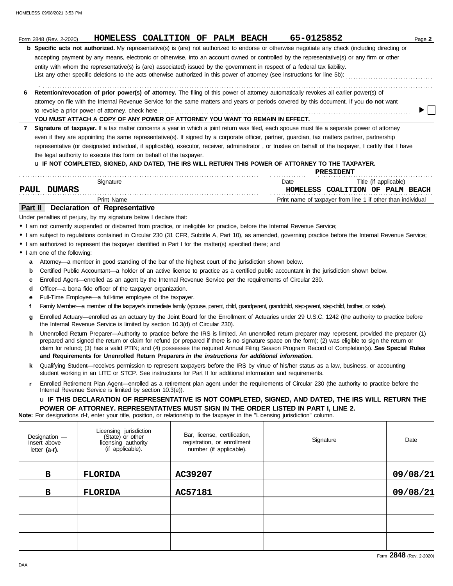|                | Form 2848 (Rev. 2-2020)         |                                                                              | HOMELESS COALITION OF PALM BEACH                                                                                                                                                                                                                            | 65-0125852 |                                                             | Page 2   |
|----------------|---------------------------------|------------------------------------------------------------------------------|-------------------------------------------------------------------------------------------------------------------------------------------------------------------------------------------------------------------------------------------------------------|------------|-------------------------------------------------------------|----------|
|                |                                 |                                                                              | <b>b</b> Specific acts not authorized. My representative(s) is (are) not authorized to endorse or otherwise negotiate any check (including directing or                                                                                                     |            |                                                             |          |
|                |                                 |                                                                              | accepting payment by any means, electronic or otherwise, into an account owned or controlled by the representative(s) or any firm or other                                                                                                                  |            |                                                             |          |
|                |                                 |                                                                              | entity with whom the representative(s) is (are) associated) issued by the government in respect of a federal tax liability.                                                                                                                                 |            |                                                             |          |
|                |                                 |                                                                              | List any other specific deletions to the acts otherwise authorized in this power of attorney (see instructions for line 5b):                                                                                                                                |            |                                                             |          |
|                |                                 |                                                                              |                                                                                                                                                                                                                                                             |            |                                                             |          |
| 6              |                                 |                                                                              | Retention/revocation of prior power(s) of attorney. The filing of this power of attorney automatically revokes all earlier power(s) of                                                                                                                      |            |                                                             |          |
|                |                                 |                                                                              | attorney on file with the Internal Revenue Service for the same matters and years or periods covered by this document. If you do not want                                                                                                                   |            |                                                             |          |
|                |                                 | to revoke a prior power of attorney, check here                              |                                                                                                                                                                                                                                                             |            |                                                             |          |
|                |                                 |                                                                              | YOU MUST ATTACH A COPY OF ANY POWER OF ATTORNEY YOU WANT TO REMAIN IN EFFECT.                                                                                                                                                                               |            |                                                             |          |
| 7              |                                 |                                                                              | Signature of taxpayer. If a tax matter concerns a year in which a joint return was filed, each spouse must file a separate power of attorney                                                                                                                |            |                                                             |          |
|                |                                 |                                                                              | even if they are appointing the same representative(s). If signed by a corporate officer, partner, guardian, tax matters partner, partnership                                                                                                               |            |                                                             |          |
|                |                                 |                                                                              | representative (or designated individual, if applicable), executor, receiver, administrator, or trustee on behalf of the taxpayer, I certify that I have                                                                                                    |            |                                                             |          |
|                |                                 | the legal authority to execute this form on behalf of the taxpayer.          |                                                                                                                                                                                                                                                             |            |                                                             |          |
|                |                                 |                                                                              | LIF NOT COMPLETED, SIGNED, AND DATED, THE IRS WILL RETURN THIS POWER OF ATTORNEY TO THE TAXPAYER.                                                                                                                                                           |            |                                                             |          |
|                |                                 |                                                                              |                                                                                                                                                                                                                                                             |            | <b>PRESIDENT</b>                                            |          |
|                |                                 | Signature                                                                    |                                                                                                                                                                                                                                                             | Date       | Title (if applicable)                                       |          |
|                | PAUL DUMARS                     |                                                                              |                                                                                                                                                                                                                                                             |            | HOMELESS COALITION OF PALM BEACH                            |          |
|                |                                 | <b>Print Name</b>                                                            |                                                                                                                                                                                                                                                             |            | Print name of taxpayer from line 1 if other than individual |          |
| <b>Part II</b> |                                 | <b>Declaration of Representative</b>                                         |                                                                                                                                                                                                                                                             |            |                                                             |          |
|                |                                 | Under penalties of perjury, by my signature below I declare that:            |                                                                                                                                                                                                                                                             |            |                                                             |          |
|                |                                 |                                                                              | · I am not currently suspended or disbarred from practice, or ineligible for practice, before the Internal Revenue Service;                                                                                                                                 |            |                                                             |          |
|                |                                 |                                                                              | • I am subject to regulations contained in Circular 230 (31 CFR, Subtitle A, Part 10), as amended, governing practice before the Internal Revenue Service;                                                                                                  |            |                                                             |          |
|                |                                 |                                                                              | • I am authorized to represent the taxpayer identified in Part I for the matter(s) specified there; and                                                                                                                                                     |            |                                                             |          |
|                | • I am one of the following:    |                                                                              |                                                                                                                                                                                                                                                             |            |                                                             |          |
| а              |                                 |                                                                              | Attorney—a member in good standing of the bar of the highest court of the jurisdiction shown below.                                                                                                                                                         |            |                                                             |          |
| b              |                                 |                                                                              | Certified Public Accountant-a holder of an active license to practice as a certified public accountant in the jurisdiction shown below.                                                                                                                     |            |                                                             |          |
| c              |                                 |                                                                              | Enrolled Agent—enrolled as an agent by the Internal Revenue Service per the requirements of Circular 230.                                                                                                                                                   |            |                                                             |          |
| d              |                                 | Officer-a bona fide officer of the taxpayer organization.                    |                                                                                                                                                                                                                                                             |            |                                                             |          |
| е              |                                 | Full-Time Employee—a full-time employee of the taxpayer.                     |                                                                                                                                                                                                                                                             |            |                                                             |          |
| f              |                                 |                                                                              | Family Member—a member of the taxpayer's immediate family (spouse, parent, child, grandparent, grandchild, step-parent, step-child, brother, or sister).                                                                                                    |            |                                                             |          |
|                |                                 |                                                                              |                                                                                                                                                                                                                                                             |            |                                                             |          |
| g              |                                 | the Internal Revenue Service is limited by section 10.3(d) of Circular 230). | Enrolled Actuary—enrolled as an actuary by the Joint Board for the Enrollment of Actuaries under 29 U.S.C. 1242 (the authority to practice before                                                                                                           |            |                                                             |          |
| h.             |                                 |                                                                              | Unenrolled Return Preparer—Authority to practice before the IRS is limited. An unenrolled return preparer may represent, provided the preparer (1)                                                                                                          |            |                                                             |          |
|                |                                 |                                                                              | prepared and signed the return or claim for refund (or prepared if there is no signature space on the form); (2) was eligible to sign the return or                                                                                                         |            |                                                             |          |
|                |                                 |                                                                              | claim for refund; (3) has a valid PTIN; and (4) possesses the required Annual Filing Season Program Record of Completion(s). See Special Rules<br>and Requirements for Unenrolled Return Preparers in the instructions for additional information.          |            |                                                             |          |
|                |                                 |                                                                              |                                                                                                                                                                                                                                                             |            |                                                             |          |
| ĸ              |                                 |                                                                              | Qualifying Student-receives permission to represent taxpayers before the IRS by virtue of his/her status as a law, business, or accounting<br>student working in an LITC or STCP. See instructions for Part II for additional information and requirements. |            |                                                             |          |
| r              |                                 | Internal Revenue Service is limited by section 10.3(e)).                     | Enrolled Retirement Plan Agent—enrolled as a retirement plan agent under the requirements of Circular 230 (the authority to practice before the                                                                                                             |            |                                                             |          |
|                |                                 |                                                                              | U IF THIS DECLARATION OF REPRESENTATIVE IS NOT COMPLETED, SIGNED, AND DATED, THE IRS WILL RETURN THE                                                                                                                                                        |            |                                                             |          |
|                |                                 |                                                                              | POWER OF ATTORNEY. REPRESENTATIVES MUST SIGN IN THE ORDER LISTED IN PART I, LINE 2.                                                                                                                                                                         |            |                                                             |          |
|                |                                 |                                                                              | Note: For designations d-f, enter your title, position, or relationship to the taxpayer in the "Licensing jurisdiction" column.                                                                                                                             |            |                                                             |          |
|                |                                 |                                                                              |                                                                                                                                                                                                                                                             |            |                                                             |          |
|                |                                 | Licensing jurisdiction                                                       | Bar, license, certification,                                                                                                                                                                                                                                |            |                                                             |          |
|                | Designation $-$<br>Insert above | (State) or other<br>licensing authority                                      | registration, or enrollment                                                                                                                                                                                                                                 | Signature  |                                                             | Date     |
|                | letter $(a-r)$ .                | (if applicable).                                                             | number (if applicable).                                                                                                                                                                                                                                     |            |                                                             |          |
|                |                                 |                                                                              |                                                                                                                                                                                                                                                             |            |                                                             |          |
|                |                                 |                                                                              |                                                                                                                                                                                                                                                             |            |                                                             |          |
|                | в                               | <b>FLORIDA</b>                                                               | AC39207                                                                                                                                                                                                                                                     |            |                                                             | 09/08/21 |

**B FLORIDA AC57181 09/08/21**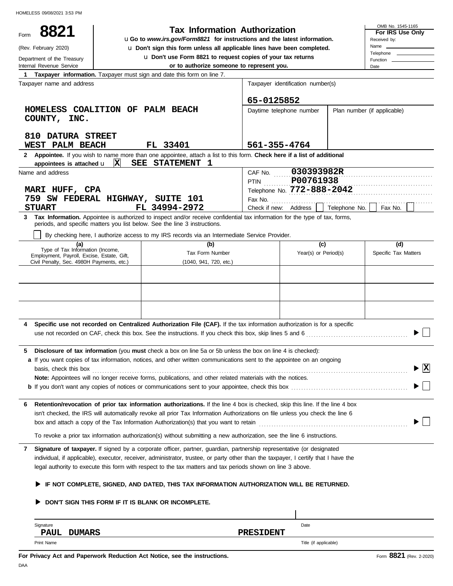| 8821<br>Form<br>(Rev. February 2020)                   |                 | <b>Tax Information Authorization</b><br>UGo to www.irs.gov/Form8821 for instructions and the latest information.<br>U Don't sign this form unless all applicable lines have been completed.                 |                                   |                       | OMB No. 1545-1165<br>For IRS Use Only<br>Received by:<br>Name _ |                             |  |
|--------------------------------------------------------|-----------------|-------------------------------------------------------------------------------------------------------------------------------------------------------------------------------------------------------------|-----------------------------------|-----------------------|-----------------------------------------------------------------|-----------------------------|--|
|                                                        |                 | U Don't use Form 8821 to request copies of your tax returns                                                                                                                                                 |                                   |                       |                                                                 | Telephone ______            |  |
| Department of the Treasury<br>Internal Revenue Service |                 | or to authorize someone to represent you.                                                                                                                                                                   |                                   |                       |                                                                 | Function __                 |  |
|                                                        |                 |                                                                                                                                                                                                             |                                   |                       |                                                                 | Date                        |  |
| Taxpayer name and address                              |                 | 1 Taxpayer information. Taxpayer must sign and date this form on line 7.                                                                                                                                    | Taxpayer identification number(s) |                       |                                                                 |                             |  |
|                                                        |                 |                                                                                                                                                                                                             |                                   |                       |                                                                 |                             |  |
|                                                        |                 |                                                                                                                                                                                                             | 65-0125852                        |                       |                                                                 |                             |  |
| HOMELESS COALITION OF PALM BEACH<br>COUNTY,<br>INC.    |                 |                                                                                                                                                                                                             | Daytime telephone number          |                       |                                                                 | Plan number (if applicable) |  |
| 810 DATURA STREET<br>WEST PALM BEACH                   |                 | FL 33401                                                                                                                                                                                                    | 561-355-4764                      |                       |                                                                 |                             |  |
| appointees is attached U                               | $\vert x \vert$ | 2 Appointee. If you wish to name more than one appointee, attach a list to this form. Check here if a list of additional<br>SEE STATEMENT 1                                                                 |                                   |                       |                                                                 |                             |  |
| Name and address                                       |                 |                                                                                                                                                                                                             | CAF No.                           | 030393982R            |                                                                 |                             |  |
|                                                        |                 |                                                                                                                                                                                                             | <b>PTIN</b>                       | P00761938             |                                                                 |                             |  |
| MARI HUFF, CPA                                         |                 |                                                                                                                                                                                                             | Telephone No. 772-888-2042        |                       |                                                                 |                             |  |
| 759 SW FEDERAL HIGHWAY, SUITE 101                      |                 |                                                                                                                                                                                                             | Fax No.                           |                       |                                                                 |                             |  |
| <b>STUART</b>                                          |                 | FL 34994-2972                                                                                                                                                                                               | Check if new: Address             |                       | Telephone No.                                                   | Fax No.                     |  |
|                                                        |                 | 3 Tax Information. Appointee is authorized to inspect and/or receive confidential tax information for the type of tax, forms,<br>periods, and specific matters you list below. See the line 3 instructions. |                                   |                       |                                                                 |                             |  |
|                                                        |                 | By checking here, I authorize access to my IRS records via an Intermediate Service Provider.                                                                                                                |                                   |                       |                                                                 |                             |  |
| (a)<br>Type of Tax Information (Income,                |                 | (b)                                                                                                                                                                                                         |                                   | (c)                   |                                                                 | (d)                         |  |
| Employment, Payroll, Excise, Estate, Gift,             |                 | Tax Form Number                                                                                                                                                                                             |                                   | Year(s) or Period(s)  |                                                                 | Specific Tax Matters        |  |
| Civil Penalty, Sec. 4980H Payments, etc.)              |                 | (1040, 941, 720, etc.)                                                                                                                                                                                      |                                   |                       |                                                                 |                             |  |
|                                                        |                 |                                                                                                                                                                                                             |                                   |                       |                                                                 |                             |  |
|                                                        |                 |                                                                                                                                                                                                             |                                   |                       |                                                                 |                             |  |
|                                                        |                 |                                                                                                                                                                                                             |                                   |                       |                                                                 |                             |  |
|                                                        |                 |                                                                                                                                                                                                             |                                   |                       |                                                                 |                             |  |
|                                                        |                 |                                                                                                                                                                                                             |                                   |                       |                                                                 |                             |  |
|                                                        |                 |                                                                                                                                                                                                             |                                   |                       |                                                                 |                             |  |
|                                                        |                 | Specific use not recorded on Centralized Authorization File (CAF). If the tax information authorization is for a specific                                                                                   |                                   |                       |                                                                 |                             |  |
|                                                        |                 | use not recorded on CAF, check this box. See the instructions. If you check this box, skip lines 5 and 6                                                                                                    |                                   |                       |                                                                 |                             |  |
|                                                        |                 |                                                                                                                                                                                                             |                                   |                       |                                                                 |                             |  |
| 5                                                      |                 | Disclosure of tax information (you must check a box on line 5a or 5b unless the box on line 4 is checked):                                                                                                  |                                   |                       |                                                                 |                             |  |
|                                                        |                 | a If you want copies of tax information, notices, and other written communications sent to the appointee on an ongoing                                                                                      |                                   |                       |                                                                 |                             |  |
| basis, check this box                                  |                 |                                                                                                                                                                                                             |                                   |                       |                                                                 | $ {\bf x} $                 |  |
|                                                        |                 | Note: Appointees will no longer receive forms, publications, and other related materials with the notices.                                                                                                  |                                   |                       |                                                                 |                             |  |
|                                                        |                 |                                                                                                                                                                                                             |                                   |                       |                                                                 |                             |  |
|                                                        |                 |                                                                                                                                                                                                             |                                   |                       |                                                                 |                             |  |
| 6                                                      |                 | Retention/revocation of prior tax information authorizations. If the line 4 box is checked, skip this line. If the line 4 box                                                                               |                                   |                       |                                                                 |                             |  |
|                                                        |                 |                                                                                                                                                                                                             |                                   |                       |                                                                 |                             |  |
|                                                        |                 | isn't checked, the IRS will automatically revoke all prior Tax Information Authorizations on file unless you check the line 6                                                                               |                                   |                       |                                                                 |                             |  |
|                                                        |                 | box and attach a copy of the Tax Information Authorization(s) that you want to retain                                                                                                                       |                                   |                       |                                                                 |                             |  |
|                                                        |                 | To revoke a prior tax information authorization(s) without submitting a new authorization, see the line 6 instructions.                                                                                     |                                   |                       |                                                                 |                             |  |
|                                                        |                 |                                                                                                                                                                                                             |                                   |                       |                                                                 |                             |  |
| 7                                                      |                 | Signature of taxpayer. If signed by a corporate officer, partner, guardian, partnership representative (or designated                                                                                       |                                   |                       |                                                                 |                             |  |
|                                                        |                 | individual, if applicable), executor, receiver, administrator, trustee, or party other than the taxpayer, I certify that I have the                                                                         |                                   |                       |                                                                 |                             |  |
|                                                        |                 | legal authority to execute this form with respect to the tax matters and tax periods shown on line 3 above.                                                                                                 |                                   |                       |                                                                 |                             |  |
|                                                        |                 | IF NOT COMPLETE, SIGNED, AND DATED, THIS TAX INFORMATION AUTHORIZATION WILL BE RETURNED.                                                                                                                    |                                   |                       |                                                                 |                             |  |
|                                                        |                 |                                                                                                                                                                                                             |                                   |                       |                                                                 |                             |  |
|                                                        |                 | DON'T SIGN THIS FORM IF IT IS BLANK OR INCOMPLETE.                                                                                                                                                          |                                   |                       |                                                                 |                             |  |
|                                                        |                 |                                                                                                                                                                                                             |                                   |                       |                                                                 |                             |  |
| Signature                                              |                 |                                                                                                                                                                                                             |                                   | Date                  |                                                                 |                             |  |
| <b>PAUL</b><br><b>DUMARS</b>                           |                 |                                                                                                                                                                                                             | PRESIDENT                         |                       |                                                                 |                             |  |
| Print Name                                             |                 |                                                                                                                                                                                                             |                                   | Title (if applicable) |                                                                 |                             |  |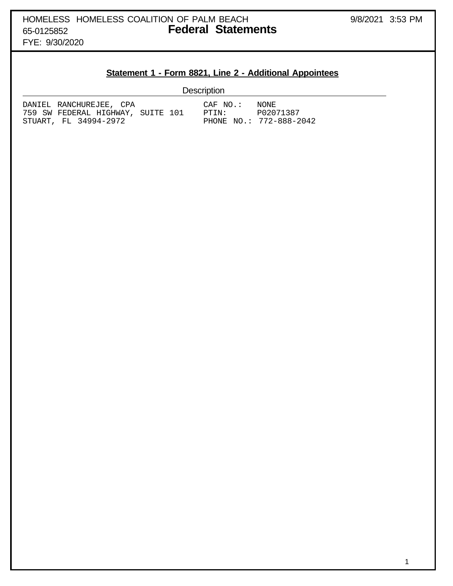# HOMELESS HOMELESS COALITION OF PALM BEACH 9/8/2021 3:53 PM 65-0125852 **Federal Statements**

FYE: 9/30/2020

### **Statement 1 - Form 8821, Line 2 - Additional Appointees**

### **Description**

| DANIEL RANCHUREJEE, CPA           | CAF NO.:<br>NONE.       |  |
|-----------------------------------|-------------------------|--|
| 759 SW FEDERAL HIGHWAY, SUITE 101 | P02071387<br>PTIN:      |  |
| STUART, FL 34994-2972             | PHONE NO.: 772-888-2042 |  |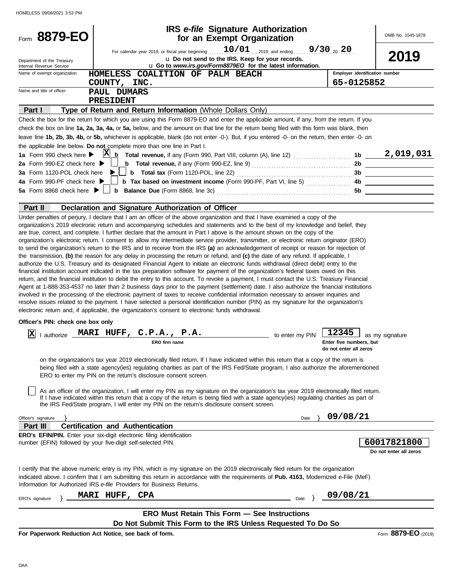| Form 8879-EO                                                                 |                  |                                                                                                                                                                                                                                                                                                                                                                                                                                                                                                                                                                                                                                                                                                                                                                                                                                                                                                                                                                                                                                                                                                                                                                                                                                                                                                                                                                                                                                                                                                                                                                                                                                                                                                                                                                                                                                                                                                                                                                                                                                                                                                                                                                                                                                                                                                                                                                                                                                                                                                                                                                                      | for an Exempt Organization                       | <b>IRS</b> e-file Signature Authorization |                                                                        |                                       |  |  |  |  |
|------------------------------------------------------------------------------|------------------|--------------------------------------------------------------------------------------------------------------------------------------------------------------------------------------------------------------------------------------------------------------------------------------------------------------------------------------------------------------------------------------------------------------------------------------------------------------------------------------------------------------------------------------------------------------------------------------------------------------------------------------------------------------------------------------------------------------------------------------------------------------------------------------------------------------------------------------------------------------------------------------------------------------------------------------------------------------------------------------------------------------------------------------------------------------------------------------------------------------------------------------------------------------------------------------------------------------------------------------------------------------------------------------------------------------------------------------------------------------------------------------------------------------------------------------------------------------------------------------------------------------------------------------------------------------------------------------------------------------------------------------------------------------------------------------------------------------------------------------------------------------------------------------------------------------------------------------------------------------------------------------------------------------------------------------------------------------------------------------------------------------------------------------------------------------------------------------------------------------------------------------------------------------------------------------------------------------------------------------------------------------------------------------------------------------------------------------------------------------------------------------------------------------------------------------------------------------------------------------------------------------------------------------------------------------------------------------|--------------------------------------------------|-------------------------------------------|------------------------------------------------------------------------|---------------------------------------|--|--|--|--|
|                                                                              |                  |                                                                                                                                                                                                                                                                                                                                                                                                                                                                                                                                                                                                                                                                                                                                                                                                                                                                                                                                                                                                                                                                                                                                                                                                                                                                                                                                                                                                                                                                                                                                                                                                                                                                                                                                                                                                                                                                                                                                                                                                                                                                                                                                                                                                                                                                                                                                                                                                                                                                                                                                                                                      | $10/01$ 2019, and ending                         |                                           | $9/30_{20}$ 20                                                         |                                       |  |  |  |  |
| Department of the Treasury                                                   |                  | For calendar year 2019, or fiscal year beginning<br>u Go to www.irs.gov/Form8879EO for the latest information.                                                                                                                                                                                                                                                                                                                                                                                                                                                                                                                                                                                                                                                                                                                                                                                                                                                                                                                                                                                                                                                                                                                                                                                                                                                                                                                                                                                                                                                                                                                                                                                                                                                                                                                                                                                                                                                                                                                                                                                                                                                                                                                                                                                                                                                                                                                                                                                                                                                                       | U Do not send to the IRS. Keep for your records. |                                           |                                                                        | 2019                                  |  |  |  |  |
| Internal Revenue Service<br>Name of exempt organization                      | HOMELESS         | COALITION OF PALM BEACH                                                                                                                                                                                                                                                                                                                                                                                                                                                                                                                                                                                                                                                                                                                                                                                                                                                                                                                                                                                                                                                                                                                                                                                                                                                                                                                                                                                                                                                                                                                                                                                                                                                                                                                                                                                                                                                                                                                                                                                                                                                                                                                                                                                                                                                                                                                                                                                                                                                                                                                                                              |                                                  |                                           |                                                                        | Employer identification number        |  |  |  |  |
|                                                                              | COUNTY,          | INC.                                                                                                                                                                                                                                                                                                                                                                                                                                                                                                                                                                                                                                                                                                                                                                                                                                                                                                                                                                                                                                                                                                                                                                                                                                                                                                                                                                                                                                                                                                                                                                                                                                                                                                                                                                                                                                                                                                                                                                                                                                                                                                                                                                                                                                                                                                                                                                                                                                                                                                                                                                                 |                                                  |                                           | 65-0125852                                                             |                                       |  |  |  |  |
| Name and title of officer                                                    | PAUL DUMARS      |                                                                                                                                                                                                                                                                                                                                                                                                                                                                                                                                                                                                                                                                                                                                                                                                                                                                                                                                                                                                                                                                                                                                                                                                                                                                                                                                                                                                                                                                                                                                                                                                                                                                                                                                                                                                                                                                                                                                                                                                                                                                                                                                                                                                                                                                                                                                                                                                                                                                                                                                                                                      |                                                  |                                           |                                                                        |                                       |  |  |  |  |
|                                                                              | <b>PRESIDENT</b> |                                                                                                                                                                                                                                                                                                                                                                                                                                                                                                                                                                                                                                                                                                                                                                                                                                                                                                                                                                                                                                                                                                                                                                                                                                                                                                                                                                                                                                                                                                                                                                                                                                                                                                                                                                                                                                                                                                                                                                                                                                                                                                                                                                                                                                                                                                                                                                                                                                                                                                                                                                                      |                                                  |                                           |                                                                        |                                       |  |  |  |  |
| Part I                                                                       |                  | Type of Return and Return Information (Whole Dollars Only)                                                                                                                                                                                                                                                                                                                                                                                                                                                                                                                                                                                                                                                                                                                                                                                                                                                                                                                                                                                                                                                                                                                                                                                                                                                                                                                                                                                                                                                                                                                                                                                                                                                                                                                                                                                                                                                                                                                                                                                                                                                                                                                                                                                                                                                                                                                                                                                                                                                                                                                           |                                                  |                                           |                                                                        |                                       |  |  |  |  |
|                                                                              |                  | Check the box for the return for which you are using this Form 8879-EO and enter the applicable amount, if any, from the return. If you                                                                                                                                                                                                                                                                                                                                                                                                                                                                                                                                                                                                                                                                                                                                                                                                                                                                                                                                                                                                                                                                                                                                                                                                                                                                                                                                                                                                                                                                                                                                                                                                                                                                                                                                                                                                                                                                                                                                                                                                                                                                                                                                                                                                                                                                                                                                                                                                                                              |                                                  |                                           |                                                                        |                                       |  |  |  |  |
|                                                                              |                  | check the box on line 1a, 2a, 3a, 4a, or 5a, below, and the amount on that line for the return being filed with this form was blank, then                                                                                                                                                                                                                                                                                                                                                                                                                                                                                                                                                                                                                                                                                                                                                                                                                                                                                                                                                                                                                                                                                                                                                                                                                                                                                                                                                                                                                                                                                                                                                                                                                                                                                                                                                                                                                                                                                                                                                                                                                                                                                                                                                                                                                                                                                                                                                                                                                                            |                                                  |                                           |                                                                        |                                       |  |  |  |  |
|                                                                              |                  | leave line 1b, 2b, 3b, 4b, or 5b, whichever is applicable, blank (do not enter -0-). But, if you entered -0- on the return, then enter -0- on                                                                                                                                                                                                                                                                                                                                                                                                                                                                                                                                                                                                                                                                                                                                                                                                                                                                                                                                                                                                                                                                                                                                                                                                                                                                                                                                                                                                                                                                                                                                                                                                                                                                                                                                                                                                                                                                                                                                                                                                                                                                                                                                                                                                                                                                                                                                                                                                                                        |                                                  |                                           |                                                                        |                                       |  |  |  |  |
|                                                                              |                  | the applicable line below. Do not complete more than one line in Part I.                                                                                                                                                                                                                                                                                                                                                                                                                                                                                                                                                                                                                                                                                                                                                                                                                                                                                                                                                                                                                                                                                                                                                                                                                                                                                                                                                                                                                                                                                                                                                                                                                                                                                                                                                                                                                                                                                                                                                                                                                                                                                                                                                                                                                                                                                                                                                                                                                                                                                                             |                                                  |                                           |                                                                        |                                       |  |  |  |  |
| 1a Form 990 check here ▶<br>2a Form 990-EZ check here $\blacktriangleright$  |                  |                                                                                                                                                                                                                                                                                                                                                                                                                                                                                                                                                                                                                                                                                                                                                                                                                                                                                                                                                                                                                                                                                                                                                                                                                                                                                                                                                                                                                                                                                                                                                                                                                                                                                                                                                                                                                                                                                                                                                                                                                                                                                                                                                                                                                                                                                                                                                                                                                                                                                                                                                                                      |                                                  |                                           |                                                                        |                                       |  |  |  |  |
| 3a Form 1120-POL check here                                                  |                  |                                                                                                                                                                                                                                                                                                                                                                                                                                                                                                                                                                                                                                                                                                                                                                                                                                                                                                                                                                                                                                                                                                                                                                                                                                                                                                                                                                                                                                                                                                                                                                                                                                                                                                                                                                                                                                                                                                                                                                                                                                                                                                                                                                                                                                                                                                                                                                                                                                                                                                                                                                                      |                                                  |                                           |                                                                        |                                       |  |  |  |  |
| 4a Form 990-PF check here $\blacktriangleright$                              |                  |                                                                                                                                                                                                                                                                                                                                                                                                                                                                                                                                                                                                                                                                                                                                                                                                                                                                                                                                                                                                                                                                                                                                                                                                                                                                                                                                                                                                                                                                                                                                                                                                                                                                                                                                                                                                                                                                                                                                                                                                                                                                                                                                                                                                                                                                                                                                                                                                                                                                                                                                                                                      |                                                  |                                           |                                                                        |                                       |  |  |  |  |
| 5a Form 8868 check here $\blacktriangleright$ $\Box$                         |                  |                                                                                                                                                                                                                                                                                                                                                                                                                                                                                                                                                                                                                                                                                                                                                                                                                                                                                                                                                                                                                                                                                                                                                                                                                                                                                                                                                                                                                                                                                                                                                                                                                                                                                                                                                                                                                                                                                                                                                                                                                                                                                                                                                                                                                                                                                                                                                                                                                                                                                                                                                                                      |                                                  |                                           |                                                                        |                                       |  |  |  |  |
|                                                                              |                  |                                                                                                                                                                                                                                                                                                                                                                                                                                                                                                                                                                                                                                                                                                                                                                                                                                                                                                                                                                                                                                                                                                                                                                                                                                                                                                                                                                                                                                                                                                                                                                                                                                                                                                                                                                                                                                                                                                                                                                                                                                                                                                                                                                                                                                                                                                                                                                                                                                                                                                                                                                                      |                                                  |                                           |                                                                        |                                       |  |  |  |  |
| Part II                                                                      |                  | Declaration and Signature Authorization of Officer                                                                                                                                                                                                                                                                                                                                                                                                                                                                                                                                                                                                                                                                                                                                                                                                                                                                                                                                                                                                                                                                                                                                                                                                                                                                                                                                                                                                                                                                                                                                                                                                                                                                                                                                                                                                                                                                                                                                                                                                                                                                                                                                                                                                                                                                                                                                                                                                                                                                                                                                   |                                                  |                                           |                                                                        |                                       |  |  |  |  |
| Officer's PIN: check one box only<br>ΙX                                      |                  | Under penalties of perjury, I declare that I am an officer of the above organization and that I have examined a copy of the<br>organization's 2019 electronic return and accompanying schedules and statements and to the best of my knowledge and belief, they<br>are true, correct, and complete. I further declare that the amount in Part I above is the amount shown on the copy of the<br>organization's electronic return. I consent to allow my intermediate service provider, transmitter, or electronic return originator (ERO)<br>to send the organization's return to the IRS and to receive from the IRS (a) an acknowledgement of receipt or reason for rejection of<br>the transmission, (b) the reason for any delay in processing the return or refund, and (c) the date of any refund. If applicable, I<br>authorize the U.S. Treasury and its designated Financial Agent to initiate an electronic funds withdrawal (direct debit) entry to the<br>financial institution account indicated in the tax preparation software for payment of the organization's federal taxes owed on this<br>return, and the financial institution to debit the entry to this account. To revoke a payment, I must contact the U.S. Treasury Financial<br>Agent at 1-888-353-4537 no later than 2 business days prior to the payment (settlement) date. I also authorize the financial institutions<br>involved in the processing of the electronic payment of taxes to receive confidential information necessary to answer inquiries and<br>resolve issues related to the payment. I have selected a personal identification number (PIN) as my signature for the organization's<br>electronic return and, if applicable, the organization's consent to electronic funds withdrawal.<br>l authorize MARI HUFF, C.P.A., P.A.<br>ERO firm name<br>on the organization's tax year 2019 electronically filed return. If I have indicated within this return that a copy of the return is<br>being filed with a state agency(ies) regulating charities as part of the IRS Fed/State program, I also authorize the aforementioned<br>ERO to enter my PIN on the return's disclosure consent screen.<br>As an officer of the organization, I will enter my PIN as my signature on the organization's tax year 2019 electronically filed return.<br>If I have indicated within this return that a copy of the return is being filed with a state agency(ies) regulating charities as part of<br>the IRS Fed/State program, I will enter my PIN on the return's disclosure consent screen. | to enter my PIN                                  | Date                                      | 12345<br>Enter five numbers, but<br>do not enter all zeros<br>09/08/21 | as my signature                       |  |  |  |  |
| Officer's signature<br>Part III                                              |                  | <b>Certification and Authentication</b>                                                                                                                                                                                                                                                                                                                                                                                                                                                                                                                                                                                                                                                                                                                                                                                                                                                                                                                                                                                                                                                                                                                                                                                                                                                                                                                                                                                                                                                                                                                                                                                                                                                                                                                                                                                                                                                                                                                                                                                                                                                                                                                                                                                                                                                                                                                                                                                                                                                                                                                                              |                                                  |                                           |                                                                        |                                       |  |  |  |  |
| <b>ERO's EFIN/PIN.</b> Enter your six-digit electronic filing identification |                  |                                                                                                                                                                                                                                                                                                                                                                                                                                                                                                                                                                                                                                                                                                                                                                                                                                                                                                                                                                                                                                                                                                                                                                                                                                                                                                                                                                                                                                                                                                                                                                                                                                                                                                                                                                                                                                                                                                                                                                                                                                                                                                                                                                                                                                                                                                                                                                                                                                                                                                                                                                                      |                                                  |                                           |                                                                        |                                       |  |  |  |  |
| number (EFIN) followed by your five-digit self-selected PIN.                 |                  |                                                                                                                                                                                                                                                                                                                                                                                                                                                                                                                                                                                                                                                                                                                                                                                                                                                                                                                                                                                                                                                                                                                                                                                                                                                                                                                                                                                                                                                                                                                                                                                                                                                                                                                                                                                                                                                                                                                                                                                                                                                                                                                                                                                                                                                                                                                                                                                                                                                                                                                                                                                      |                                                  |                                           |                                                                        | 60017821800<br>Do not enter all zeros |  |  |  |  |
| Information for Authorized IRS e-file Providers for Business Returns.        |                  | I certify that the above numeric entry is my PIN, which is my signature on the 2019 electronically filed return for the organization<br>indicated above. I confirm that I am submitting this return in accordance with the requirements of Pub. 4163, Modernized e-File (MeF)                                                                                                                                                                                                                                                                                                                                                                                                                                                                                                                                                                                                                                                                                                                                                                                                                                                                                                                                                                                                                                                                                                                                                                                                                                                                                                                                                                                                                                                                                                                                                                                                                                                                                                                                                                                                                                                                                                                                                                                                                                                                                                                                                                                                                                                                                                        |                                                  |                                           |                                                                        |                                       |  |  |  |  |
| ERO's signature                                                              | MARI HUFF, CPA   |                                                                                                                                                                                                                                                                                                                                                                                                                                                                                                                                                                                                                                                                                                                                                                                                                                                                                                                                                                                                                                                                                                                                                                                                                                                                                                                                                                                                                                                                                                                                                                                                                                                                                                                                                                                                                                                                                                                                                                                                                                                                                                                                                                                                                                                                                                                                                                                                                                                                                                                                                                                      |                                                  | Date                                      | 09/08/21                                                               |                                       |  |  |  |  |
|                                                                              |                  |                                                                                                                                                                                                                                                                                                                                                                                                                                                                                                                                                                                                                                                                                                                                                                                                                                                                                                                                                                                                                                                                                                                                                                                                                                                                                                                                                                                                                                                                                                                                                                                                                                                                                                                                                                                                                                                                                                                                                                                                                                                                                                                                                                                                                                                                                                                                                                                                                                                                                                                                                                                      |                                                  |                                           |                                                                        |                                       |  |  |  |  |
|                                                                              |                  | <b>ERO Must Retain This Form - See Instructions</b>                                                                                                                                                                                                                                                                                                                                                                                                                                                                                                                                                                                                                                                                                                                                                                                                                                                                                                                                                                                                                                                                                                                                                                                                                                                                                                                                                                                                                                                                                                                                                                                                                                                                                                                                                                                                                                                                                                                                                                                                                                                                                                                                                                                                                                                                                                                                                                                                                                                                                                                                  |                                                  |                                           |                                                                        |                                       |  |  |  |  |
|                                                                              |                  | Do Not Submit This Form to the IRS Unless Requested To Do So                                                                                                                                                                                                                                                                                                                                                                                                                                                                                                                                                                                                                                                                                                                                                                                                                                                                                                                                                                                                                                                                                                                                                                                                                                                                                                                                                                                                                                                                                                                                                                                                                                                                                                                                                                                                                                                                                                                                                                                                                                                                                                                                                                                                                                                                                                                                                                                                                                                                                                                         |                                                  |                                           |                                                                        |                                       |  |  |  |  |
| For Paperwork Reduction Act Notice, see back of form.                        |                  |                                                                                                                                                                                                                                                                                                                                                                                                                                                                                                                                                                                                                                                                                                                                                                                                                                                                                                                                                                                                                                                                                                                                                                                                                                                                                                                                                                                                                                                                                                                                                                                                                                                                                                                                                                                                                                                                                                                                                                                                                                                                                                                                                                                                                                                                                                                                                                                                                                                                                                                                                                                      |                                                  |                                           |                                                                        | Form 8879-EO (2019)                   |  |  |  |  |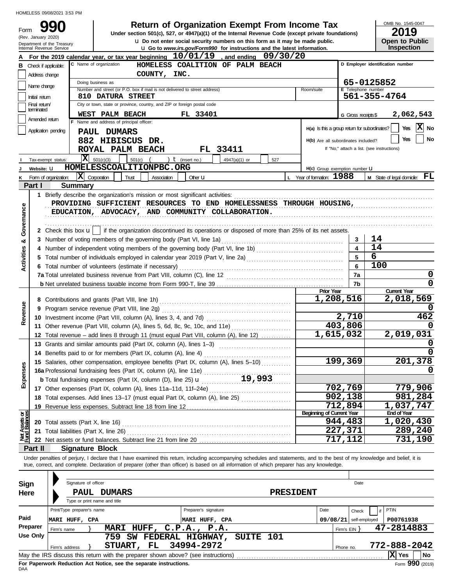Form

(Rev. January 2020)

# **990 2019 2019 2019 2019 2019 2019 2019 2019 2019 2019 2019 2019 2019 2019 2019 2019 2019 2019 2019 2019 2019 2019 2019 2019 2019 2019 2019 2019 2019 2019 2019**

**u** Do not enter social security numbers on this form as it may be made public.<br>**I** LGo to *MMM its COV/Form990*, for instructions and the latest information **Under section 501(c), 527, or 4947(a)(1) of the Internal Revenue Code (except private foundations)** OMB No. 1545-0047

|  | 20 I Y                |
|--|-----------------------|
|  | <b>Open to Public</b> |
|  | <b>Inspection</b>     |

|                                |                             | Department of the Treasury<br>Internal Revenue Service |                            |                                          |                                                                                   |                      | U Do not enter social security numbers on this form as it may be made public.<br>U Go to www.irs.gov/Form990 for instructions and the latest information.                  |                  |                                  |                                     | Open to Public<br>Inspection                           |                       |  |
|--------------------------------|-----------------------------|--------------------------------------------------------|----------------------------|------------------------------------------|-----------------------------------------------------------------------------------|----------------------|----------------------------------------------------------------------------------------------------------------------------------------------------------------------------|------------------|----------------------------------|-------------------------------------|--------------------------------------------------------|-----------------------|--|
|                                |                             |                                                        |                            |                                          |                                                                                   |                      | For the 2019 calendar year, or tax year beginning $10/01/19$ , and ending $09/30/20$                                                                                       |                  |                                  |                                     |                                                        |                       |  |
| в                              | Check if applicable:        |                                                        |                            | C Name of organization                   |                                                                                   |                      | HOMELESS COALITION OF PALM BEACH                                                                                                                                           |                  |                                  |                                     | D Employer identification number                       |                       |  |
|                                | Address change              |                                                        |                            |                                          | COUNTY, INC.                                                                      |                      |                                                                                                                                                                            |                  |                                  |                                     |                                                        |                       |  |
|                                |                             |                                                        |                            | Doing business as                        |                                                                                   |                      |                                                                                                                                                                            |                  |                                  |                                     | 65-0125852                                             |                       |  |
|                                | Name change                 |                                                        |                            |                                          | Number and street (or P.O. box if mail is not delivered to street address)        |                      |                                                                                                                                                                            |                  | Room/suite                       | E Telephone number                  |                                                        |                       |  |
|                                | Initial return              |                                                        |                            | 810 DATURA STREET                        |                                                                                   |                      |                                                                                                                                                                            |                  |                                  |                                     | 561-355-4764                                           |                       |  |
|                                | Final return/<br>terminated |                                                        |                            |                                          | City or town, state or province, country, and ZIP or foreign postal code          |                      |                                                                                                                                                                            |                  |                                  |                                     |                                                        |                       |  |
|                                | Amended return              |                                                        |                            | WEST PALM BEACH                          |                                                                                   | FL 33401             |                                                                                                                                                                            |                  |                                  | G Gross receipts \$                 |                                                        | 2,062,543             |  |
|                                |                             |                                                        |                            | F Name and address of principal officer: |                                                                                   |                      |                                                                                                                                                                            |                  |                                  |                                     | Yes<br>$H(a)$ is this a group return for subordinates? | $\vert x \vert$<br>No |  |
|                                |                             | Application pending                                    |                            | PAUL DUMARS                              |                                                                                   |                      |                                                                                                                                                                            |                  |                                  |                                     |                                                        |                       |  |
|                                |                             |                                                        |                            | 882 HIBISCUS DR.                         |                                                                                   |                      |                                                                                                                                                                            |                  |                                  | H(b) Are all subordinates included? | Yes                                                    | No                    |  |
|                                |                             |                                                        |                            | ROYAL PALM BEACH                         |                                                                                   |                      | FL 33411                                                                                                                                                                   |                  |                                  |                                     | If "No," attach a list. (see instructions)             |                       |  |
|                                |                             | Tax-exempt status:                                     |                            | $ \mathbf{X} $ 501(c)(3)                 | $501(c)$ (                                                                        | ) $t$ (insert no.)   | 4947(a)(1) or<br>527                                                                                                                                                       |                  |                                  |                                     |                                                        |                       |  |
|                                | Website: U                  |                                                        |                            |                                          | HOMELESSCOALITIONPBC.ORG                                                          |                      |                                                                                                                                                                            |                  |                                  | H(c) Group exemption number U       |                                                        |                       |  |
|                                |                             | Form of organization:                                  | $ \mathbf{X} $ Corporation | Trust                                    | Association                                                                       | Other <b>LI</b>      |                                                                                                                                                                            |                  | L Year of formation: 1988        |                                     | <b>M</b> State of legal domicile: $\mathbf{FL}$        |                       |  |
|                                | Part I                      |                                                        | <b>Summary</b>             |                                          |                                                                                   |                      |                                                                                                                                                                            |                  |                                  |                                     |                                                        |                       |  |
|                                |                             |                                                        |                            |                                          | 1 Briefly describe the organization's mission or most significant activities:     |                      |                                                                                                                                                                            |                  |                                  |                                     |                                                        |                       |  |
|                                |                             |                                                        |                            |                                          |                                                                                   |                      | PROVIDING SUFFICIENT RESOURCES TO END HOMELESSNESS THROUGH HOUSING,                                                                                                        |                  |                                  |                                     |                                                        |                       |  |
| Governance                     |                             |                                                        |                            |                                          |                                                                                   |                      | EDUCATION, ADVOCACY, AND COMMUNITY COLLABORATION.                                                                                                                          |                  |                                  |                                     |                                                        |                       |  |
|                                |                             |                                                        |                            |                                          |                                                                                   |                      |                                                                                                                                                                            |                  |                                  |                                     |                                                        |                       |  |
|                                |                             |                                                        |                            |                                          |                                                                                   |                      | 2 Check this box $\left  \cdot \right $ if the organization discontinued its operations or disposed of more than 25% of its net assets.                                    |                  |                                  |                                     |                                                        |                       |  |
| න්                             |                             |                                                        |                            |                                          | 3 Number of voting members of the governing body (Part VI, line 1a)               |                      |                                                                                                                                                                            |                  |                                  | 3                                   | 14                                                     |                       |  |
|                                |                             |                                                        |                            |                                          |                                                                                   |                      |                                                                                                                                                                            |                  |                                  | 4                                   | 14                                                     |                       |  |
| Activities                     |                             |                                                        |                            |                                          |                                                                                   |                      |                                                                                                                                                                            |                  |                                  | 5                                   | 6                                                      |                       |  |
|                                |                             |                                                        |                            |                                          | 6 Total number of volunteers (estimate if necessary)                              |                      |                                                                                                                                                                            |                  |                                  | 6                                   | 100                                                    |                       |  |
|                                |                             |                                                        |                            |                                          |                                                                                   |                      |                                                                                                                                                                            |                  |                                  | 7a                                  |                                                        | 0                     |  |
|                                |                             |                                                        |                            |                                          |                                                                                   |                      |                                                                                                                                                                            |                  | <b>Prior Year</b>                | 7b                                  | <b>Current Year</b>                                    | O                     |  |
|                                |                             |                                                        |                            |                                          |                                                                                   |                      |                                                                                                                                                                            |                  |                                  | 1,208,516                           |                                                        | 2,018,569             |  |
|                                | 9                           |                                                        |                            |                                          |                                                                                   |                      |                                                                                                                                                                            |                  |                                  |                                     |                                                        |                       |  |
| Revenue                        |                             |                                                        |                            |                                          |                                                                                   |                      |                                                                                                                                                                            |                  |                                  | 2,710                               |                                                        | 462                   |  |
|                                |                             |                                                        |                            |                                          |                                                                                   |                      | 11 Other revenue (Part VIII, column (A), lines 5, 6d, 8c, 9c, 10c, and 11e)                                                                                                |                  |                                  | 403,806                             |                                                        |                       |  |
|                                |                             |                                                        |                            |                                          |                                                                                   |                      | 12 Total revenue - add lines 8 through 11 (must equal Part VIII, column (A), line 12)                                                                                      |                  |                                  | 1,615,032                           | 2,019,031                                              |                       |  |
|                                |                             |                                                        |                            |                                          |                                                                                   |                      | 13 Grants and similar amounts paid (Part IX, column (A), lines 1-3)                                                                                                        |                  |                                  |                                     |                                                        |                       |  |
|                                |                             |                                                        |                            |                                          | 14 Benefits paid to or for members (Part IX, column (A), line 4)                  |                      |                                                                                                                                                                            |                  |                                  |                                     |                                                        |                       |  |
|                                |                             |                                                        |                            |                                          |                                                                                   |                      | 15 Salaries, other compensation, employee benefits (Part IX, column (A), lines 5-10)                                                                                       |                  |                                  | 199,369                             |                                                        | 201,378               |  |
| န္တ                            |                             |                                                        |                            |                                          | 16a Professional fundraising fees (Part IX, column (A), line 11e)                 |                      |                                                                                                                                                                            |                  |                                  |                                     |                                                        |                       |  |
| Exper                          |                             |                                                        |                            |                                          |                                                                                   |                      | <b>b</b> Total fundraising expenses (Part IX, column (D), line 25) <b>u</b> 19, 993                                                                                        |                  |                                  |                                     |                                                        |                       |  |
|                                |                             |                                                        |                            |                                          |                                                                                   |                      |                                                                                                                                                                            |                  |                                  | 702,769                             |                                                        | 779,906               |  |
|                                |                             |                                                        |                            |                                          |                                                                                   |                      | 18 Total expenses. Add lines 13-17 (must equal Part IX, column (A), line 25)                                                                                               |                  |                                  | 902,138                             |                                                        | 981,284               |  |
|                                |                             |                                                        |                            |                                          |                                                                                   |                      |                                                                                                                                                                            |                  |                                  | 712,894                             | 1,037,747                                              |                       |  |
|                                |                             |                                                        |                            |                                          |                                                                                   |                      |                                                                                                                                                                            |                  | <b>Beginning of Current Year</b> |                                     | <b>End of Year</b>                                     |                       |  |
| Net Assets or<br>Fund Balances |                             |                                                        |                            | <b>20</b> Total assets (Part X, line 16) |                                                                                   |                      |                                                                                                                                                                            |                  |                                  | 944,483                             | 1,020,430                                              |                       |  |
|                                |                             |                                                        |                            | 21 Total liabilities (Part X, line 26)   |                                                                                   |                      |                                                                                                                                                                            |                  |                                  | 227,371                             |                                                        | 289,240               |  |
|                                |                             |                                                        |                            |                                          |                                                                                   |                      |                                                                                                                                                                            |                  |                                  | 717,112                             |                                                        | 731,190               |  |
|                                | Part II                     |                                                        |                            | <b>Signature Block</b>                   |                                                                                   |                      |                                                                                                                                                                            |                  |                                  |                                     |                                                        |                       |  |
|                                |                             |                                                        |                            |                                          |                                                                                   |                      | Under penalties of perjury, I declare that I have examined this return, including accompanying schedules and statements, and to the best of my knowledge and belief, it is |                  |                                  |                                     |                                                        |                       |  |
|                                |                             |                                                        |                            |                                          |                                                                                   |                      | true, correct, and complete. Declaration of preparer (other than officer) is based on all information of which preparer has any knowledge.                                 |                  |                                  |                                     |                                                        |                       |  |
|                                |                             |                                                        |                            |                                          |                                                                                   |                      |                                                                                                                                                                            |                  |                                  |                                     |                                                        |                       |  |
| Sign                           |                             |                                                        | Signature of officer       |                                          |                                                                                   |                      |                                                                                                                                                                            |                  |                                  | Date                                |                                                        |                       |  |
| Here                           |                             |                                                        |                            | PAUL DUMARS                              |                                                                                   |                      |                                                                                                                                                                            | <b>PRESIDENT</b> |                                  |                                     |                                                        |                       |  |
|                                |                             |                                                        |                            | Type or print name and title             |                                                                                   |                      |                                                                                                                                                                            |                  |                                  |                                     |                                                        |                       |  |
|                                |                             |                                                        | Print/Type preparer's name |                                          |                                                                                   | Preparer's signature |                                                                                                                                                                            |                  | Date                             | Check                               | <b>PTIN</b>                                            |                       |  |
| Paid                           |                             |                                                        | MARI HUFF, CPA             |                                          |                                                                                   | MARI HUFF, CPA       |                                                                                                                                                                            |                  |                                  | $09/08/21$ self-employed            | P00761938                                              |                       |  |
|                                | Preparer                    | Firm's name                                            |                            |                                          | MARI HUFF, C.P.A., P.A.                                                           |                      |                                                                                                                                                                            |                  |                                  | Firm's $EIN$ }                      | 47-2814883                                             |                       |  |
|                                | <b>Use Only</b>             |                                                        |                            |                                          | 759 SW FEDERAL HIGHWAY,                                                           |                      | SUITE 101                                                                                                                                                                  |                  |                                  |                                     |                                                        |                       |  |
|                                |                             | Firm's address                                         |                            |                                          | STUART, FL                                                                        | 34994-2972           |                                                                                                                                                                            |                  |                                  | Phone no.                           | 772-888-2042                                           |                       |  |
|                                |                             |                                                        |                            |                                          | May the IRS discuss this return with the preparer shown above? (see instructions) |                      |                                                                                                                                                                            |                  |                                  |                                     | $ \mathbf{X} $ Yes                                     | l No                  |  |

| Sign                                                                              |                              |                            | Signature of officer |                |    |     |                    |                      |  |           |                  |      | Date |                          |  |              |                   |     |
|-----------------------------------------------------------------------------------|------------------------------|----------------------------|----------------------|----------------|----|-----|--------------------|----------------------|--|-----------|------------------|------|------|--------------------------|--|--------------|-------------------|-----|
| Here                                                                              |                              | <b>PAUL</b>                |                      | <b>DUMARS</b>  |    |     |                    |                      |  |           | <b>PRESIDENT</b> |      |      |                          |  |              |                   |     |
|                                                                                   | Type or print name and title |                            |                      |                |    |     |                    |                      |  |           |                  |      |      |                          |  |              |                   |     |
|                                                                                   |                              | Print/Type preparer's name |                      |                |    |     |                    | Preparer's signature |  |           |                  | Date |      | if<br>Check              |  | PTIN         |                   |     |
| Paid                                                                              |                              | MARI HUFF, CPA             |                      |                |    |     | <b>MARI</b>        | HUFF, CPA            |  |           |                  |      |      | $09/08/21$ self-employed |  | P00761938    |                   |     |
| Preparer                                                                          | Firm's name                  |                            |                      | <b>MARI</b>    |    |     | HUFF, C.P.A., P.A. |                      |  |           |                  |      |      | Firm's $EIN$ $\}$        |  | 47-2814883   |                   |     |
| <b>Use Only</b>                                                                   |                              |                            |                      | 759            | SW |     | FEDERAL HIGHWAY,   |                      |  | SUITE 101 |                  |      |      |                          |  |              |                   |     |
|                                                                                   |                              | Firm's address             |                      | <b>STUART,</b> |    | FL. | 34994-2972         |                      |  |           |                  |      |      | Phone no.                |  | 772-888-2042 |                   |     |
| May the IRS discuss this return with the preparer shown above? (see instructions) |                              |                            |                      |                |    |     |                    |                      |  |           |                  |      |      |                          |  | X Yes        |                   | No. |
| For Paperwork Reduction Act Notice, see the separate instructions.                |                              |                            |                      |                |    |     |                    |                      |  |           |                  |      |      |                          |  |              | $Form$ 990 (2019) |     |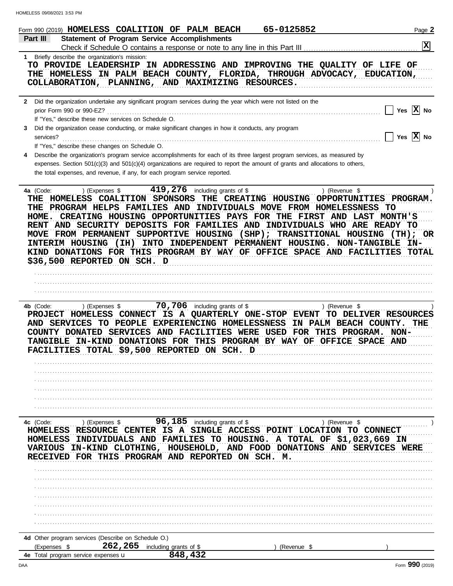| Form 990 (2019) HOMELESS COALITION OF PALM BEACH                                                                                                                                                                                                                                                                                                                                                                                                                                                                                                                |                                                                                      | 65-0125852  |               | Page 2                              |
|-----------------------------------------------------------------------------------------------------------------------------------------------------------------------------------------------------------------------------------------------------------------------------------------------------------------------------------------------------------------------------------------------------------------------------------------------------------------------------------------------------------------------------------------------------------------|--------------------------------------------------------------------------------------|-------------|---------------|-------------------------------------|
| <b>Statement of Program Service Accomplishments</b><br>Part III                                                                                                                                                                                                                                                                                                                                                                                                                                                                                                 |                                                                                      |             |               | $\mathbf{\overline{X}}$             |
| 1 Briefly describe the organization's mission:<br>TO PROVIDE LEADERSHIP IN ADDRESSING AND IMPROVING THE QUALITY OF LIFE OF<br>THE HOMELESS IN PALM BEACH COUNTY, FLORIDA, THROUGH ADVOCACY, EDUCATION,<br>COLLABORATION, PLANNING, AND MAXIMIZING RESOURCES.                                                                                                                                                                                                                                                                                                    |                                                                                      |             |               |                                     |
| 2 Did the organization undertake any significant program services during the year which were not listed on the<br>prior Form 990 or 990-EZ?<br>If "Yes," describe these new services on Schedule O.                                                                                                                                                                                                                                                                                                                                                             |                                                                                      |             |               | Yes $ X $ No                        |
| Did the organization cease conducting, or make significant changes in how it conducts, any program<br>3<br>services?<br>If "Yes," describe these changes on Schedule O.                                                                                                                                                                                                                                                                                                                                                                                         |                                                                                      |             |               | Yes $ X $ No                        |
| Describe the organization's program service accomplishments for each of its three largest program services, as measured by<br>expenses. Section $501(c)(3)$ and $501(c)(4)$ organizations are required to report the amount of grants and allocations to others,<br>the total expenses, and revenue, if any, for each program service reported.                                                                                                                                                                                                                 |                                                                                      |             |               |                                     |
| ) (Expenses \$<br>4a (Code:<br>THE HOMELESS COALITION SPONSORS THE CREATING HOUSING OPPORTUNITIES PROGRAM.<br>THE PROGRAM HELPS FAMILIES AND INDIVIDUALS MOVE FROM HOMELESSNESS TO<br>HOME. CREATING HOUSING OPPORTUNITIES PAYS FOR THE FIRST AND LAST MONTH'S<br>RENT AND SECURITY DEPOSITS FOR FAMILIES AND INDIVIDUALS WHO ARE READY TO<br>MOVE FROM PERMANENT SUPPORTIVE HOUSING (SHP); TRANSITIONAL HOUSING (TH); OR<br>INTERIM HOUSING (IH)<br>KIND DONATIONS FOR THIS PROGRAM BY WAY OF OFFICE SPACE AND FACILITIES TOTAL<br>\$36,500 REPORTED ON SCH. D | $419,276$ including grants of \$<br>INTO INDEPENDENT PERMANENT HOUSING. NON-TANGIBLE |             | ) (Revenue \$ | - IN-                               |
| 4b (Code:<br>) (Expenses $$$<br>PROJECT HOMELESS CONNECT IS A QUARTERLY ONE-STOP EVENT<br>AND SERVICES TO PEOPLE EXPERIENCING HOMELESSNESS IN PALM BEACH COUNTY.<br>COUNTY DONATED SERVICES AND FACILITIES WERE USED FOR THIS PROGRAM.<br>TANGIBLE IN-KIND DONATIONS FOR THIS PROGRAM BY WAY OF OFFICE SPACE AND<br>FACILITIES TOTAL \$9,500 REPORTED ON SCH. D                                                                                                                                                                                                 | 70,706 including grants of \$                                                        |             | ) (Revenue \$ | TO DELIVER RESOURCES<br>THE<br>NON- |
|                                                                                                                                                                                                                                                                                                                                                                                                                                                                                                                                                                 |                                                                                      |             |               |                                     |
| 4c (Code:<br>$\ldots$ ) (Expenses \$<br>HOMELESS RESOURCE CENTER IS A SINGLE ACCESS POINT LOCATION TO CONNECT<br>HOMELESS INDIVIDUALS AND FAMILIES TO HOUSING. A TOTAL OF \$1,023,669 IN<br>VARIOUS IN-KIND CLOTHING, HOUSEHOLD, AND FOOD DONATIONS AND SERVICES WERE<br>RECEIVED FOR THIS PROGRAM AND REPORTED ON SCH. M.                                                                                                                                                                                                                                      | 96,185 including grants of \$                                                        |             | ) (Revenue \$ |                                     |
|                                                                                                                                                                                                                                                                                                                                                                                                                                                                                                                                                                 |                                                                                      |             |               |                                     |
| 4d Other program services (Describe on Schedule O.)                                                                                                                                                                                                                                                                                                                                                                                                                                                                                                             |                                                                                      |             |               |                                     |
| $262, 265$ including grants of \$<br>(Expenses \$<br>4e Total program service expenses <b>u</b>                                                                                                                                                                                                                                                                                                                                                                                                                                                                 | 848,432                                                                              | (Revenue \$ |               |                                     |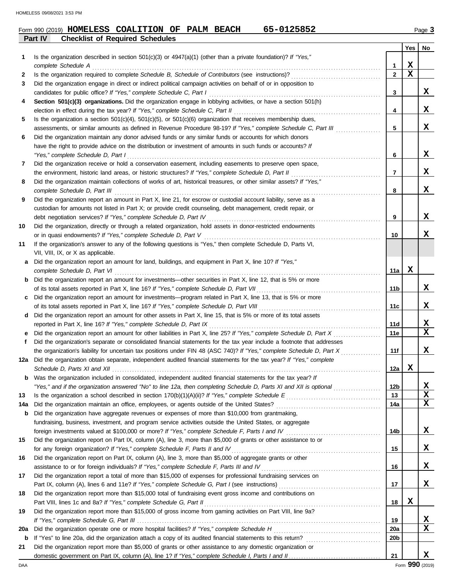### **Part IV Checklist of Required Schedules Form 990 (2019) HOMELESS COALITION OF PALM BEACH 65-0125852** Page 3

|--|--|

|          |                                                                                                                                                                                                        |                  | Yes         | No               |
|----------|--------------------------------------------------------------------------------------------------------------------------------------------------------------------------------------------------------|------------------|-------------|------------------|
| 1        | Is the organization described in section $501(c)(3)$ or $4947(a)(1)$ (other than a private foundation)? If "Yes,"                                                                                      |                  |             |                  |
|          | complete Schedule A                                                                                                                                                                                    | 1                | X           |                  |
| 2        |                                                                                                                                                                                                        | $\mathbf{2}$     | $\mathbf x$ |                  |
| 3        | Did the organization engage in direct or indirect political campaign activities on behalf of or in opposition to                                                                                       |                  |             | x                |
|          | candidates for public office? If "Yes," complete Schedule C, Part I                                                                                                                                    | 3                |             |                  |
| 4        | Section 501(c)(3) organizations. Did the organization engage in lobbying activities, or have a section 501(h)                                                                                          | 4                |             | x                |
| 5        | election in effect during the tax year? If "Yes," complete Schedule C, Part II<br>Is the organization a section $501(c)(4)$ , $501(c)(5)$ , or $501(c)(6)$ organization that receives membership dues, |                  |             |                  |
|          | assessments, or similar amounts as defined in Revenue Procedure 98-19? If "Yes," complete Schedule C, Part III                                                                                         | 5                |             | x                |
| 6        | Did the organization maintain any donor advised funds or any similar funds or accounts for which donors                                                                                                |                  |             |                  |
|          | have the right to provide advice on the distribution or investment of amounts in such funds or accounts? If                                                                                            |                  |             |                  |
|          | "Yes," complete Schedule D, Part I                                                                                                                                                                     | 6                |             | x                |
| 7        | Did the organization receive or hold a conservation easement, including easements to preserve open space,                                                                                              |                  |             |                  |
|          | the environment, historic land areas, or historic structures? If "Yes," complete Schedule D, Part II                                                                                                   | 7                |             | x                |
| 8        | Did the organization maintain collections of works of art, historical treasures, or other similar assets? If "Yes,"                                                                                    |                  |             |                  |
|          | complete Schedule D, Part III                                                                                                                                                                          | 8                |             | X                |
| 9        | Did the organization report an amount in Part X, line 21, for escrow or custodial account liability, serve as a                                                                                        |                  |             |                  |
|          | custodian for amounts not listed in Part X; or provide credit counseling, debt management, credit repair, or                                                                                           |                  |             |                  |
|          | debt negotiation services? If "Yes," complete Schedule D, Part IV                                                                                                                                      | 9                |             | X                |
| 10       | Did the organization, directly or through a related organization, hold assets in donor-restricted endowments                                                                                           |                  |             |                  |
|          | or in quasi endowments? If "Yes," complete Schedule D, Part V                                                                                                                                          | 10               |             | x                |
| 11       | If the organization's answer to any of the following questions is "Yes," then complete Schedule D, Parts VI,                                                                                           |                  |             |                  |
|          | VII, VIII, IX, or X as applicable.                                                                                                                                                                     |                  |             |                  |
| a        | Did the organization report an amount for land, buildings, and equipment in Part X, line 10? If "Yes,"                                                                                                 |                  |             |                  |
|          | complete Schedule D, Part VI                                                                                                                                                                           | 11a              | x           |                  |
| b        | Did the organization report an amount for investments—other securities in Part X, line 12, that is 5% or more                                                                                          |                  |             |                  |
|          | of its total assets reported in Part X, line 16? If "Yes," complete Schedule D, Part VII                                                                                                               | 11 <sub>b</sub>  |             | X                |
|          | Did the organization report an amount for investments—program related in Part X, line 13, that is 5% or more                                                                                           |                  |             | x                |
|          | of its total assets reported in Part X, line 16? If "Yes," complete Schedule D, Part VIII                                                                                                              | 11c              |             |                  |
| d        | Did the organization report an amount for other assets in Part X, line 15, that is 5% or more of its total assets<br>reported in Part X, line 16? If "Yes," complete Schedule D, Part IX               | 11d              |             | X                |
|          | Did the organization report an amount for other liabilities in Part X, line 25? If "Yes," complete Schedule D, Part X                                                                                  | 11e              |             | $\mathbf x$      |
| f        | Did the organization's separate or consolidated financial statements for the tax year include a footnote that addresses                                                                                |                  |             |                  |
|          | the organization's liability for uncertain tax positions under FIN 48 (ASC 740)? If "Yes," complete Schedule D, Part X                                                                                 | 11f              |             | X                |
| 12a      | Did the organization obtain separate, independent audited financial statements for the tax year? If "Yes," complete                                                                                    |                  |             |                  |
|          |                                                                                                                                                                                                        | 12a              | X           |                  |
|          | Was the organization included in consolidated, independent audited financial statements for the tax year? If                                                                                           |                  |             |                  |
|          | "Yes," and if the organization answered "No" to line 12a, then completing Schedule D, Parts XI and XII is optional                                                                                     | 12b              |             | X                |
| 13       |                                                                                                                                                                                                        | 13               |             | X                |
| 14a      | Did the organization maintain an office, employees, or agents outside of the United States?                                                                                                            | 14a              |             | $\mathbf x$      |
| b        | Did the organization have aggregate revenues or expenses of more than \$10,000 from grantmaking,                                                                                                       |                  |             |                  |
|          | fundraising, business, investment, and program service activities outside the United States, or aggregate                                                                                              |                  |             |                  |
|          |                                                                                                                                                                                                        | 14b              |             | x                |
| 15       | Did the organization report on Part IX, column (A), line 3, more than \$5,000 of grants or other assistance to or                                                                                      |                  |             |                  |
|          | for any foreign organization? If "Yes," complete Schedule F, Parts II and IV                                                                                                                           | 15               |             | X                |
| 16       | Did the organization report on Part IX, column (A), line 3, more than \$5,000 of aggregate grants or other                                                                                             |                  |             |                  |
|          | assistance to or for foreign individuals? If "Yes," complete Schedule F, Parts III and IV                                                                                                              | 16               |             | X                |
| 17       | Did the organization report a total of more than \$15,000 of expenses for professional fundraising services on                                                                                         |                  |             |                  |
|          |                                                                                                                                                                                                        | 17               |             | X                |
| 18       | Did the organization report more than \$15,000 total of fundraising event gross income and contributions on                                                                                            |                  | X           |                  |
|          | Part VIII, lines 1c and 8a? If "Yes," complete Schedule G, Part II                                                                                                                                     | 18               |             |                  |
| 19       | Did the organization report more than \$15,000 of gross income from gaming activities on Part VIII, line 9a?                                                                                           |                  |             |                  |
|          |                                                                                                                                                                                                        | 19<br><b>20a</b> |             | X<br>$\mathbf x$ |
| 20a<br>b |                                                                                                                                                                                                        | 20 <sub>b</sub>  |             |                  |
| 21       | Did the organization report more than \$5,000 of grants or other assistance to any domestic organization or                                                                                            |                  |             |                  |
|          |                                                                                                                                                                                                        | 21               |             | x                |
|          |                                                                                                                                                                                                        |                  |             |                  |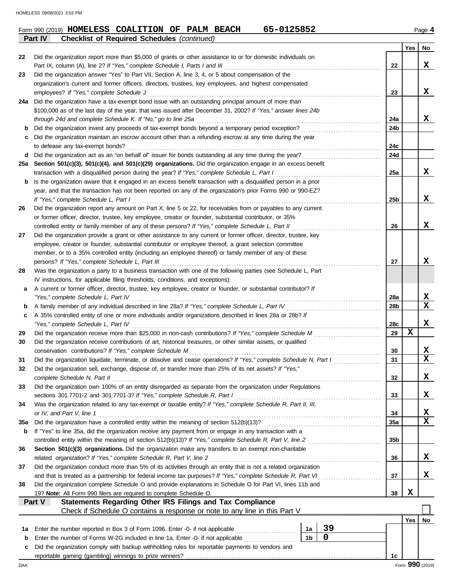|     | Part IV<br><b>Checklist of Required Schedules (continued)</b>                                                                                                                                     |                |             |                 |                 |             |
|-----|---------------------------------------------------------------------------------------------------------------------------------------------------------------------------------------------------|----------------|-------------|-----------------|-----------------|-------------|
|     |                                                                                                                                                                                                   |                |             |                 | Yes             | No          |
| 22  | Did the organization report more than \$5,000 of grants or other assistance to or for domestic individuals on                                                                                     |                |             |                 |                 |             |
|     | Part IX, column (A), line 2? If "Yes," complete Schedule I, Parts I and III                                                                                                                       |                |             | 22              |                 | X           |
| 23  | Did the organization answer "Yes" to Part VII, Section A, line 3, 4, or 5 about compensation of the                                                                                               |                |             |                 |                 |             |
|     | organization's current and former officers, directors, trustees, key employees, and highest compensated                                                                                           |                |             |                 |                 | X           |
| 24a | employees? If "Yes," complete Schedule J<br>Did the organization have a tax-exempt bond issue with an outstanding principal amount of more than                                                   |                |             | 23              |                 |             |
|     | \$100,000 as of the last day of the year, that was issued after December 31, 2002? If "Yes," answer lines 24b                                                                                     |                |             |                 |                 |             |
|     | through 24d and complete Schedule K. If "No," go to line 25a                                                                                                                                      |                |             | 24a             |                 | X           |
| b   | Did the organization invest any proceeds of tax-exempt bonds beyond a temporary period exception?                                                                                                 |                |             | 24b             |                 |             |
|     | Did the organization maintain an escrow account other than a refunding escrow at any time during the year                                                                                         |                |             |                 |                 |             |
|     | to defease any tax-exempt bonds?                                                                                                                                                                  |                |             | 24c             |                 |             |
| d   | Did the organization act as an "on behalf of" issuer for bonds outstanding at any time during the year?                                                                                           |                |             | 24d             |                 |             |
|     | 25a Section 501(c)(3), 501(c)(4), and 501(c)(29) organizations. Did the organization engage in an excess benefit                                                                                  |                |             |                 |                 |             |
|     | transaction with a disqualified person during the year? If "Yes," complete Schedule L, Part I                                                                                                     |                |             | 25a             |                 | X           |
| b   | Is the organization aware that it engaged in an excess benefit transaction with a disqualified person in a prior                                                                                  |                |             |                 |                 |             |
|     | year, and that the transaction has not been reported on any of the organization's prior Forms 990 or 990-EZ?                                                                                      |                |             |                 |                 |             |
|     | If "Yes." complete Schedule L, Part I                                                                                                                                                             |                |             | 25b             |                 | X           |
| 26  | Did the organization report any amount on Part X, line 5 or 22, for receivables from or payables to any current                                                                                   |                |             |                 |                 |             |
|     | or former officer, director, trustee, key employee, creator or founder, substantial contributor, or 35%                                                                                           |                |             |                 |                 |             |
|     | controlled entity or family member of any of these persons? If "Yes," complete Schedule L, Part II                                                                                                |                |             | 26              |                 | X           |
| 27  | Did the organization provide a grant or other assistance to any current or former officer, director, trustee, key                                                                                 |                |             |                 |                 |             |
|     | employee, creator or founder, substantial contributor or employee thereof, a grant selection committee                                                                                            |                |             |                 |                 |             |
|     | member, or to a 35% controlled entity (including an employee thereof) or family member of any of these                                                                                            |                |             |                 |                 | X           |
|     | persons? If "Yes," complete Schedule L, Part III                                                                                                                                                  |                |             | 27              |                 |             |
| 28  | Was the organization a party to a business transaction with one of the following parties (see Schedule L, Part<br>IV instructions, for applicable filing thresholds, conditions, and exceptions): |                |             |                 |                 |             |
| а   | A current or former officer, director, trustee, key employee, creator or founder, or substantial contributor? If                                                                                  |                |             |                 |                 |             |
|     | "Yes," complete Schedule L, Part IV                                                                                                                                                               |                |             | 28a             |                 | х           |
| b   | A family member of any individual described in line 28a? If "Yes," complete Schedule L, Part IV                                                                                                   |                |             | 28b             |                 | $\mathbf x$ |
| c   | A 35% controlled entity of one or more individuals and/or organizations described in lines 28a or 28b? If                                                                                         |                |             |                 |                 |             |
|     | "Yes," complete Schedule L, Part IV                                                                                                                                                               |                |             | 28c             |                 | X           |
| 29  | Did the organization receive more than \$25,000 in non-cash contributions? If "Yes," complete Schedule M                                                                                          |                |             | 29              | $\mathbf x$     |             |
| 30  | Did the organization receive contributions of art, historical treasures, or other similar assets, or qualified                                                                                    |                |             |                 |                 |             |
|     | conservation contributions? If "Yes," complete Schedule M                                                                                                                                         |                |             | 30              |                 | X           |
| 31  | Did the organization liquidate, terminate, or dissolve and cease operations? If "Yes," complete Schedule N, Part I                                                                                |                |             | 31              |                 | X           |
| 32  | Did the organization sell, exchange, dispose of, or transfer more than 25% of its net assets? If "Yes,"                                                                                           |                |             |                 |                 |             |
|     | complete Schedule N, Part II                                                                                                                                                                      |                |             | 32              |                 | х           |
| 33  | Did the organization own 100% of an entity disregarded as separate from the organization under Regulations                                                                                        |                |             |                 |                 |             |
|     | sections 301.7701-2 and 301.7701-3? If "Yes," complete Schedule R, Part I                                                                                                                         |                |             | 33              |                 | х           |
| 34  | Was the organization related to any tax-exempt or taxable entity? If "Yes," complete Schedule R, Part II, III,                                                                                    |                |             |                 |                 |             |
|     | or IV, and Part V, line 1                                                                                                                                                                         |                |             | 34              |                 | х           |
| 35a | Did the organization have a controlled entity within the meaning of section 512(b)(13)?                                                                                                           |                |             | 35a             |                 | X           |
| b   | If "Yes" to line 35a, did the organization receive any payment from or engage in any transaction with a                                                                                           |                |             |                 |                 |             |
|     | controlled entity within the meaning of section 512(b)(13)? If "Yes," complete Schedule R, Part V, line 2                                                                                         |                |             | 35 <sub>b</sub> |                 |             |
| 36  | Section 501(c)(3) organizations. Did the organization make any transfers to an exempt non-charitable<br>related organization? If "Yes," complete Schedule R, Part V, line 2                       |                |             | 36              |                 | х           |
| 37  | Did the organization conduct more than 5% of its activities through an entity that is not a related organization                                                                                  |                |             |                 |                 |             |
|     | and that is treated as a partnership for federal income tax purposes? If "Yes," complete Schedule R, Part VI                                                                                      |                |             | 37              |                 | x           |
| 38  | Did the organization complete Schedule O and provide explanations in Schedule O for Part VI, lines 11b and                                                                                        |                |             |                 |                 |             |
|     | 19? Note: All Form 990 filers are required to complete Schedule O.                                                                                                                                |                |             | 38              | X               |             |
|     | Statements Regarding Other IRS Filings and Tax Compliance<br>Part V                                                                                                                               |                |             |                 |                 |             |
|     |                                                                                                                                                                                                   |                |             |                 |                 |             |
|     |                                                                                                                                                                                                   |                |             |                 | Yes             | No          |
| 1a  | Enter the number reported in Box 3 of Form 1096. Enter -0- if not applicable                                                                                                                      | 1a             | 39          |                 |                 |             |
| b   | Enter the number of Forms W-2G included in line 1a. Enter -0- if not applicable                                                                                                                   | 1 <sub>b</sub> | $\mathbf 0$ |                 |                 |             |
| c   | Did the organization comply with backup withholding rules for reportable payments to vendors and                                                                                                  |                |             |                 |                 |             |
|     |                                                                                                                                                                                                   |                |             | 1c              |                 |             |
| DAA |                                                                                                                                                                                                   |                |             |                 | Form 990 (2019) |             |

**HOMELESS COALITION OF PALM BEACH 65-0125852**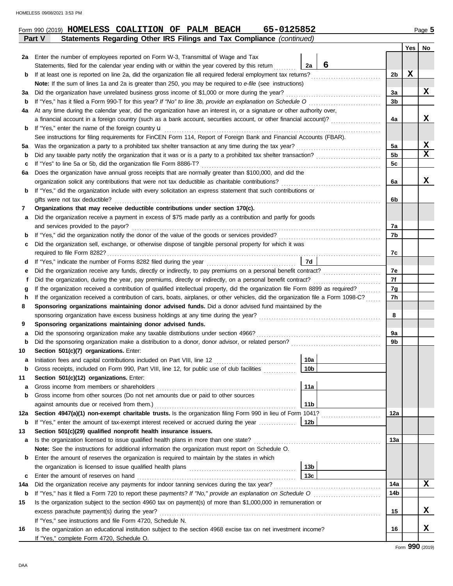|             |                                                                                                                                    |                 |                                                                                                                 |                | Yes | No          |  |  |  |  |  |
|-------------|------------------------------------------------------------------------------------------------------------------------------------|-----------------|-----------------------------------------------------------------------------------------------------------------|----------------|-----|-------------|--|--|--|--|--|
| 2a          | Enter the number of employees reported on Form W-3, Transmittal of Wage and Tax                                                    |                 |                                                                                                                 |                |     |             |  |  |  |  |  |
|             | Statements, filed for the calendar year ending with or within the year covered by this return                                      | 2a              | 6                                                                                                               |                |     |             |  |  |  |  |  |
| b           | If at least one is reported on line 2a, did the organization file all required federal employment tax returns?                     |                 |                                                                                                                 | 2b             | X   |             |  |  |  |  |  |
|             | Note: If the sum of lines 1a and 2a is greater than 250, you may be required to e-file (see instructions)                          |                 |                                                                                                                 |                |     |             |  |  |  |  |  |
| за          | Did the organization have unrelated business gross income of \$1,000 or more during the year?                                      |                 |                                                                                                                 | 3a             |     | X           |  |  |  |  |  |
| b           | If "Yes," has it filed a Form 990-T for this year? If "No" to line 3b, provide an explanation on Schedule O                        |                 |                                                                                                                 |                |     |             |  |  |  |  |  |
| 4a          | At any time during the calendar year, did the organization have an interest in, or a signature or other authority over,            |                 |                                                                                                                 |                |     |             |  |  |  |  |  |
|             | a financial account in a foreign country (such as a bank account, securities account, or other financial account)?                 |                 |                                                                                                                 | 4a             |     | X           |  |  |  |  |  |
| b           | If "Yes," enter the name of the foreign country <b>u</b>                                                                           |                 |                                                                                                                 |                |     |             |  |  |  |  |  |
|             | See instructions for filing requirements for FinCEN Form 114, Report of Foreign Bank and Financial Accounts (FBAR).                |                 |                                                                                                                 |                |     |             |  |  |  |  |  |
| 5а          | Was the organization a party to a prohibited tax shelter transaction at any time during the tax year?                              |                 |                                                                                                                 | 5a             |     | X           |  |  |  |  |  |
| b           | Did any taxable party notify the organization that it was or is a party to a prohibited tax shelter transaction?                   |                 |                                                                                                                 | 5 <sub>b</sub> |     | $\mathbf x$ |  |  |  |  |  |
| c           | If "Yes" to line 5a or 5b, did the organization file Form 8886-T?                                                                  |                 |                                                                                                                 | 5 <sub>c</sub> |     |             |  |  |  |  |  |
| 6a          | Does the organization have annual gross receipts that are normally greater than \$100,000, and did the                             |                 |                                                                                                                 |                |     |             |  |  |  |  |  |
|             | organization solicit any contributions that were not tax deductible as charitable contributions?                                   |                 |                                                                                                                 | 6a             |     | x           |  |  |  |  |  |
| b           | If "Yes," did the organization include with every solicitation an express statement that such contributions or                     |                 |                                                                                                                 |                |     |             |  |  |  |  |  |
|             | gifts were not tax deductible?                                                                                                     |                 |                                                                                                                 | 6b             |     |             |  |  |  |  |  |
| 7           | Organizations that may receive deductible contributions under section 170(c).                                                      |                 |                                                                                                                 |                |     |             |  |  |  |  |  |
| а           | Did the organization receive a payment in excess of \$75 made partly as a contribution and partly for goods                        |                 |                                                                                                                 |                |     |             |  |  |  |  |  |
|             | and services provided to the payor?                                                                                                |                 |                                                                                                                 | 7а             |     |             |  |  |  |  |  |
| $\mathbf b$ |                                                                                                                                    |                 |                                                                                                                 | 7b             |     |             |  |  |  |  |  |
| c           | Did the organization sell, exchange, or otherwise dispose of tangible personal property for which it was                           |                 |                                                                                                                 |                |     |             |  |  |  |  |  |
|             |                                                                                                                                    |                 |                                                                                                                 | 7c             |     |             |  |  |  |  |  |
| d           |                                                                                                                                    | <b>7d</b>       |                                                                                                                 | 7e             |     |             |  |  |  |  |  |
|             | Did the organization receive any funds, directly or indirectly, to pay premiums on a personal benefit contract?                    |                 |                                                                                                                 |                |     |             |  |  |  |  |  |
|             | 7f<br>Did the organization, during the year, pay premiums, directly or indirectly, on a personal benefit contract?<br>7g           |                 |                                                                                                                 |                |     |             |  |  |  |  |  |
| g           | If the organization received a contribution of qualified intellectual property, did the organization file Form 8899 as required?   |                 |                                                                                                                 |                |     |             |  |  |  |  |  |
| h           | If the organization received a contribution of cars, boats, airplanes, or other vehicles, did the organization file a Form 1098-C? |                 |                                                                                                                 | 7h             |     |             |  |  |  |  |  |
| 8           | Sponsoring organizations maintaining donor advised funds. Did a donor advised fund maintained by the                               |                 |                                                                                                                 |                |     |             |  |  |  |  |  |
|             | sponsoring organization have excess business holdings at any time during the year?                                                 |                 | and a construction of the construction of the construction of the construction of the construction of the const | 8              |     |             |  |  |  |  |  |
| 9           | Sponsoring organizations maintaining donor advised funds.                                                                          |                 |                                                                                                                 |                |     |             |  |  |  |  |  |
| а           | Did the sponsoring organization make any taxable distributions under section 4966?                                                 |                 |                                                                                                                 | 9a             |     |             |  |  |  |  |  |
| b           |                                                                                                                                    |                 |                                                                                                                 | 9b             |     |             |  |  |  |  |  |
| 10          | Section 501(c)(7) organizations. Enter:                                                                                            |                 |                                                                                                                 |                |     |             |  |  |  |  |  |
| а           | Initiation fees and capital contributions included on Part VIII, line 12                                                           | 10a             |                                                                                                                 |                |     |             |  |  |  |  |  |
| b           | Gross receipts, included on Form 990, Part VIII, line 12, for public use of club facilities                                        | 10 <sub>b</sub> |                                                                                                                 |                |     |             |  |  |  |  |  |
| 11          | Section 501(c)(12) organizations. Enter:                                                                                           |                 |                                                                                                                 |                |     |             |  |  |  |  |  |
| а           | Gross income from members or shareholders                                                                                          | 11a             |                                                                                                                 |                |     |             |  |  |  |  |  |
| $\mathbf b$ | Gross income from other sources (Do not net amounts due or paid to other sources<br>against amounts due or received from them.)    | 11 <sub>b</sub> |                                                                                                                 |                |     |             |  |  |  |  |  |
| 12a         | Section 4947(a)(1) non-exempt charitable trusts. Is the organization filing Form 990 in lieu of Form 1041?                         |                 |                                                                                                                 | 12a            |     |             |  |  |  |  |  |
| b           | If "Yes," enter the amount of tax-exempt interest received or accrued during the year                                              | 12 <sub>b</sub> |                                                                                                                 |                |     |             |  |  |  |  |  |
| 13          | Section 501(c)(29) qualified nonprofit health insurance issuers.                                                                   |                 |                                                                                                                 |                |     |             |  |  |  |  |  |
| а           | Is the organization licensed to issue qualified health plans in more than one state?                                               |                 |                                                                                                                 | 13a            |     |             |  |  |  |  |  |
|             | Note: See the instructions for additional information the organization must report on Schedule O.                                  |                 |                                                                                                                 |                |     |             |  |  |  |  |  |
| b           | Enter the amount of reserves the organization is required to maintain by the states in which                                       |                 |                                                                                                                 |                |     |             |  |  |  |  |  |
|             |                                                                                                                                    | 13 <sub>b</sub> |                                                                                                                 |                |     |             |  |  |  |  |  |
| c           | Enter the amount of reserves on hand                                                                                               | 13c             |                                                                                                                 |                |     |             |  |  |  |  |  |
| 14a         | Did the organization receive any payments for indoor tanning services during the tax year?                                         |                 |                                                                                                                 | 14a            |     | x           |  |  |  |  |  |
| b           |                                                                                                                                    |                 |                                                                                                                 | 14b            |     |             |  |  |  |  |  |
| 15          | Is the organization subject to the section 4960 tax on payment(s) of more than \$1,000,000 in remuneration or                      |                 |                                                                                                                 |                |     |             |  |  |  |  |  |
|             | excess parachute payment(s) during the year?                                                                                       |                 |                                                                                                                 | 15             |     | x           |  |  |  |  |  |
|             | If "Yes," see instructions and file Form 4720, Schedule N.                                                                         |                 |                                                                                                                 |                |     |             |  |  |  |  |  |
| 16          | Is the organization an educational institution subject to the section 4968 excise tax on net investment income?                    |                 |                                                                                                                 | 16             |     | x           |  |  |  |  |  |
|             | If "Yes," complete Form 4720, Schedule O.                                                                                          |                 |                                                                                                                 |                |     |             |  |  |  |  |  |

**Part V Statements Regarding Other IRS Filings and Tax Compliance** *(continued)* **Form 990 (2019) HOMELESS COALITION OF PALM BEACH 65-0125852** Page 5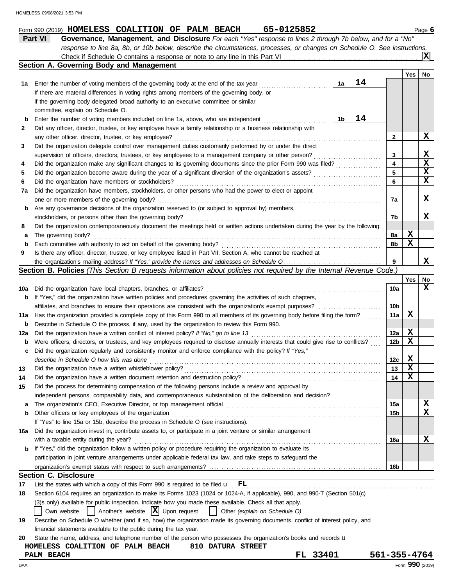|                | Form 990 (2019) HOMELESS COALITION OF PALM BEACH                                                                                                                                                                                 |  |  | 65-0125852                                                                                                                |    |  |            | Page 6 |
|----------------|----------------------------------------------------------------------------------------------------------------------------------------------------------------------------------------------------------------------------------|--|--|---------------------------------------------------------------------------------------------------------------------------|----|--|------------|--------|
| <b>Part VI</b> |                                                                                                                                                                                                                                  |  |  | Governance, Management, and Disclosure For each "Yes" response to lines 2 through 7b below, and for a "No"                |    |  |            |        |
|                |                                                                                                                                                                                                                                  |  |  | response to line 8a, 8b, or 10b below, describe the circumstances, processes, or changes on Schedule O. See instructions. |    |  |            |        |
|                |                                                                                                                                                                                                                                  |  |  |                                                                                                                           |    |  |            |        |
|                | Section A. Governing Body and Management                                                                                                                                                                                         |  |  |                                                                                                                           |    |  |            |        |
|                |                                                                                                                                                                                                                                  |  |  |                                                                                                                           |    |  | <b>Yes</b> | Nο     |
| 1a             | Enter the number of voting members of the governing body at the end of the tax year                                                                                                                                              |  |  |                                                                                                                           | 1а |  |            |        |
|                | $\mathbf{r}$ and the contract of the contract of the contract of the contract of the contract of the contract of the contract of the contract of the contract of the contract of the contract of the contract of the contract of |  |  |                                                                                                                           |    |  |            |        |

|             | If there are material differences in voting rights among members of the governing body, or                                          |                 |     |    |
|-------------|-------------------------------------------------------------------------------------------------------------------------------------|-----------------|-----|----|
|             | if the governing body delegated broad authority to an executive committee or similar                                                |                 |     |    |
|             | committee, explain on Schedule O.                                                                                                   |                 |     |    |
| $\mathbf b$ | 14<br>Enter the number of voting members included on line 1a, above, who are independent<br>1b                                      |                 |     |    |
| 2           | Did any officer, director, trustee, or key employee have a family relationship or a business relationship with                      |                 |     |    |
|             | any other officer, director, trustee, or key employee?                                                                              | 2               |     | X  |
| 3           | Did the organization delegate control over management duties customarily performed by or under the direct                           |                 |     |    |
|             | supervision of officers, directors, trustees, or key employees to a management company or other person?                             | 3               |     | X  |
| 4           |                                                                                                                                     | 4               |     | X  |
| 5           |                                                                                                                                     | 5               |     | X  |
| 6           | Did the organization have members or stockholders?                                                                                  | 6               |     | X  |
| 7а          | Did the organization have members, stockholders, or other persons who had the power to elect or appoint                             |                 |     |    |
|             | one or more members of the governing body?                                                                                          | 7а              |     | X. |
| b           | Are any governance decisions of the organization reserved to (or subject to approval by) members,                                   |                 |     |    |
|             | stockholders, or persons other than the governing body?                                                                             | 7b              |     | X. |
| 8           | Did the organization contemporaneously document the meetings held or written actions undertaken during the year by the following:   |                 |     |    |
| а           | The governing body?                                                                                                                 | 8а              | x   |    |
| b           | Each committee with authority to act on behalf of the governing body?                                                               | 8b              | x   |    |
| 9           | Is there any officer, director, trustee, or key employee listed in Part VII, Section A, who cannot be reached at                    |                 |     |    |
|             |                                                                                                                                     | 9               |     | x  |
|             | Section B. Policies (This Section B requests information about policies not required by the Internal Revenue Code.)                 |                 |     |    |
|             |                                                                                                                                     |                 | Yes | No |
| 10a         | Did the organization have local chapters, branches, or affiliates?                                                                  | 10a             |     | X  |
| b           | If "Yes," did the organization have written policies and procedures governing the activities of such chapters,                      |                 |     |    |
|             | affiliates, and branches to ensure their operations are consistent with the organization's exempt purposes?                         | 10 <sub>b</sub> |     |    |
| 11a         | Has the organization provided a complete copy of this Form 990 to all members of its governing body before filing the form?         | 11a             | x   |    |
| b           | Describe in Schedule O the process, if any, used by the organization to review this Form 990.                                       |                 |     |    |
| 12a         | Did the organization have a written conflict of interest policy? If "No," go to line 13                                             | 12a             | x   |    |
| b           | Were officers, directors, or trustees, and key employees required to disclose annually interests that could give rise to conflicts? | 12b             | x   |    |
| c           | Did the organization regularly and consistently monitor and enforce compliance with the policy? If "Yes,"                           |                 |     |    |
|             | describe in Schedule O how this was done                                                                                            | 12c             | x   |    |
| 13          | Did the organization have a written whistleblower policy?                                                                           | 13              | X   |    |
| 14          | Did the organization have a written document retention and destruction policy?                                                      | 14              | х   |    |
| 15          | Did the process for determining compensation of the following persons include a review and approval by                              |                 |     |    |
|             | independent persons, comparability data, and contemporaneous substantiation of the deliberation and decision?                       |                 |     |    |
| а           |                                                                                                                                     | 15a             |     | X  |
| b           | Other officers or key employees of the organization                                                                                 | 15b             |     | X  |
|             | If "Yes" to line 15a or 15b, describe the process in Schedule O (see instructions).                                                 |                 |     |    |
| 16a         | Did the organization invest in, contribute assets to, or participate in a joint venture or similar arrangement                      |                 |     |    |
|             | with a taxable entity during the year?                                                                                              | 16a             |     | X  |
|             | b If "Yes," did the organization follow a written policy or procedure requiring the organization to evaluate its                    |                 |     |    |
|             | participation in joint venture arrangements under applicable federal tax law, and take steps to safeguard the                       |                 |     |    |
|             |                                                                                                                                     | 16b             |     |    |
|             | <b>Section C. Disclosure</b>                                                                                                        |                 |     |    |
| 17          | List the states with which a copy of this Form 990 is required to be filed $\mathbf{u}$ $\mathbf{F}\mathbf{L}$                      |                 |     |    |

#### **18** Section 6104 requires an organization to make its Forms 1023 (1024 or 1024-A, if applicable), 990, and 990-T (Section 501(c)

(3)s only) available for public inspection. Indicate how you made these available. Check all that apply.

|  |  | $\vert$ Own website $\vert$ Another's website $\vert X \vert$ Upon request $\vert$ Other (explain on Schedule O)           |  |
|--|--|----------------------------------------------------------------------------------------------------------------------------|--|
|  |  | 10 Describe an Cabadule Q whather (and if an bow) the examination made its governing decuments, conflict of interact polic |  |

| Describe on Schedule O whether (and it so, how) the organization made its governing documents, conflict of interest policy, and |
|---------------------------------------------------------------------------------------------------------------------------------|
| financial statements available to the public during the tax year.                                                               |

|  |  |  |  |  |  |  | 20 State the name, address, and telephone number of the person who possesses the organization's books and records <b>u</b> |  |  |  |
|--|--|--|--|--|--|--|----------------------------------------------------------------------------------------------------------------------------|--|--|--|
|--|--|--|--|--|--|--|----------------------------------------------------------------------------------------------------------------------------|--|--|--|

#### **HOMELESS COALITION OF PALM BEACH 810 DATURA STREET PALM BEACH FL 33401 561-355-4764**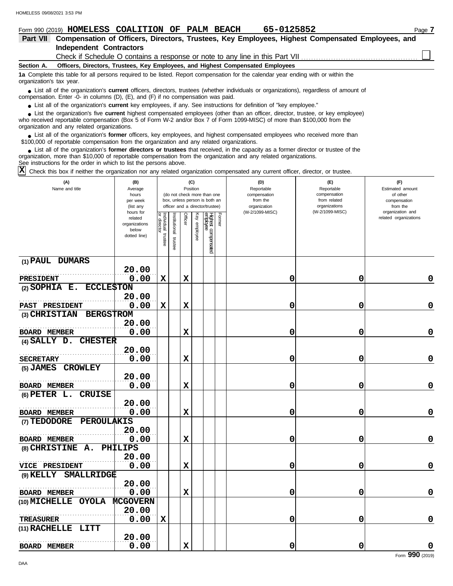| 65-0125852<br>Form 990 (2019) HOMELESS COALITION OF PALM BEACH                                                                                                                                                              | Page 7 |
|-----------------------------------------------------------------------------------------------------------------------------------------------------------------------------------------------------------------------------|--------|
| Compensation of Officers, Directors, Trustees, Key Employees, Highest Compensated Employees, and<br>Part VII                                                                                                                |        |
| <b>Independent Contractors</b>                                                                                                                                                                                              |        |
|                                                                                                                                                                                                                             |        |
| Officers, Directors, Trustees, Key Employees, and Highest Compensated Employees<br>Section A.                                                                                                                               |        |
| 1a Complete this table for all persons required to be listed. Report compensation for the calendar year ending with or within the<br>organization's tax year.                                                               |        |
| • List all of the organization's current officers, directors, trustees (whether individuals or organizations), regardless of amount of<br>compensation. Enter -0- in columns (D), (E), and (F) if no compensation was paid. |        |

● List all of the organization's **current** key employees, if any. See instructions for definition of "key employee."

who received reportable compensation (Box 5 of Form W-2 and/or Box 7 of Form 1099-MISC) of more than \$100,000 from the organization and any related organizations. ■ List the organization's five **current** highest compensated employees (other than an officer, director, trustee, or key employee)<br> **•** Preceived reportable compensation (Box 5 of Form M/-2 and/or Box 7 of Form 1099-MISC)

■ List all of the organization's **former** officers, key employees, and highest compensated employees who received more than<br> **•** 00.000 of reportable compensation from the ergonization and any related ergonizations \$100,000 of reportable compensation from the organization and any related organizations.

List all of the organization's **former directors or trustees** that received, in the capacity as a former director or trustee of the List all of the organization's former directors or trustees that received, in the capacity as a former director organization, more than \$10,000 of reportable compensation from the organization and any related organizations See instructions for the order in which to list the persons above.

 $\overline{X}$  Check this box if neither the organization nor any related organization compensated any current officer, director, or trustee.

| (A)<br>Name and title                                   | (B)<br>Average<br>hours<br>per week<br>(list any               | (C)<br>Position<br>(do not check more than one<br>box, unless person is both an<br>officer and a director/trustee) |                          |             |                 |                                |        | (D)<br>Reportable<br>compensation<br>from the<br>organization | (E)<br>Reportable<br>compensation<br>from related<br>organizations | (F)<br>Estimated amount<br>of other<br>compensation<br>from the |
|---------------------------------------------------------|----------------------------------------------------------------|--------------------------------------------------------------------------------------------------------------------|--------------------------|-------------|-----------------|--------------------------------|--------|---------------------------------------------------------------|--------------------------------------------------------------------|-----------------------------------------------------------------|
|                                                         | hours for<br>related<br>organizations<br>below<br>dotted line) | Individual trustee<br>or director                                                                                  | Institutional<br>trustee | Officer     | Key<br>employee | Highest compensated<br>empbyee | Former | (W-2/1099-MISC)                                               | (W-2/1099-MISC)                                                    | organization and<br>related organizations                       |
| (1) PAUL DUMARS                                         |                                                                |                                                                                                                    |                          |             |                 |                                |        |                                                               |                                                                    |                                                                 |
|                                                         | 20.00                                                          |                                                                                                                    |                          |             |                 |                                |        |                                                               |                                                                    |                                                                 |
| <b>PRESIDENT</b><br>$(2)$ SOPHIA E.<br><b>ECCLESTON</b> | 0.00                                                           | $\mathbf x$                                                                                                        |                          | $\mathbf x$ |                 |                                |        | 0                                                             | 0                                                                  | 0                                                               |
|                                                         | 20.00                                                          |                                                                                                                    |                          |             |                 |                                |        |                                                               |                                                                    |                                                                 |
| PAST PRESIDENT                                          | 0.00                                                           | $\mathbf x$                                                                                                        |                          | $\mathbf x$ |                 |                                |        | 0                                                             | 0                                                                  | 0                                                               |
| (3) CHRISTIAN BERGSTROM                                 |                                                                |                                                                                                                    |                          |             |                 |                                |        |                                                               |                                                                    |                                                                 |
|                                                         | 20.00                                                          |                                                                                                                    |                          |             |                 |                                |        |                                                               |                                                                    |                                                                 |
| <b>BOARD MEMBER</b>                                     | 0.00                                                           |                                                                                                                    |                          | X           |                 |                                |        | 0                                                             | 0                                                                  | $\mathbf 0$                                                     |
| $(4)$ SALLY $D$ .<br><b>CHESTER</b>                     |                                                                |                                                                                                                    |                          |             |                 |                                |        |                                                               |                                                                    |                                                                 |
|                                                         | 20.00                                                          |                                                                                                                    |                          |             |                 |                                |        |                                                               |                                                                    |                                                                 |
| <b>SECRETARY</b>                                        | 0.00                                                           |                                                                                                                    |                          | $\mathbf x$ |                 |                                |        | 0                                                             | 0                                                                  | $\Omega$                                                        |
| <b>CROWLEY</b><br><b>(5) JAMES</b>                      |                                                                |                                                                                                                    |                          |             |                 |                                |        |                                                               |                                                                    |                                                                 |
|                                                         | 20.00                                                          |                                                                                                                    |                          |             |                 |                                |        |                                                               |                                                                    |                                                                 |
| <b>BOARD MEMBER</b>                                     | 0.00                                                           |                                                                                                                    |                          | $\mathbf x$ |                 |                                |        | 0                                                             | 0                                                                  | 0                                                               |
| <b>CRUISE</b><br>$(6)$ PETER L.                         |                                                                |                                                                                                                    |                          |             |                 |                                |        |                                                               |                                                                    |                                                                 |
|                                                         | 20.00                                                          |                                                                                                                    |                          |             |                 |                                |        |                                                               |                                                                    |                                                                 |
| <b>BOARD MEMBER</b>                                     | 0.00                                                           |                                                                                                                    |                          | $\mathbf x$ |                 |                                |        | 0                                                             | 0                                                                  | $\mathbf 0$                                                     |
| (7) TEDODORE<br>PEROULAKIS                              |                                                                |                                                                                                                    |                          |             |                 |                                |        |                                                               |                                                                    |                                                                 |
|                                                         | 20.00                                                          |                                                                                                                    |                          |             |                 |                                |        |                                                               |                                                                    |                                                                 |
| <b>BOARD MEMBER</b>                                     | 0.00                                                           |                                                                                                                    |                          | $\mathbf x$ |                 |                                |        | 0                                                             | 0                                                                  | $\Omega$                                                        |
| (8) CHRISTINE A.                                        | PHILIPS<br>20.00                                               |                                                                                                                    |                          |             |                 |                                |        |                                                               |                                                                    |                                                                 |
| <b>VICE PRESIDENT</b>                                   | 0.00                                                           |                                                                                                                    |                          | $\mathbf x$ |                 |                                |        | 0                                                             | 0                                                                  | 0                                                               |
| SMALLRIDGE<br>$(9)$ KELLY                               |                                                                |                                                                                                                    |                          |             |                 |                                |        |                                                               |                                                                    |                                                                 |
|                                                         | 20.00                                                          |                                                                                                                    |                          |             |                 |                                |        |                                                               |                                                                    |                                                                 |
| <b>BOARD MEMBER</b>                                     | 0.00                                                           |                                                                                                                    |                          | $\mathbf x$ |                 |                                |        | 0                                                             | 0                                                                  | $\mathbf 0$                                                     |
| (10) MICHELLE<br><b>OYOLA</b>                           | <b>MCGOVERN</b>                                                |                                                                                                                    |                          |             |                 |                                |        |                                                               |                                                                    |                                                                 |
|                                                         | 20.00                                                          |                                                                                                                    |                          |             |                 |                                |        |                                                               |                                                                    |                                                                 |
| <b>TREASURER</b>                                        | 0.00                                                           | $\mathbf x$                                                                                                        |                          |             |                 |                                |        | 0                                                             | 0                                                                  | $\mathbf 0$                                                     |
| (11) RACHELLE<br>LITT                                   |                                                                |                                                                                                                    |                          |             |                 |                                |        |                                                               |                                                                    |                                                                 |
|                                                         | 20.00                                                          |                                                                                                                    |                          |             |                 |                                |        |                                                               |                                                                    |                                                                 |
| <b>BOARD MEMBER</b>                                     | 0.00                                                           |                                                                                                                    |                          | $\mathbf x$ |                 |                                |        | 0                                                             | 0                                                                  | 0                                                               |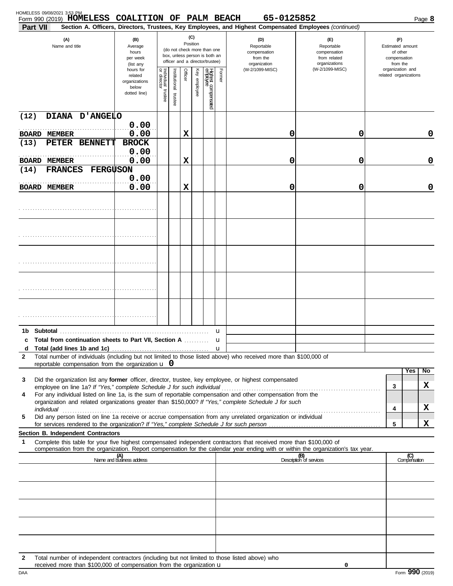| Form 990 (2019) HOMELESS COALITION OF PALM BEACH<br>Part VII                                                                                                                                                                                                                                                                                                                                                                                                  |                                                                |                                      |                         |          |              |                                                                                                 |              | 65-0125852<br>Section A. Officers, Directors, Trustees, Key Employees, and Highest Compensated Employees (continued) |                                                                    |  |                                                                 | Page 8              |
|---------------------------------------------------------------------------------------------------------------------------------------------------------------------------------------------------------------------------------------------------------------------------------------------------------------------------------------------------------------------------------------------------------------------------------------------------------------|----------------------------------------------------------------|--------------------------------------|-------------------------|----------|--------------|-------------------------------------------------------------------------------------------------|--------------|----------------------------------------------------------------------------------------------------------------------|--------------------------------------------------------------------|--|-----------------------------------------------------------------|---------------------|
| (A)<br>Name and title                                                                                                                                                                                                                                                                                                                                                                                                                                         | (B)<br>Average<br>hours<br>per week<br>(list any               |                                      |                         | Position | (C)          | (do not check more than one<br>box, unless person is both an<br>officer and a director/trustee) |              | (D)<br>Reportable<br>compensation<br>from the<br>organization                                                        | (E)<br>Reportable<br>compensation<br>from related<br>organizations |  | (F)<br>Estimated amount<br>of other<br>compensation<br>from the |                     |
|                                                                                                                                                                                                                                                                                                                                                                                                                                                               | hours for<br>related<br>organizations<br>below<br>dotted line) | Individual<br>or director<br>trustee | nstitutional<br>trustee | Officer  | Key employee | Highest compensated<br>employee                                                                 | Former       | (W-2/1099-MISC)                                                                                                      | (W-2/1099-MISC)                                                    |  | organization and<br>related organizations                       |                     |
| DIANA D'ANGELO<br>(12)                                                                                                                                                                                                                                                                                                                                                                                                                                        |                                                                |                                      |                         |          |              |                                                                                                 |              |                                                                                                                      |                                                                    |  |                                                                 |                     |
| <b>BOARD MEMBER</b>                                                                                                                                                                                                                                                                                                                                                                                                                                           | 0.00<br>0.00                                                   |                                      |                         | X        |              |                                                                                                 |              | 0                                                                                                                    | 0                                                                  |  |                                                                 | $\mathbf 0$         |
| PETER BENNETT<br>(13)<br><b>BOARD MEMBER</b>                                                                                                                                                                                                                                                                                                                                                                                                                  | <b>BROCK</b><br>0.00<br>0.00                                   |                                      |                         | X        |              |                                                                                                 |              | 0                                                                                                                    | 0                                                                  |  |                                                                 | 0                   |
| FRANCES FERGUSON<br>(14)                                                                                                                                                                                                                                                                                                                                                                                                                                      | 0.00                                                           |                                      |                         |          |              |                                                                                                 |              |                                                                                                                      |                                                                    |  |                                                                 |                     |
| <b>BOARD MEMBER</b>                                                                                                                                                                                                                                                                                                                                                                                                                                           | 0.00                                                           |                                      |                         | X        |              |                                                                                                 |              | 0                                                                                                                    | 0                                                                  |  |                                                                 | 0                   |
|                                                                                                                                                                                                                                                                                                                                                                                                                                                               |                                                                |                                      |                         |          |              |                                                                                                 |              |                                                                                                                      |                                                                    |  |                                                                 |                     |
|                                                                                                                                                                                                                                                                                                                                                                                                                                                               |                                                                |                                      |                         |          |              |                                                                                                 |              |                                                                                                                      |                                                                    |  |                                                                 |                     |
|                                                                                                                                                                                                                                                                                                                                                                                                                                                               |                                                                |                                      |                         |          |              |                                                                                                 |              |                                                                                                                      |                                                                    |  |                                                                 |                     |
|                                                                                                                                                                                                                                                                                                                                                                                                                                                               |                                                                |                                      |                         |          |              |                                                                                                 |              |                                                                                                                      |                                                                    |  |                                                                 |                     |
|                                                                                                                                                                                                                                                                                                                                                                                                                                                               |                                                                |                                      |                         |          |              |                                                                                                 |              |                                                                                                                      |                                                                    |  |                                                                 |                     |
| Total from continuation sheets to Part VII, Section A                                                                                                                                                                                                                                                                                                                                                                                                         |                                                                |                                      |                         |          |              |                                                                                                 | u            |                                                                                                                      |                                                                    |  |                                                                 |                     |
| d<br>Total number of individuals (including but not limited to those listed above) who received more than \$100,000 of<br>$\mathbf{2}$<br>reportable compensation from the organization $\boldsymbol{\cup}$ 0                                                                                                                                                                                                                                                 |                                                                |                                      |                         |          |              |                                                                                                 | $\mathbf{u}$ |                                                                                                                      |                                                                    |  |                                                                 |                     |
| Did the organization list any former officer, director, trustee, key employee, or highest compensated<br>3                                                                                                                                                                                                                                                                                                                                                    |                                                                |                                      |                         |          |              |                                                                                                 |              |                                                                                                                      |                                                                    |  |                                                                 | Yes<br>No           |
| For any individual listed on line 1a, is the sum of reportable compensation and other compensation from the<br>4                                                                                                                                                                                                                                                                                                                                              |                                                                |                                      |                         |          |              |                                                                                                 |              |                                                                                                                      |                                                                    |  | 3                                                               | X                   |
| organization and related organizations greater than \$150,000? If "Yes," complete Schedule J for such<br>individual <b>construction in the construction of the construction</b> in the construction of the construction of the construction of the construction of the construction of the construction of the construction of the construct<br>Did any person listed on line 1a receive or accrue compensation from any unrelated organization or individual |                                                                |                                      |                         |          |              |                                                                                                 |              |                                                                                                                      |                                                                    |  | 4                                                               | X                   |
| 5                                                                                                                                                                                                                                                                                                                                                                                                                                                             |                                                                |                                      |                         |          |              |                                                                                                 |              |                                                                                                                      |                                                                    |  | 5                                                               | X                   |
| Section B. Independent Contractors<br>Complete this table for your five highest compensated independent contractors that received more than \$100,000 of<br>1                                                                                                                                                                                                                                                                                                 |                                                                |                                      |                         |          |              |                                                                                                 |              |                                                                                                                      |                                                                    |  |                                                                 |                     |
| compensation from the organization. Report compensation for the calendar year ending with or within the organization's tax year.<br>(A)<br>Name and business address                                                                                                                                                                                                                                                                                          |                                                                |                                      |                         |          |              |                                                                                                 |              |                                                                                                                      | (B)<br>Description of services                                     |  |                                                                 | (C)<br>Compensation |
|                                                                                                                                                                                                                                                                                                                                                                                                                                                               |                                                                |                                      |                         |          |              |                                                                                                 |              |                                                                                                                      |                                                                    |  |                                                                 |                     |
|                                                                                                                                                                                                                                                                                                                                                                                                                                                               |                                                                |                                      |                         |          |              |                                                                                                 |              |                                                                                                                      |                                                                    |  |                                                                 |                     |
|                                                                                                                                                                                                                                                                                                                                                                                                                                                               |                                                                |                                      |                         |          |              |                                                                                                 |              |                                                                                                                      |                                                                    |  |                                                                 |                     |
|                                                                                                                                                                                                                                                                                                                                                                                                                                                               |                                                                |                                      |                         |          |              |                                                                                                 |              |                                                                                                                      |                                                                    |  |                                                                 |                     |
| Total number of independent contractors (including but not limited to those listed above) who<br>2                                                                                                                                                                                                                                                                                                                                                            |                                                                |                                      |                         |          |              |                                                                                                 |              |                                                                                                                      |                                                                    |  |                                                                 |                     |
| received more than \$100,000 of compensation from the organization u                                                                                                                                                                                                                                                                                                                                                                                          |                                                                |                                      |                         |          |              |                                                                                                 |              |                                                                                                                      | 0                                                                  |  |                                                                 |                     |

| received more than \$100,000 of compensation from the organization <b>U</b> |
|-----------------------------------------------------------------------------|
|-----------------------------------------------------------------------------|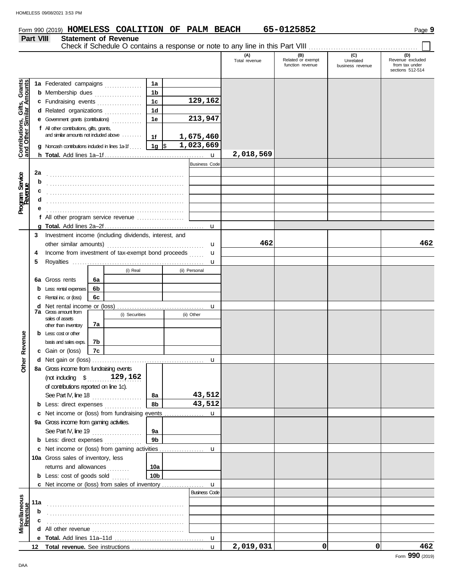## **Form 990 (2019) HOMELESS COALITION OF PALM BEACH 65-0125852** Page 9

### **Part VIII Statement of Revenue**

Check if Schedule O contains a response or note to any line in this Part VIII . . . . . . . . . . . . . . . . . . . . . . . . . . . . . . . . . . . . . . . . . . . .

|                                                                  |             |                                                       |    |                |                 |  |                      | (A)<br>Total revenue | (B)<br>Related or exempt<br>function revenue | (C)<br>Unrelated<br>business revenue | (D)<br>Revenue excluded<br>from tax under<br>sections 512-514 |
|------------------------------------------------------------------|-------------|-------------------------------------------------------|----|----------------|-----------------|--|----------------------|----------------------|----------------------------------------------|--------------------------------------|---------------------------------------------------------------|
|                                                                  |             |                                                       |    |                |                 |  |                      |                      |                                              |                                      |                                                               |
| <b>Contributions, Gifts, Grants</b><br>and Other Similar Amounts |             | 1a Federated campaigns                                |    |                | 1a              |  |                      |                      |                                              |                                      |                                                               |
|                                                                  |             | <b>b</b> Membership dues <i></i>                      |    |                | 1 <sub>b</sub>  |  |                      |                      |                                              |                                      |                                                               |
|                                                                  |             | c Fundraising events                                  |    |                | 1 <sub>c</sub>  |  | 129,162              |                      |                                              |                                      |                                                               |
|                                                                  |             | d Related organizations                               |    |                | 1 <sub>d</sub>  |  |                      |                      |                                              |                                      |                                                               |
|                                                                  |             | e Government grants (contributions)                   |    |                | 1e              |  | 213,947              |                      |                                              |                                      |                                                               |
|                                                                  |             | f All other contributions, gifts, grants,             |    |                |                 |  |                      |                      |                                              |                                      |                                                               |
|                                                                  |             | and similar amounts not induded above                 |    |                | 1f              |  | 1,675,460            |                      |                                              |                                      |                                                               |
|                                                                  |             | $g$ Noncash contributions included in lines 1a-1f     |    |                | 1g $\vert$ \$   |  | 1,023,669            |                      |                                              |                                      |                                                               |
|                                                                  |             |                                                       |    |                |                 |  | u                    | 2,018,569            |                                              |                                      |                                                               |
|                                                                  |             |                                                       |    |                |                 |  | <b>Business Code</b> |                      |                                              |                                      |                                                               |
|                                                                  | 2a          |                                                       |    |                |                 |  |                      |                      |                                              |                                      |                                                               |
|                                                                  | b           |                                                       |    |                |                 |  |                      |                      |                                              |                                      |                                                               |
| Program Service<br>Revenue                                       |             |                                                       |    |                |                 |  |                      |                      |                                              |                                      |                                                               |
|                                                                  |             |                                                       |    |                |                 |  |                      |                      |                                              |                                      |                                                               |
|                                                                  |             |                                                       |    |                |                 |  |                      |                      |                                              |                                      |                                                               |
|                                                                  |             | f All other program service revenue $\ldots$          |    |                |                 |  |                      |                      |                                              |                                      |                                                               |
|                                                                  |             |                                                       |    |                |                 |  | $\mathbf{u}$         |                      |                                              |                                      |                                                               |
|                                                                  | 3           | Investment income (including dividends, interest, and |    |                |                 |  |                      |                      |                                              |                                      |                                                               |
|                                                                  |             |                                                       |    |                |                 |  | u                    | 462                  |                                              |                                      | 462                                                           |
|                                                                  | 4           | Income from investment of tax-exempt bond proceeds    |    |                |                 |  | u                    |                      |                                              |                                      |                                                               |
|                                                                  | 5           |                                                       |    |                |                 |  | u                    |                      |                                              |                                      |                                                               |
|                                                                  |             |                                                       |    | (i) Real       |                 |  | (ii) Personal        |                      |                                              |                                      |                                                               |
|                                                                  | 6а          | Gross rents                                           | 6а |                |                 |  |                      |                      |                                              |                                      |                                                               |
|                                                                  | b           | Less: rental expenses                                 | 6b |                |                 |  |                      |                      |                                              |                                      |                                                               |
|                                                                  | с           | Rental inc. or (loss)                                 | 6с |                |                 |  |                      |                      |                                              |                                      |                                                               |
|                                                                  | d           | Net rental income or (loss)                           |    |                |                 |  | u                    |                      |                                              |                                      |                                                               |
|                                                                  |             | <b>7a</b> Gross amount from                           |    | (i) Securities |                 |  | (ii) Other           |                      |                                              |                                      |                                                               |
|                                                                  |             | sales of assets                                       | 7a |                |                 |  |                      |                      |                                              |                                      |                                                               |
|                                                                  |             | other than inventory                                  |    |                |                 |  |                      |                      |                                              |                                      |                                                               |
|                                                                  |             | $b$ Less: $\cos$ or other                             |    |                |                 |  |                      |                      |                                              |                                      |                                                               |
|                                                                  |             | basis and sales exps.                                 | 7b |                |                 |  |                      |                      |                                              |                                      |                                                               |
|                                                                  |             | <b>c</b> Gain or (loss)                               | 7c |                |                 |  |                      |                      |                                              |                                      |                                                               |
| Other Revenue                                                    |             |                                                       |    |                |                 |  | u                    |                      |                                              |                                      |                                                               |
|                                                                  |             | 8a Gross income from fundraising events               |    |                |                 |  |                      |                      |                                              |                                      |                                                               |
|                                                                  |             | (not including $\quad$                                |    | 129,162        |                 |  |                      |                      |                                              |                                      |                                                               |
|                                                                  |             | of contributions reported on line 1c).                |    |                |                 |  |                      |                      |                                              |                                      |                                                               |
|                                                                  |             | See Part IV, line 18                                  |    |                | 8а              |  | 43,512               |                      |                                              |                                      |                                                               |
|                                                                  |             | <b>b</b> Less: direct expenses                        |    |                | 8b              |  | 43,512               |                      |                                              |                                      |                                                               |
|                                                                  |             | c Net income or (loss) from fundraising events        |    |                |                 |  | $\mathbf{u}$         |                      |                                              |                                      |                                                               |
|                                                                  |             | 9a Gross income from gaming activities.               |    |                |                 |  |                      |                      |                                              |                                      |                                                               |
|                                                                  |             | See Part IV, line 19                                  |    |                | 9а              |  |                      |                      |                                              |                                      |                                                               |
|                                                                  |             | <b>b</b> Less: direct expenses                        |    |                | 9 <sub>b</sub>  |  |                      |                      |                                              |                                      |                                                               |
|                                                                  |             |                                                       |    |                |                 |  | $\mathbf{u}$         |                      |                                              |                                      |                                                               |
|                                                                  |             | 10a Gross sales of inventory, less                    |    |                |                 |  |                      |                      |                                              |                                      |                                                               |
|                                                                  |             | returns and allowances                                |    | .              | 10a             |  |                      |                      |                                              |                                      |                                                               |
|                                                                  |             | <b>b</b> Less: cost of goods sold                     |    |                | 10 <sub>b</sub> |  |                      |                      |                                              |                                      |                                                               |
|                                                                  |             | <b>c</b> Net income or (loss) from sales of inventory |    |                |                 |  | $\mathbf{u}$         |                      |                                              |                                      |                                                               |
|                                                                  |             |                                                       |    |                |                 |  | <b>Business Code</b> |                      |                                              |                                      |                                                               |
|                                                                  | 11a         |                                                       |    |                |                 |  |                      |                      |                                              |                                      |                                                               |
| Miscellaneous<br>Revenue                                         | $\mathbf b$ |                                                       |    |                |                 |  |                      |                      |                                              |                                      |                                                               |
|                                                                  |             |                                                       |    |                |                 |  |                      |                      |                                              |                                      |                                                               |
|                                                                  |             |                                                       |    |                |                 |  |                      |                      |                                              |                                      |                                                               |
|                                                                  | е           |                                                       |    |                |                 |  | $\mathbf{u}$         |                      |                                              |                                      |                                                               |
|                                                                  | 12          |                                                       |    |                |                 |  | $\mathbf{u}$         | 2,019,031            | 0                                            | 0                                    | 462                                                           |
|                                                                  |             |                                                       |    |                |                 |  |                      |                      |                                              |                                      | $000 \, \mathrm{m}$                                           |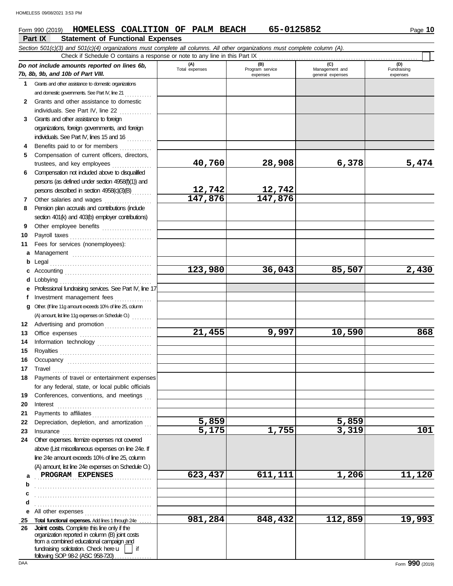#### **Part IX Statement of Functional Expenses Form 990 (2019) HOMELESS COALITION OF PALM BEACH 65-0125852** Page 10 *Section 501(c)(3) and 501(c)(4) organizations must complete all columns. All other organizations must complete column (A). Do not include amounts reported on lines 6b,* **(A) (B) (C) (D)** Total expenses Program service Management and Fundraising Check if Schedule O contains a response or note to any line in this Part IX

|    | Do not include amounts reported on lines 6b,                                                                                                                                                                                        | (A)<br>Total expenses | (B)<br>Program service | (C)<br>Management and | (D)<br>Fundraising |
|----|-------------------------------------------------------------------------------------------------------------------------------------------------------------------------------------------------------------------------------------|-----------------------|------------------------|-----------------------|--------------------|
|    | 7b, 8b, 9b, and 10b of Part VIII.                                                                                                                                                                                                   |                       | expenses               | general expenses      | expenses           |
| 1. | Grants and other assistance to domestic organizations                                                                                                                                                                               |                       |                        |                       |                    |
|    | and domestic governments. See Part IV, line 21                                                                                                                                                                                      |                       |                        |                       |                    |
| 2  | Grants and other assistance to domestic                                                                                                                                                                                             |                       |                        |                       |                    |
|    | individuals. See Part IV, line 22                                                                                                                                                                                                   |                       |                        |                       |                    |
| 3  | Grants and other assistance to foreign                                                                                                                                                                                              |                       |                        |                       |                    |
|    | organizations, foreign governments, and foreign                                                                                                                                                                                     |                       |                        |                       |                    |
|    | individuals. See Part IV, lines 15 and 16                                                                                                                                                                                           |                       |                        |                       |                    |
| 4  | Benefits paid to or for members<br>Compensation of current officers, directors,                                                                                                                                                     |                       |                        |                       |                    |
| 5  | trustees, and key employees                                                                                                                                                                                                         | 40,760                | 28,908                 | 6,378                 | 5,474              |
| 6  | Compensation not included above to disqualified                                                                                                                                                                                     |                       |                        |                       |                    |
|    | persons (as defined under section 4958(f)(1)) and                                                                                                                                                                                   |                       |                        |                       |                    |
|    | persons described in section 4958(c)(3)(B)                                                                                                                                                                                          | <u>12,742</u>         | 12,742                 |                       |                    |
| 7  | Other salaries and wages                                                                                                                                                                                                            | 147,876               | 147,876                |                       |                    |
| 8  | Pension plan accruals and contributions (include                                                                                                                                                                                    |                       |                        |                       |                    |
|    | section 401(k) and 403(b) employer contributions)                                                                                                                                                                                   |                       |                        |                       |                    |
| 9  | Other employee benefits                                                                                                                                                                                                             |                       |                        |                       |                    |
| 10 | Payroll taxes                                                                                                                                                                                                                       |                       |                        |                       |                    |
| 11 | Fees for services (nonemployees):                                                                                                                                                                                                   |                       |                        |                       |                    |
| a  |                                                                                                                                                                                                                                     |                       |                        |                       |                    |
| b  | Management<br>Legal                                                                                                                                                                                                                 |                       |                        |                       |                    |
| c  |                                                                                                                                                                                                                                     | 123,980               | 36,043                 | 85,507                | 2,430              |
| d  | Lobbying                                                                                                                                                                                                                            |                       |                        |                       |                    |
| е  | Professional fundraising services. See Part IV, line 17                                                                                                                                                                             |                       |                        |                       |                    |
| f  | Investment management fees                                                                                                                                                                                                          |                       |                        |                       |                    |
| a  | Other. (If line 11g amount exceeds 10% of line 25, column                                                                                                                                                                           |                       |                        |                       |                    |
|    | (A) amount, list line 11g expenses on Schedule O.) [1] [1]                                                                                                                                                                          |                       |                        |                       |                    |
| 12 | Advertising and promotion [11] [11] Advertising and promotion                                                                                                                                                                       |                       |                        |                       |                    |
| 13 | Office expenses                                                                                                                                                                                                                     | 21,455                | 9,997                  | 10,590                | 868                |
| 14 | Information technology                                                                                                                                                                                                              |                       |                        |                       |                    |
| 15 |                                                                                                                                                                                                                                     |                       |                        |                       |                    |
| 16 |                                                                                                                                                                                                                                     |                       |                        |                       |                    |
| 17 | Travel                                                                                                                                                                                                                              |                       |                        |                       |                    |
| 18 | Payments of travel or entertainment expenses                                                                                                                                                                                        |                       |                        |                       |                    |
|    | for any federal, state, or local public officials                                                                                                                                                                                   |                       |                        |                       |                    |
|    | 19 Conferences, conventions, and meetings                                                                                                                                                                                           |                       |                        |                       |                    |
| 20 | Interest                                                                                                                                                                                                                            |                       |                        |                       |                    |
| 21 | Payments to affiliates                                                                                                                                                                                                              |                       |                        |                       |                    |
| 22 | Depreciation, depletion, and amortization                                                                                                                                                                                           | 5,859                 |                        | 5,859                 |                    |
| 23 | Insurance <b>continuous</b> contains a series of the series of the series of the series of the series of the series of the series of the series of the series of the series of the series of the series of the series of the series | 5,175                 | 1,755                  | 3,319                 | 101                |
| 24 | Other expenses. Itemize expenses not covered                                                                                                                                                                                        |                       |                        |                       |                    |
|    | above (List miscellaneous expenses on line 24e. If                                                                                                                                                                                  |                       |                        |                       |                    |
|    | line 24e amount exceeds 10% of line 25, column                                                                                                                                                                                      |                       |                        |                       |                    |
|    | (A) amount, list line 24e expenses on Schedule O.)                                                                                                                                                                                  |                       |                        |                       |                    |
| a  | PROGRAM EXPENSES                                                                                                                                                                                                                    | 623,437               | 611,111                | 1,206                 | 11,120             |
| b  |                                                                                                                                                                                                                                     |                       |                        |                       |                    |
| c  |                                                                                                                                                                                                                                     |                       |                        |                       |                    |
| d  |                                                                                                                                                                                                                                     |                       |                        |                       |                    |
| е  | All other expenses                                                                                                                                                                                                                  |                       |                        |                       |                    |
| 25 | Total functional expenses. Add lines 1 through 24e                                                                                                                                                                                  | 981,284               | 848,432                | 112,859               | 19,993             |
| 26 | <b>Joint costs.</b> Complete this line only if the<br>organization reported in column (B) joint costs                                                                                                                               |                       |                        |                       |                    |
|    | from a combined educational campaign and                                                                                                                                                                                            |                       |                        |                       |                    |
|    | fundraising solicitation. Check here $\overline{u}$  <br>if                                                                                                                                                                         |                       |                        |                       |                    |
|    | following SOP 98-2 (ASC 958-720)                                                                                                                                                                                                    |                       |                        |                       |                    |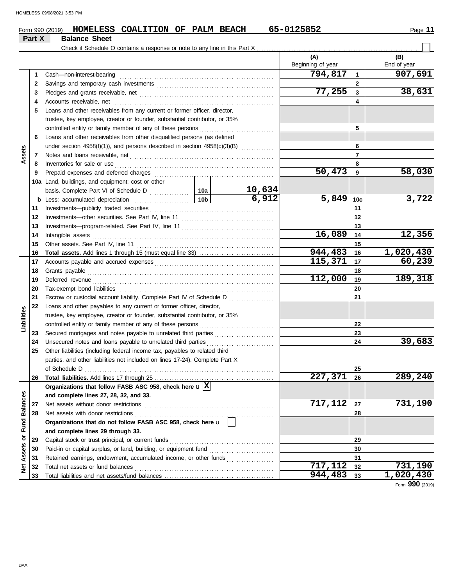|                      |        | Form 990 (2019)                                                                                                                                                                                                                | HOMELESS COALITION OF PALM BEACH  |   |                 |                |    | 65-0125852               |                         | Page 11                           |
|----------------------|--------|--------------------------------------------------------------------------------------------------------------------------------------------------------------------------------------------------------------------------------|-----------------------------------|---|-----------------|----------------|----|--------------------------|-------------------------|-----------------------------------|
|                      | Part X | <b>Balance Sheet</b>                                                                                                                                                                                                           |                                   |   |                 |                |    |                          |                         |                                   |
|                      |        |                                                                                                                                                                                                                                |                                   |   |                 |                |    |                          |                         |                                   |
|                      |        |                                                                                                                                                                                                                                |                                   |   |                 |                |    | (A)<br>Beginning of year |                         | (B)<br>End of year                |
|                      | 1      | Cash-non-interest-bearing                                                                                                                                                                                                      |                                   |   |                 |                |    | 794,817                  | $\overline{1}$          | 907,691                           |
|                      | 2      |                                                                                                                                                                                                                                |                                   |   |                 |                |    |                          | $\mathbf{2}$            |                                   |
|                      | 3      |                                                                                                                                                                                                                                |                                   |   |                 |                |    | 77,255                   | $\overline{\mathbf{3}}$ | 38,631                            |
|                      | 4      |                                                                                                                                                                                                                                |                                   |   |                 |                |    |                          | 4                       |                                   |
|                      | 5      | Loans and other receivables from any current or former officer, director,                                                                                                                                                      |                                   |   |                 |                |    |                          |                         |                                   |
|                      |        | trustee, key employee, creator or founder, substantial contributor, or 35%                                                                                                                                                     |                                   |   |                 |                |    |                          |                         |                                   |
|                      |        |                                                                                                                                                                                                                                |                                   |   |                 |                |    |                          | 5                       |                                   |
|                      | 6      | Loans and other receivables from other disqualified persons (as defined                                                                                                                                                        |                                   |   |                 |                |    |                          |                         |                                   |
|                      |        | under section 4958(f)(1)), and persons described in section 4958(c)(3)(B)                                                                                                                                                      |                                   | 6 |                 |                |    |                          |                         |                                   |
| Assets               | 7      |                                                                                                                                                                                                                                |                                   |   |                 | $\overline{7}$ |    |                          |                         |                                   |
|                      | 8      | Inventories for sale or use                                                                                                                                                                                                    |                                   |   |                 |                |    |                          | 8                       |                                   |
|                      | 9      | Prepaid expenses and deferred charges                                                                                                                                                                                          |                                   |   |                 |                |    | 50,473                   | 9                       | 58,030                            |
|                      |        | 10a Land, buildings, and equipment: cost or other                                                                                                                                                                              |                                   |   |                 |                |    |                          |                         |                                   |
|                      |        |                                                                                                                                                                                                                                |                                   |   |                 | <u> 10,634</u> |    |                          |                         |                                   |
|                      |        | <b>b</b> Less: accumulated depreciation                                                                                                                                                                                        |                                   |   | 10 <sub>b</sub> | 6,912          |    | 5,849                    | 10c                     | 3,722                             |
|                      | 11     |                                                                                                                                                                                                                                |                                   |   |                 |                |    |                          | 11                      |                                   |
|                      | 12     |                                                                                                                                                                                                                                |                                   |   |                 |                |    |                          | 12                      |                                   |
|                      | 13     |                                                                                                                                                                                                                                |                                   |   |                 |                |    | 13                       |                         |                                   |
|                      | 14     | Intangible assets                                                                                                                                                                                                              |                                   |   |                 |                |    | 16,089                   | 14                      | 12,356                            |
|                      | 15     |                                                                                                                                                                                                                                |                                   |   |                 |                |    |                          | 15                      |                                   |
|                      | 16     |                                                                                                                                                                                                                                |                                   |   |                 |                |    | 944,483                  | 16                      | 1,020,430                         |
|                      | 17     |                                                                                                                                                                                                                                |                                   |   |                 |                |    | 115,371                  | 17                      | 60,239                            |
|                      | 18     | Grants payable                                                                                                                                                                                                                 |                                   |   |                 |                | 18 |                          |                         |                                   |
|                      | 19     | Deferred revenue contains and all the container and all the container and all the container and all the containing of the containing of the containing of the containing of the containing of the containing of the containing |                                   |   |                 |                |    | 112,000                  | 19                      | 189,318                           |
|                      | 20     |                                                                                                                                                                                                                                |                                   |   |                 |                |    |                          | 20                      |                                   |
|                      | 21     | Escrow or custodial account liability. Complete Part IV of Schedule D                                                                                                                                                          |                                   |   |                 |                |    |                          | 21                      |                                   |
|                      | 22     | Loans and other payables to any current or former officer, director,                                                                                                                                                           |                                   |   |                 |                |    |                          |                         |                                   |
|                      |        | trustee, key employee, creator or founder, substantial contributor, or 35%                                                                                                                                                     |                                   |   |                 |                |    |                          |                         |                                   |
| Liabilities          |        | controlled entity or family member of any of these persons                                                                                                                                                                     |                                   |   |                 |                |    |                          | 22                      |                                   |
|                      | 23     |                                                                                                                                                                                                                                |                                   |   |                 |                |    |                          | 23                      |                                   |
|                      | 24     | Unsecured notes and loans payable to unrelated third parties                                                                                                                                                                   |                                   |   |                 |                |    |                          | 24                      | 39,683                            |
|                      | 25     | Other liabilities (including federal income tax, payables to related third                                                                                                                                                     |                                   |   |                 |                |    |                          |                         |                                   |
|                      |        | parties, and other liabilities not included on lines 17-24). Complete Part X                                                                                                                                                   |                                   |   |                 |                |    |                          |                         |                                   |
|                      |        | of Schedule D                                                                                                                                                                                                                  |                                   |   |                 |                |    |                          | 25                      |                                   |
|                      | 26     |                                                                                                                                                                                                                                |                                   |   |                 |                |    | 227,371                  | 26                      | 289,240                           |
|                      |        | Organizations that follow FASB ASC 958, check here $\mathbf{u}[\overline{\mathbf{X}}]$                                                                                                                                         |                                   |   |                 |                |    |                          |                         |                                   |
|                      |        | and complete lines 27, 28, 32, and 33.                                                                                                                                                                                         |                                   |   |                 |                |    |                          |                         |                                   |
|                      | 27     | Net assets without donor restrictions                                                                                                                                                                                          |                                   |   |                 |                |    | 717,112                  | 27                      | 731,190                           |
|                      | 28     | Net assets with donor restrictions                                                                                                                                                                                             |                                   |   |                 |                |    |                          | 28                      |                                   |
| <b>Fund Balances</b> |        | Organizations that do not follow FASB ASC 958, check here u                                                                                                                                                                    |                                   |   |                 |                |    |                          |                         |                                   |
|                      |        |                                                                                                                                                                                                                                | and complete lines 29 through 33. |   |                 |                |    |                          |                         |                                   |
|                      | 29     | Capital stock or trust principal, or current funds                                                                                                                                                                             |                                   |   |                 |                |    |                          | 29                      |                                   |
| Assets or            | 30     |                                                                                                                                                                                                                                |                                   |   |                 |                |    |                          | 30                      |                                   |
|                      | 31     | Retained earnings, endowment, accumulated income, or other funds                                                                                                                                                               |                                   |   |                 |                |    |                          | 31                      |                                   |
| <b>Net</b>           | 32     | Total net assets or fund balances                                                                                                                                                                                              |                                   |   |                 |                |    | 717,112                  | 32                      | 731,190<br>$\overline{1,020,430}$ |
|                      | 33     |                                                                                                                                                                                                                                |                                   |   |                 |                |    | 944,483                  | 33                      |                                   |

Form **990** (2019)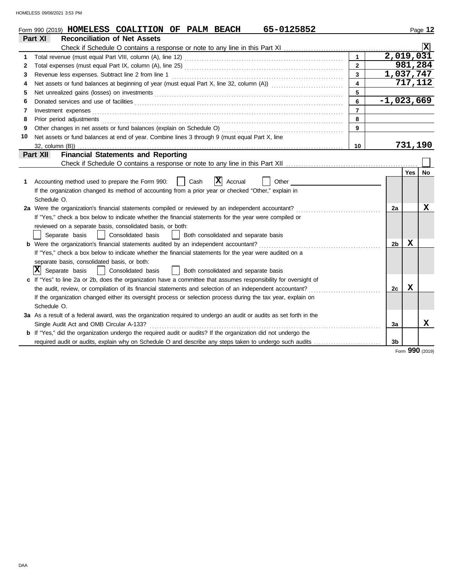|          | 65-0125852<br>Form 990 (2019) HOMELESS COALITION OF PALM BEACH                                                                                                                                                                 |                         |                |           | Page 12      |
|----------|--------------------------------------------------------------------------------------------------------------------------------------------------------------------------------------------------------------------------------|-------------------------|----------------|-----------|--------------|
| Part XI  | <b>Reconciliation of Net Assets</b>                                                                                                                                                                                            |                         |                |           |              |
|          |                                                                                                                                                                                                                                |                         |                |           | IX           |
| 1        |                                                                                                                                                                                                                                | $\mathbf{1}$            |                | 2,019,031 |              |
| 2        |                                                                                                                                                                                                                                | $\overline{2}$          |                |           | 981,284      |
| 3        | Revenue less expenses. Subtract line 2 from line 1                                                                                                                                                                             | $\overline{3}$          | 1,037,747      |           |              |
| 4        |                                                                                                                                                                                                                                | $\overline{\mathbf{4}}$ |                |           | 717,112      |
| 5        | Net unrealized gains (losses) on investments [11] match and the contract of the state of the state of the state of the state of the state of the state of the state of the state of the state of the state of the state of the | 5                       |                |           |              |
| 6        |                                                                                                                                                                                                                                | 6                       |                |           | $-1,023,669$ |
| 7        |                                                                                                                                                                                                                                | $\overline{7}$          |                |           |              |
| 8        | Prior period adjustments [11] production and the contract of the contract of the contract of the contract of the contract of the contract of the contract of the contract of the contract of the contract of the contract of t | 8                       |                |           |              |
| 9        |                                                                                                                                                                                                                                | 9                       |                |           |              |
| 10       | Net assets or fund balances at end of year. Combine lines 3 through 9 (must equal Part X, line                                                                                                                                 |                         |                |           |              |
|          |                                                                                                                                                                                                                                | 10                      |                | 731,190   |              |
| Part XII | <b>Financial Statements and Reporting</b>                                                                                                                                                                                      |                         |                |           |              |
|          |                                                                                                                                                                                                                                |                         |                |           |              |
|          |                                                                                                                                                                                                                                |                         |                | Yes       | No           |
| 1.       | $ {\bf x} $<br>Accounting method used to prepare the Form 990:<br>Cash<br>Accrual<br>Other                                                                                                                                     |                         |                |           |              |
|          | If the organization changed its method of accounting from a prior year or checked "Other," explain in                                                                                                                          |                         |                |           |              |
|          | Schedule O.                                                                                                                                                                                                                    |                         |                |           |              |
|          | 2a Were the organization's financial statements compiled or reviewed by an independent accountant?                                                                                                                             |                         | 2a             |           | х            |
|          | If "Yes," check a box below to indicate whether the financial statements for the year were compiled or                                                                                                                         |                         |                |           |              |
|          | reviewed on a separate basis, consolidated basis, or both:                                                                                                                                                                     |                         |                |           |              |
|          | Separate basis<br>Consolidated basis<br>Both consolidated and separate basis<br>$\mathbf{1}$                                                                                                                                   |                         |                |           |              |
|          | <b>b</b> Were the organization's financial statements audited by an independent accountant?                                                                                                                                    |                         | 2 <sub>b</sub> | X         |              |
|          | If "Yes," check a box below to indicate whether the financial statements for the year were audited on a                                                                                                                        |                         |                |           |              |
|          | separate basis, consolidated basis, or both:                                                                                                                                                                                   |                         |                |           |              |
|          | IXI<br>Separate basis<br>Consolidated basis<br>  Both consolidated and separate basis                                                                                                                                          |                         |                |           |              |
|          | If "Yes" to line 2a or 2b, does the organization have a committee that assumes responsibility for oversight of                                                                                                                 |                         |                |           |              |
|          | the audit, review, or compilation of its financial statements and selection of an independent accountant?                                                                                                                      |                         | 2c             | X         |              |
|          | If the organization changed either its oversight process or selection process during the tax year, explain on                                                                                                                  |                         |                |           |              |
|          | Schedule O.                                                                                                                                                                                                                    |                         |                |           |              |
|          | 3a As a result of a federal award, was the organization required to undergo an audit or audits as set forth in the                                                                                                             |                         |                |           |              |
|          | Single Audit Act and OMB Circular A-133?                                                                                                                                                                                       |                         | За             |           | х            |
|          | <b>b</b> If "Yes," did the organization undergo the required audit or audits? If the organization did not undergo the                                                                                                          |                         |                |           |              |
|          | required audit or audits, explain why on Schedule O and describe any steps taken to undergo such audits                                                                                                                        |                         | 3 <sub>b</sub> |           |              |

Form **990** (2019)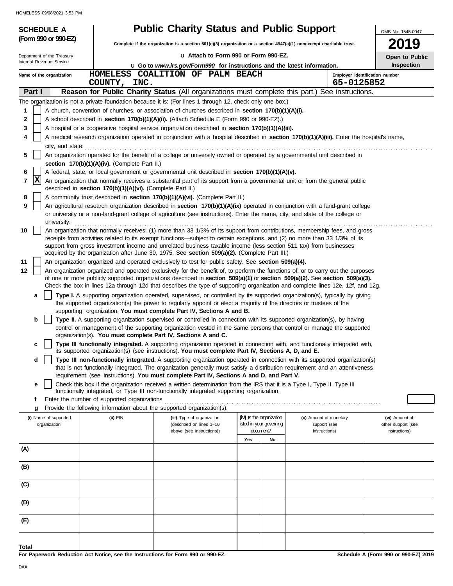|       | <b>SCHEDULE A</b>                                                                                                                                                                                                                                |                                                            |      | <b>Public Charity Status and Public Support</b>                                                                                                                                                       |     |                                                      |                                                                                                                                                                                                                                                                 | OMB No. 1545-0047                    |  |
|-------|--------------------------------------------------------------------------------------------------------------------------------------------------------------------------------------------------------------------------------------------------|------------------------------------------------------------|------|-------------------------------------------------------------------------------------------------------------------------------------------------------------------------------------------------------|-----|------------------------------------------------------|-----------------------------------------------------------------------------------------------------------------------------------------------------------------------------------------------------------------------------------------------------------------|--------------------------------------|--|
|       | (Form 990 or 990-EZ)                                                                                                                                                                                                                             |                                                            |      |                                                                                                                                                                                                       |     |                                                      | Complete if the organization is a section $501(c)(3)$ organization or a section $4947(a)(1)$ nonexempt charitable trust.                                                                                                                                        | 2019                                 |  |
|       | Department of the Treasury                                                                                                                                                                                                                       |                                                            |      | La Attach to Form 990 or Form 990-EZ.                                                                                                                                                                 |     |                                                      |                                                                                                                                                                                                                                                                 | Open to Public                       |  |
|       | Internal Revenue Service                                                                                                                                                                                                                         |                                                            |      | <b>Let Go to <i>www.irs.gov/Form990</i> for instructions and the latest information.</b>                                                                                                              |     |                                                      |                                                                                                                                                                                                                                                                 | <b>Inspection</b>                    |  |
|       | Name of the organization                                                                                                                                                                                                                         | COUNTY,                                                    | INC. | HOMELESS COALITION OF PALM BEACH                                                                                                                                                                      |     |                                                      | 65-0125852                                                                                                                                                                                                                                                      | Employer identification number       |  |
|       | Part I                                                                                                                                                                                                                                           |                                                            |      | Reason for Public Charity Status (All organizations must complete this part.)                                                                                                                         |     |                                                      | See instructions.                                                                                                                                                                                                                                               |                                      |  |
|       |                                                                                                                                                                                                                                                  |                                                            |      | The organization is not a private foundation because it is: (For lines 1 through 12, check only one box.)                                                                                             |     |                                                      |                                                                                                                                                                                                                                                                 |                                      |  |
| 1     |                                                                                                                                                                                                                                                  |                                                            |      | A church, convention of churches, or association of churches described in section 170(b)(1)(A)(i).                                                                                                    |     |                                                      |                                                                                                                                                                                                                                                                 |                                      |  |
| 2     |                                                                                                                                                                                                                                                  |                                                            |      | A school described in section 170(b)(1)(A)(ii). (Attach Schedule E (Form 990 or 990-EZ).)                                                                                                             |     |                                                      |                                                                                                                                                                                                                                                                 |                                      |  |
| 3     |                                                                                                                                                                                                                                                  |                                                            |      | A hospital or a cooperative hospital service organization described in section 170(b)(1)(A)(iii).                                                                                                     |     |                                                      |                                                                                                                                                                                                                                                                 |                                      |  |
| 4     | city, and state:                                                                                                                                                                                                                                 |                                                            |      |                                                                                                                                                                                                       |     |                                                      | A medical research organization operated in conjunction with a hospital described in section 170(b)(1)(A)(iii). Enter the hospital's name,                                                                                                                      |                                      |  |
| 5     | An organization operated for the benefit of a college or university owned or operated by a governmental unit described in                                                                                                                        |                                                            |      |                                                                                                                                                                                                       |     |                                                      |                                                                                                                                                                                                                                                                 |                                      |  |
|       |                                                                                                                                                                                                                                                  | section 170(b)(1)(A)(iv). (Complete Part II.)              |      |                                                                                                                                                                                                       |     |                                                      |                                                                                                                                                                                                                                                                 |                                      |  |
| 6     |                                                                                                                                                                                                                                                  |                                                            |      | A federal, state, or local government or governmental unit described in section 170(b)(1)(A)(v).                                                                                                      |     |                                                      |                                                                                                                                                                                                                                                                 |                                      |  |
| 7     | x                                                                                                                                                                                                                                                | described in section 170(b)(1)(A)(vi). (Complete Part II.) |      |                                                                                                                                                                                                       |     |                                                      | An organization that normally receives a substantial part of its support from a governmental unit or from the general public                                                                                                                                    |                                      |  |
| 8     |                                                                                                                                                                                                                                                  |                                                            |      | A community trust described in section 170(b)(1)(A)(vi). (Complete Part II.)                                                                                                                          |     |                                                      |                                                                                                                                                                                                                                                                 |                                      |  |
| 9     | university:                                                                                                                                                                                                                                      |                                                            |      |                                                                                                                                                                                                       |     |                                                      | An agricultural research organization described in section 170(b)(1)(A)(ix) operated in conjunction with a land-grant college<br>or university or a non-land-grant college of agriculture (see instructions). Enter the name, city, and state of the college or |                                      |  |
| 10    |                                                                                                                                                                                                                                                  |                                                            |      |                                                                                                                                                                                                       |     |                                                      | An organization that normally receives: (1) more than 33 1/3% of its support from contributions, membership fees, and gross                                                                                                                                     |                                      |  |
|       | receipts from activities related to its exempt functions—subject to certain exceptions, and (2) no more than 33 1/3% of its<br>support from gross investment income and unrelated business taxable income (less section 511 tax) from businesses |                                                            |      |                                                                                                                                                                                                       |     |                                                      |                                                                                                                                                                                                                                                                 |                                      |  |
| 11    |                                                                                                                                                                                                                                                  |                                                            |      | acquired by the organization after June 30, 1975. See section 509(a)(2). (Complete Part III.)<br>An organization organized and operated exclusively to test for public safety. See section 509(a)(4). |     |                                                      |                                                                                                                                                                                                                                                                 |                                      |  |
| 12    |                                                                                                                                                                                                                                                  |                                                            |      |                                                                                                                                                                                                       |     |                                                      | An organization organized and operated exclusively for the benefit of, to perform the functions of, or to carry out the purposes                                                                                                                                |                                      |  |
|       |                                                                                                                                                                                                                                                  |                                                            |      |                                                                                                                                                                                                       |     |                                                      | of one or more publicly supported organizations described in section 509(a)(1) or section 509(a)(2). See section 509(a)(3).                                                                                                                                     |                                      |  |
|       |                                                                                                                                                                                                                                                  |                                                            |      |                                                                                                                                                                                                       |     |                                                      | Check the box in lines 12a through 12d that describes the type of supporting organization and complete lines 12e, 12f, and 12g.                                                                                                                                 |                                      |  |
|       | a                                                                                                                                                                                                                                                |                                                            |      | the supported organization(s) the power to regularly appoint or elect a majority of the directors or trustees of the                                                                                  |     |                                                      | Type I. A supporting organization operated, supervised, or controlled by its supported organization(s), typically by giving                                                                                                                                     |                                      |  |
|       | b                                                                                                                                                                                                                                                |                                                            |      | supporting organization. You must complete Part IV, Sections A and B.                                                                                                                                 |     |                                                      | Type II. A supporting organization supervised or controlled in connection with its supported organization(s), by having                                                                                                                                         |                                      |  |
|       |                                                                                                                                                                                                                                                  |                                                            |      | organization(s). You must complete Part IV, Sections A and C.                                                                                                                                         |     |                                                      | control or management of the supporting organization vested in the same persons that control or manage the supported                                                                                                                                            |                                      |  |
|       | c                                                                                                                                                                                                                                                |                                                            |      |                                                                                                                                                                                                       |     |                                                      | Type III functionally integrated. A supporting organization operated in connection with, and functionally integrated with,                                                                                                                                      |                                      |  |
|       | d                                                                                                                                                                                                                                                |                                                            |      | its supported organization(s) (see instructions). You must complete Part IV, Sections A, D, and E.                                                                                                    |     |                                                      | Type III non-functionally integrated. A supporting organization operated in connection with its supported organization(s)                                                                                                                                       |                                      |  |
|       |                                                                                                                                                                                                                                                  |                                                            |      |                                                                                                                                                                                                       |     |                                                      | that is not functionally integrated. The organization generally must satisfy a distribution requirement and an attentiveness                                                                                                                                    |                                      |  |
|       |                                                                                                                                                                                                                                                  |                                                            |      | requirement (see instructions). You must complete Part IV, Sections A and D, and Part V.                                                                                                              |     |                                                      |                                                                                                                                                                                                                                                                 |                                      |  |
|       | е                                                                                                                                                                                                                                                |                                                            |      | functionally integrated, or Type III non-functionally integrated supporting organization.                                                                                                             |     |                                                      | Check this box if the organization received a written determination from the IRS that it is a Type I, Type II, Type III                                                                                                                                         |                                      |  |
|       | f                                                                                                                                                                                                                                                | Enter the number of supported organizations                |      |                                                                                                                                                                                                       |     |                                                      |                                                                                                                                                                                                                                                                 |                                      |  |
|       | g                                                                                                                                                                                                                                                |                                                            |      | Provide the following information about the supported organization(s).                                                                                                                                |     |                                                      |                                                                                                                                                                                                                                                                 |                                      |  |
|       | (i) Name of supported<br>organization                                                                                                                                                                                                            | (ii) EIN                                                   |      | (iii) Type of organization<br>(described on lines 1-10                                                                                                                                                |     | (iv) Is the organization<br>listed in your governing | (v) Amount of monetary<br>support (see                                                                                                                                                                                                                          | (vi) Amount of<br>other support (see |  |
|       |                                                                                                                                                                                                                                                  |                                                            |      | above (see instructions))                                                                                                                                                                             |     | document?                                            | instructions)                                                                                                                                                                                                                                                   | instructions)                        |  |
|       |                                                                                                                                                                                                                                                  |                                                            |      |                                                                                                                                                                                                       | Yes | No                                                   |                                                                                                                                                                                                                                                                 |                                      |  |
| (A)   |                                                                                                                                                                                                                                                  |                                                            |      |                                                                                                                                                                                                       |     |                                                      |                                                                                                                                                                                                                                                                 |                                      |  |
| (B)   |                                                                                                                                                                                                                                                  |                                                            |      |                                                                                                                                                                                                       |     |                                                      |                                                                                                                                                                                                                                                                 |                                      |  |
| (C)   |                                                                                                                                                                                                                                                  |                                                            |      |                                                                                                                                                                                                       |     |                                                      |                                                                                                                                                                                                                                                                 |                                      |  |
| (D)   |                                                                                                                                                                                                                                                  |                                                            |      |                                                                                                                                                                                                       |     |                                                      |                                                                                                                                                                                                                                                                 |                                      |  |
|       | (E)                                                                                                                                                                                                                                              |                                                            |      |                                                                                                                                                                                                       |     |                                                      |                                                                                                                                                                                                                                                                 |                                      |  |
| Total |                                                                                                                                                                                                                                                  |                                                            |      |                                                                                                                                                                                                       |     |                                                      |                                                                                                                                                                                                                                                                 |                                      |  |

**For Paperwork Reduction Act Notice, see the Instructions for Form 990 or 990-EZ.**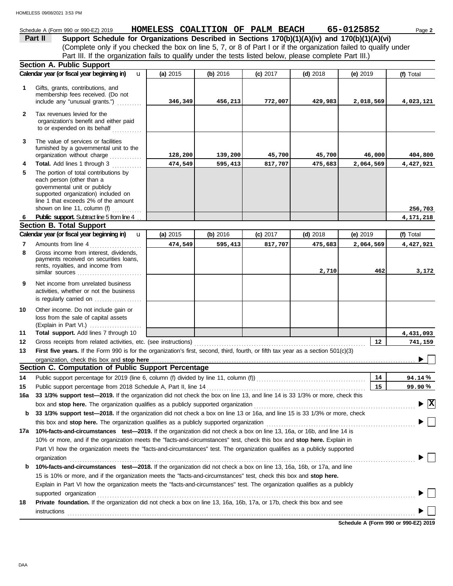# Schedule A (Form 990 or 990-EZ) 2019 **HOMELESS COALITION OF PALM BEACH** 65-0125852 Page 2 **Part II** Support Schedule for Organizations Described in Sections 170(b)(1)(A)(iv) and 170(b)(1)(A)(vi)

(Complete only if you checked the box on line 5, 7, or 8 of Part I or if the organization failed to qualify under Part III. If the organization fails to qualify under the tests listed below, please complete Part III.)

|              | <b>Section A. Public Support</b>                                                                                                                                                                                                             |          |          |            |            |            |                                             |  |  |  |  |  |
|--------------|----------------------------------------------------------------------------------------------------------------------------------------------------------------------------------------------------------------------------------------------|----------|----------|------------|------------|------------|---------------------------------------------|--|--|--|--|--|
|              | Calendar year (or fiscal year beginning in)<br>u                                                                                                                                                                                             | (a) 2015 | (b) 2016 | $(c)$ 2017 | $(d)$ 2018 | (e) 2019   | (f) Total                                   |  |  |  |  |  |
| $\mathbf 1$  | Gifts, grants, contributions, and<br>membership fees received. (Do not<br>include any "unusual grants.")                                                                                                                                     | 346,349  | 456,213  | 772,007    | 429,983    | 2,018,569  | 4,023,121                                   |  |  |  |  |  |
| $\mathbf{2}$ | Tax revenues levied for the<br>organization's benefit and either paid<br>to or expended on its behalf                                                                                                                                        |          |          |            |            |            |                                             |  |  |  |  |  |
| 3            | The value of services or facilities<br>furnished by a governmental unit to the<br>organization without charge                                                                                                                                | 128,200  | 139,200  | 45,700     | 45,700     | 46,000     | 404,800                                     |  |  |  |  |  |
| 4            | Total. Add lines 1 through 3                                                                                                                                                                                                                 | 474,549  | 595,413  | 817,707    | 475,683    | 2,064,569  | 4,427,921                                   |  |  |  |  |  |
| 5            | The portion of total contributions by<br>each person (other than a<br>governmental unit or publicly<br>supported organization) included on<br>line 1 that exceeds 2% of the amount<br>shown on line 11, column (f)                           |          |          |            |            |            | 256,703                                     |  |  |  |  |  |
| 6            | <b>Public support.</b> Subtract line 5 from line 4.                                                                                                                                                                                          |          |          |            |            |            | 4,171,218                                   |  |  |  |  |  |
|              | <b>Section B. Total Support</b>                                                                                                                                                                                                              |          |          |            |            |            |                                             |  |  |  |  |  |
|              | Calendar year (or fiscal year beginning in)<br>$\mathbf{u}$                                                                                                                                                                                  | (a) 2015 | (b) 2016 | $(c)$ 2017 | $(d)$ 2018 | (e) $2019$ | (f) Total                                   |  |  |  |  |  |
| 7            | Amounts from line 4                                                                                                                                                                                                                          | 474,549  | 595,413  | 817,707    | 475,683    | 2,064,569  | 4,427,921                                   |  |  |  |  |  |
| 8            | Gross income from interest, dividends,<br>payments received on securities loans,<br>rents, royalties, and income from<br>similar sources                                                                                                     |          |          |            | 2,710      | 462        | 3,172                                       |  |  |  |  |  |
| 9            | Net income from unrelated business<br>activities, whether or not the business<br>is regularly carried on                                                                                                                                     |          |          |            |            |            |                                             |  |  |  |  |  |
| 10           | Other income. Do not include gain or<br>loss from the sale of capital assets                                                                                                                                                                 |          |          |            |            |            |                                             |  |  |  |  |  |
| 11           | Total support. Add lines 7 through 10                                                                                                                                                                                                        |          |          |            |            |            | 4,431,093                                   |  |  |  |  |  |
| 12           | Gross receipts from related activities, etc. (see instructions)                                                                                                                                                                              |          |          |            |            | 12         | 741,159                                     |  |  |  |  |  |
| 13           | First five years. If the Form 990 is for the organization's first, second, third, fourth, or fifth tax year as a section 501(c)(3)                                                                                                           |          |          |            |            |            |                                             |  |  |  |  |  |
|              | organization, check this box and stop here                                                                                                                                                                                                   |          |          |            |            |            |                                             |  |  |  |  |  |
|              | Section C. Computation of Public Support Percentage                                                                                                                                                                                          |          |          |            |            |            |                                             |  |  |  |  |  |
| 14           | Public support percentage for 2019 (line 6, column (f) divided by line 11, column (f)) [[[[[[[[[[[[[[[[[[[[[[                                                                                                                                |          |          |            |            | 14         | 94.14%                                      |  |  |  |  |  |
| 15           |                                                                                                                                                                                                                                              |          |          |            |            | 15         | 99.90%                                      |  |  |  |  |  |
| 16a          | 33 1/3% support test-2019. If the organization did not check the box on line 13, and line 14 is 33 1/3% or more, check this                                                                                                                  |          |          |            |            |            |                                             |  |  |  |  |  |
|              | box and stop here. The organization qualifies as a publicly supported organization                                                                                                                                                           |          |          |            |            |            | $\blacktriangleright \overline{\mathbf{X}}$ |  |  |  |  |  |
| b            | 33 1/3% support test-2018. If the organization did not check a box on line 13 or 16a, and line 15 is 33 1/3% or more, check                                                                                                                  |          |          |            |            |            |                                             |  |  |  |  |  |
|              | this box and stop here. The organization qualifies as a publicly supported organization                                                                                                                                                      |          |          |            |            |            |                                             |  |  |  |  |  |
| 17a          | 10%-facts-and-circumstances test-2019. If the organization did not check a box on line 13, 16a, or 16b, and line 14 is                                                                                                                       |          |          |            |            |            |                                             |  |  |  |  |  |
|              | 10% or more, and if the organization meets the "facts-and-circumstances" test, check this box and stop here. Explain in                                                                                                                      |          |          |            |            |            |                                             |  |  |  |  |  |
|              | Part VI how the organization meets the "facts-and-circumstances" test. The organization qualifies as a publicly supported                                                                                                                    |          |          |            |            |            |                                             |  |  |  |  |  |
|              | organization                                                                                                                                                                                                                                 |          |          |            |            |            |                                             |  |  |  |  |  |
| b            | 10%-facts-and-circumstances test-2018. If the organization did not check a box on line 13, 16a, 16b, or 17a, and line                                                                                                                        |          |          |            |            |            |                                             |  |  |  |  |  |
|              | 15 is 10% or more, and if the organization meets the "facts-and-circumstances" test, check this box and stop here.                                                                                                                           |          |          |            |            |            |                                             |  |  |  |  |  |
|              | Explain in Part VI how the organization meets the "facts-and-circumstances" test. The organization qualifies as a publicly                                                                                                                   |          |          |            |            |            |                                             |  |  |  |  |  |
|              | supported organization                                                                                                                                                                                                                       |          |          |            |            |            |                                             |  |  |  |  |  |
| 18           | Private foundation. If the organization did not check a box on line 13, 16a, 16b, 17a, or 17b, check this box and see                                                                                                                        |          |          |            |            |            |                                             |  |  |  |  |  |
|              | instructions<br><sub>contr</sub> ettions<br>and the contract of the contract of the contract of the contract of the contract of the contract of the contract of the contract of the contract of the contract of the contract of the contract |          |          |            |            |            |                                             |  |  |  |  |  |
|              |                                                                                                                                                                                                                                              |          |          |            |            |            |                                             |  |  |  |  |  |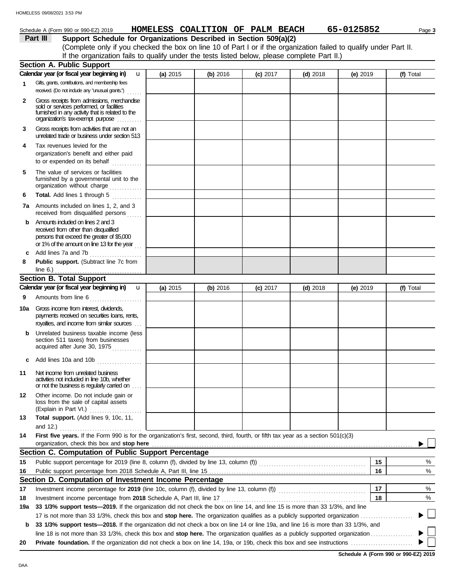### Schedule A (Form 990 or 990-EZ) 2019 **HOMELESS COALITION OF PALM BEACH** 65-0125852 Page 3

**Part III Support Schedule for Organizations Described in Section 509(a)(2)**

(Complete only if you checked the box on line 10 of Part I or if the organization failed to qualify under Part II. If the organization fails to qualify under the tests listed below, please complete Part II.)

|              | <b>Section A. Public Support</b>                                                                                                                                                 |          |          |            |            |            |    |           |
|--------------|----------------------------------------------------------------------------------------------------------------------------------------------------------------------------------|----------|----------|------------|------------|------------|----|-----------|
|              | Calendar year (or fiscal year beginning in)<br>u                                                                                                                                 | (a) 2015 | (b) 2016 | $(c)$ 2017 | $(d)$ 2018 | (e) $2019$ |    | (f) Total |
| $\mathbf{1}$ | Gifts, grants, contributions, and membership fees<br>received. (Do not include any "unusual grants.")                                                                            |          |          |            |            |            |    |           |
| $\mathbf{2}$ | Gross receipts from admissions, merchandise<br>sold or services performed, or facilities<br>fumished in any activity that is related to the<br>organization's tax-exempt purpose |          |          |            |            |            |    |           |
| 3            | Gross receipts from activities that are not an<br>unrelated trade or business under section 513                                                                                  |          |          |            |            |            |    |           |
| 4            | Tax revenues levied for the<br>organization's benefit and either paid<br>to or expended on its behalf                                                                            |          |          |            |            |            |    |           |
| 5            | The value of services or facilities<br>furnished by a governmental unit to the<br>organization without charge                                                                    |          |          |            |            |            |    |           |
| 6            | Total. Add lines 1 through 5                                                                                                                                                     |          |          |            |            |            |    |           |
|              | <b>7a</b> Amounts included on lines 1, 2, and 3<br>received from disqualified persons                                                                                            |          |          |            |            |            |    |           |
| b            | Amounts included on lines 2 and 3<br>received from other than disqualified<br>persons that exceed the greater of \$5,000<br>or 1% of the amount on line 13 for the year          |          |          |            |            |            |    |           |
| c            | Add lines 7a and 7b<br>.                                                                                                                                                         |          |          |            |            |            |    |           |
| 8            | Public support. (Subtract line 7c from                                                                                                                                           |          |          |            |            |            |    |           |
|              | line 6.) $\ldots$<br>.<br><b>Section B. Total Support</b>                                                                                                                        |          |          |            |            |            |    |           |
|              | Calendar year (or fiscal year beginning in)<br>$\mathbf{u}$                                                                                                                      | (a) 2015 | (b) 2016 |            |            |            |    | (f) Total |
| 9            | Amounts from line 6                                                                                                                                                              |          |          | $(c)$ 2017 | (d) $2018$ | (e) $2019$ |    |           |
|              | .                                                                                                                                                                                |          |          |            |            |            |    |           |
| 10a          | Gross income from interest, dividends,<br>payments received on securities loans, rents,<br>royalties, and income from similar sources                                            |          |          |            |            |            |    |           |
| b            | Unrelated business taxable income (less<br>section 511 taxes) from businesses<br>acquired after June 30, 1975                                                                    |          |          |            |            |            |    |           |
|              | <b>c</b> Add lines 10a and 10b $\ldots$                                                                                                                                          |          |          |            |            |            |    |           |
| 11           | Net income from unrelated business<br>activities not included in line 10b, whether<br>or not the business is regularly carried on                                                |          |          |            |            |            |    |           |
| 12           | Other income. Do not include gain or<br>loss from the sale of capital assets<br>(Explain in Part VI.)                                                                            |          |          |            |            |            |    |           |
| 13           | Total support. (Add lines 9, 10c, 11,<br>and 12.)                                                                                                                                |          |          |            |            |            |    |           |
| 14           | First five years. If the Form 990 is for the organization's first, second, third, fourth, or fifth tax year as a section 501(c)(3)<br>organization, check this box and stop here |          |          |            |            |            |    |           |
|              | Section C. Computation of Public Support Percentage                                                                                                                              |          |          |            |            |            |    |           |
| 15           |                                                                                                                                                                                  |          |          |            |            |            | 15 | %         |
| 16           | Public support percentage from 2018 Schedule A, Part III, line 15.                                                                                                               |          |          |            |            |            | 16 | $\%$      |
|              | Section D. Computation of Investment Income Percentage                                                                                                                           |          |          |            |            |            |    |           |
| 17           | Investment income percentage for 2019 (line 10c, column (f), divided by line 13, column (f)) [[[[[[[[[[[[[[[[[                                                                   |          |          |            |            |            | 17 | %         |
| 18           | Investment income percentage from 2018 Schedule A, Part III, line 17                                                                                                             |          |          |            |            |            | 18 | %         |
| 19a          | 33 1/3% support tests-2019. If the organization did not check the box on line 14, and line 15 is more than 33 1/3%, and line                                                     |          |          |            |            |            |    |           |
|              |                                                                                                                                                                                  |          |          |            |            |            |    |           |
| b            | 33 1/3% support tests-2018. If the organization did not check a box on line 14 or line 19a, and line 16 is more than 33 1/3%, and                                                |          |          |            |            |            |    |           |
|              | line 18 is not more than 33 1/3%, check this box and stop here. The organization qualifies as a publicly supported organization                                                  |          |          |            |            |            |    |           |
| 20           |                                                                                                                                                                                  |          |          |            |            |            |    |           |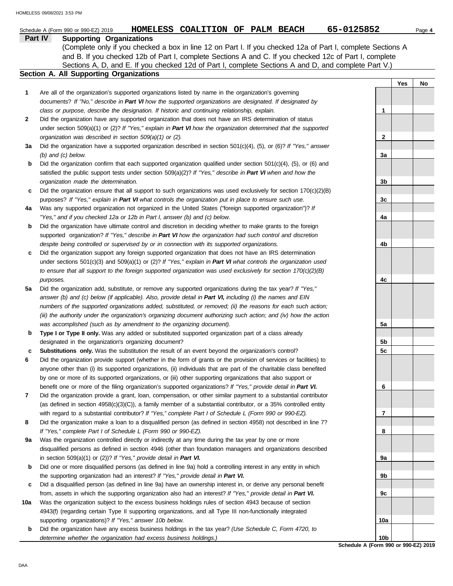|     | HOMELESS COALITION OF PALM BEACH<br>Schedule A (Form 990 or 990-EZ) 2019                                                  | 65-0125852      |     | Page 4 |
|-----|---------------------------------------------------------------------------------------------------------------------------|-----------------|-----|--------|
|     | Part IV<br><b>Supporting Organizations</b>                                                                                |                 |     |        |
|     | (Complete only if you checked a box in line 12 on Part I. If you checked 12a of Part I, complete Sections A               |                 |     |        |
|     | and B. If you checked 12b of Part I, complete Sections A and C. If you checked 12c of Part I, complete                    |                 |     |        |
|     | Sections A, D, and E. If you checked 12d of Part I, complete Sections A and D, and complete Part V.)                      |                 |     |        |
|     | Section A. All Supporting Organizations                                                                                   |                 |     |        |
|     |                                                                                                                           |                 | Yes | No     |
| 1   | Are all of the organization's supported organizations listed by name in the organization's governing                      |                 |     |        |
|     | documents? If "No," describe in Part VI how the supported organizations are designated. If designated by                  |                 |     |        |
|     | class or purpose, describe the designation. If historic and continuing relationship, explain.                             | 1               |     |        |
| 2   | Did the organization have any supported organization that does not have an IRS determination of status                    |                 |     |        |
|     | under section 509(a)(1) or (2)? If "Yes," explain in Part VI how the organization determined that the supported           |                 |     |        |
|     | organization was described in section 509(a)(1) or (2).                                                                   | 2               |     |        |
| За  | Did the organization have a supported organization described in section $501(c)(4)$ , $(5)$ , or $(6)$ ? If "Yes," answer |                 |     |        |
|     | $(b)$ and $(c)$ below.                                                                                                    | 3a              |     |        |
| b   | Did the organization confirm that each supported organization qualified under section $501(c)(4)$ , $(5)$ , or $(6)$ and  |                 |     |        |
|     | satisfied the public support tests under section 509(a)(2)? If "Yes," describe in Part VI when and how the                |                 |     |        |
|     |                                                                                                                           |                 |     |        |
|     | organization made the determination.                                                                                      | 3b              |     |        |
| c   | Did the organization ensure that all support to such organizations was used exclusively for section $170(c)(2)(B)$        |                 |     |        |
|     | purposes? If "Yes," explain in Part VI what controls the organization put in place to ensure such use.                    | 3c              |     |        |
| 4a  | Was any supported organization not organized in the United States ("foreign supported organization")? If                  |                 |     |        |
|     | "Yes," and if you checked 12a or 12b in Part I, answer (b) and (c) below.                                                 | 4a              |     |        |
| b   | Did the organization have ultimate control and discretion in deciding whether to make grants to the foreign               |                 |     |        |
|     | supported organization? If "Yes," describe in Part VI how the organization had such control and discretion                |                 |     |        |
|     | despite being controlled or supervised by or in connection with its supported organizations.                              | 4b              |     |        |
| c   | Did the organization support any foreign supported organization that does not have an IRS determination                   |                 |     |        |
|     | under sections $501(c)(3)$ and $509(a)(1)$ or (2)? If "Yes," explain in Part VI what controls the organization used       |                 |     |        |
|     | to ensure that all support to the foreign supported organization was used exclusively for section $170(c)(2)(B)$          |                 |     |        |
|     | purposes.                                                                                                                 | 4c              |     |        |
| 5a  | Did the organization add, substitute, or remove any supported organizations during the tax year? If "Yes,"                |                 |     |        |
|     | answer (b) and (c) below (if applicable). Also, provide detail in Part VI, including (i) the names and EIN                |                 |     |        |
|     | numbers of the supported organizations added, substituted, or removed; (ii) the reasons for each such action;             |                 |     |        |
|     | (iii) the authority under the organization's organizing document authorizing such action; and (iv) how the action         |                 |     |        |
|     | was accomplished (such as by amendment to the organizing document).                                                       | 5a              |     |        |
| b   | Type I or Type II only. Was any added or substituted supported organization part of a class already                       |                 |     |        |
|     | designated in the organization's organizing document?                                                                     | 5b              |     |        |
| c   | Substitutions only. Was the substitution the result of an event beyond the organization's control?                        | 5c              |     |        |
| 6   | Did the organization provide support (whether in the form of grants or the provision of services or facilities) to        |                 |     |        |
|     | anyone other than (i) its supported organizations, (ii) individuals that are part of the charitable class benefited       |                 |     |        |
|     | by one or more of its supported organizations, or (iii) other supporting organizations that also support or               |                 |     |        |
|     | benefit one or more of the filing organization's supported organizations? If "Yes," provide detail in Part VI.            | 6               |     |        |
| 7   | Did the organization provide a grant, loan, compensation, or other similar payment to a substantial contributor           |                 |     |        |
|     | (as defined in section 4958(c)(3)(C)), a family member of a substantial contributor, or a 35% controlled entity           |                 |     |        |
|     | with regard to a substantial contributor? If "Yes," complete Part I of Schedule L (Form 990 or 990-EZ).                   | 7               |     |        |
| 8   | Did the organization make a loan to a disqualified person (as defined in section 4958) not described in line 7?           |                 |     |        |
|     | If "Yes," complete Part I of Schedule L (Form 990 or 990-EZ).                                                             | 8               |     |        |
| 9a  | Was the organization controlled directly or indirectly at any time during the tax year by one or more                     |                 |     |        |
|     | disqualified persons as defined in section 4946 (other than foundation managers and organizations described               |                 |     |        |
|     | in section 509(a)(1) or (2))? If "Yes," provide detail in Part VI.                                                        | 9а              |     |        |
| b   | Did one or more disqualified persons (as defined in line 9a) hold a controlling interest in any entity in which           |                 |     |        |
|     | the supporting organization had an interest? If "Yes," provide detail in Part VI.                                         | 9b              |     |        |
|     |                                                                                                                           |                 |     |        |
| c   | Did a disqualified person (as defined in line 9a) have an ownership interest in, or derive any personal benefit           |                 |     |        |
|     | from, assets in which the supporting organization also had an interest? If "Yes," provide detail in Part VI.              | 9с              |     |        |
| 10a | Was the organization subject to the excess business holdings rules of section 4943 because of section                     |                 |     |        |
|     | 4943(f) (regarding certain Type II supporting organizations, and all Type III non-functionally integrated                 |                 |     |        |
|     | supporting organizations)? If "Yes," answer 10b below.                                                                    | 10a             |     |        |
| b   | Did the organization have any excess business holdings in the tax year? (Use Schedule C, Form 4720, to                    |                 |     |        |
|     | determine whether the organization had excess business holdings.)                                                         | 10 <sub>b</sub> |     |        |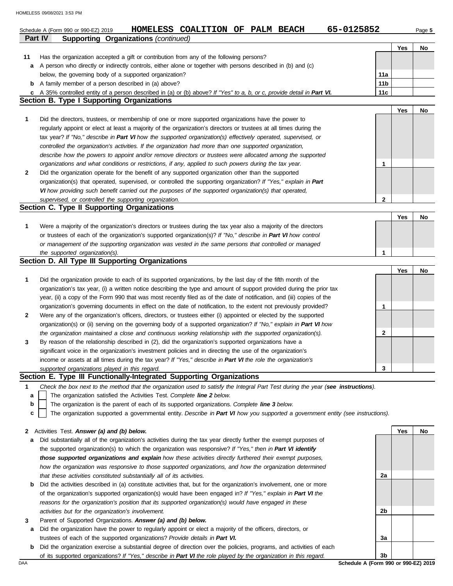|    | 65-0125852<br>HOMELESS COALITION OF PALM BEACH<br>Schedule A (Form 990 or 990-EZ) 2019                                            |                 |     | Page 5 |
|----|-----------------------------------------------------------------------------------------------------------------------------------|-----------------|-----|--------|
|    | <b>Supporting Organizations (continued)</b><br><b>Part IV</b>                                                                     |                 |     |        |
|    |                                                                                                                                   |                 | Yes | No     |
| 11 | Has the organization accepted a gift or contribution from any of the following persons?                                           |                 |     |        |
| a  | A person who directly or indirectly controls, either alone or together with persons described in (b) and (c)                      |                 |     |        |
|    | below, the governing body of a supported organization?                                                                            | 11a             |     |        |
|    | <b>b</b> A family member of a person described in (a) above?                                                                      | 11 <sub>b</sub> |     |        |
| c  | A 35% controlled entity of a person described in (a) or (b) above? If "Yes" to a, b, or c, provide detail in Part VI.             | 11c             |     |        |
|    | <b>Section B. Type I Supporting Organizations</b>                                                                                 |                 |     |        |
|    |                                                                                                                                   |                 | Yes | No     |
| 1  | Did the directors, trustees, or membership of one or more supported organizations have the power to                               |                 |     |        |
|    | regularly appoint or elect at least a majority of the organization's directors or trustees at all times during the                |                 |     |        |
|    | tax year? If "No," describe in Part VI how the supported organization(s) effectively operated, supervised, or                     |                 |     |        |
|    | controlled the organization's activities. If the organization had more than one supported organization,                           |                 |     |        |
|    | describe how the powers to appoint and/or remove directors or trustees were allocated among the supported                         |                 |     |        |
|    | organizations and what conditions or restrictions, if any, applied to such powers during the tax year.                            | 1               |     |        |
| 2  | Did the organization operate for the benefit of any supported organization other than the supported                               |                 |     |        |
|    | organization(s) that operated, supervised, or controlled the supporting organization? If "Yes," explain in Part                   |                 |     |        |
|    | VI how providing such benefit carried out the purposes of the supported organization(s) that operated,                            |                 |     |        |
|    | supervised, or controlled the supporting organization.<br>Section C. Type II Supporting Organizations                             | 2               |     |        |
|    |                                                                                                                                   |                 | Yes | No     |
| 1  | Were a majority of the organization's directors or trustees during the tax year also a majority of the directors                  |                 |     |        |
|    | or trustees of each of the organization's supported organization(s)? If "No," describe in Part VI how control                     |                 |     |        |
|    | or management of the supporting organization was vested in the same persons that controlled or managed                            |                 |     |        |
|    | the supported organization(s).                                                                                                    | 1               |     |        |
|    | Section D. All Type III Supporting Organizations                                                                                  |                 |     |        |
|    |                                                                                                                                   |                 | Yes | No     |
| 1  | Did the organization provide to each of its supported organizations, by the last day of the fifth month of the                    |                 |     |        |
|    | organization's tax year, (i) a written notice describing the type and amount of support provided during the prior tax             |                 |     |        |
|    | year, (ii) a copy of the Form 990 that was most recently filed as of the date of notification, and (iii) copies of the            |                 |     |        |
|    | organization's governing documents in effect on the date of notification, to the extent not previously provided?                  | 1               |     |        |
| 2  | Were any of the organization's officers, directors, or trustees either (i) appointed or elected by the supported                  |                 |     |        |
|    | organization(s) or (ii) serving on the governing body of a supported organization? If "No," explain in Part VI how                |                 |     |        |
|    | the organization maintained a close and continuous working relationship with the supported organization(s).                       | 2               |     |        |
| 3  | By reason of the relationship described in (2), did the organization's supported organizations have a                             |                 |     |        |
|    | significant voice in the organization's investment policies and in directing the use of the organization's                        |                 |     |        |
|    | income or assets at all times during the tax year? If "Yes," describe in Part VI the role the organization's                      |                 |     |        |
|    | supported organizations played in this regard.                                                                                    | 3               |     |        |
|    | Section E. Type III Functionally-Integrated Supporting Organizations                                                              |                 |     |        |
| 1  | Check the box next to the method that the organization used to satisfy the Integral Part Test during the year (see instructions). |                 |     |        |
| а  | The organization satisfied the Activities Test. Complete line 2 below.                                                            |                 |     |        |
| b  | The organization is the parent of each of its supported organizations. Complete line 3 below.                                     |                 |     |        |
| c  | The organization supported a governmental entity. Describe in Part VI how you supported a government entity (see instructions).   |                 |     |        |
|    |                                                                                                                                   |                 |     |        |
| 2  | Activities Test. Answer (a) and (b) below.                                                                                        |                 | Yes | No     |
| а  | Did substantially all of the organization's activities during the tax year directly further the exempt purposes of                |                 |     |        |
|    | the supported organization(s) to which the organization was responsive? If "Yes," then in Part VI identify                        |                 |     |        |
|    | those supported organizations and explain how these activities directly furthered their exempt purposes,                          |                 |     |        |
|    | how the organization was responsive to those supported organizations, and how the organization determined                         |                 |     |        |
|    | that these activities constituted substantially all of its activities.                                                            | 2a              |     |        |
| b  | Did the activities described in (a) constitute activities that, but for the organization's involvement, one or more               |                 |     |        |
|    | of the organization's supported organization(s) would have been engaged in? If "Yes," explain in Part VI the                      |                 |     |        |
|    | reasons for the organization's position that its supported organization(s) would have engaged in these                            |                 |     |        |
|    | activities but for the organization's involvement.                                                                                | 2b              |     |        |
| 3  | Parent of Supported Organizations. Answer (a) and (b) below.                                                                      |                 |     |        |
| а  | Did the organization have the power to regularly appoint or elect a majority of the officers, directors, or                       |                 |     |        |
|    | trustees of each of the supported organizations? Provide details in Part VI.                                                      | За              |     |        |
| b  | Did the organization exercise a substantial degree of direction over the policies, programs, and activities of each               |                 |     |        |
|    | of its supported organizations? If "Yes," describe in Part VI the role played by the organization in this regard.                 | 3b              |     |        |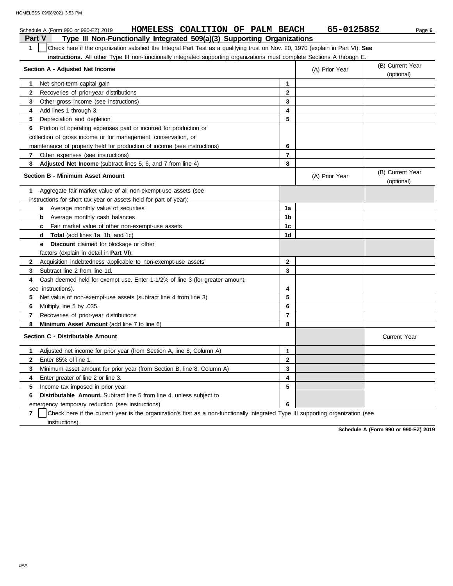| HOMELESS COALITION OF PALM BEACH<br>Schedule A (Form 990 or 990-EZ) 2019                                                                                                                                                                                                     |                | 65-0125852     | Page 6                         |
|------------------------------------------------------------------------------------------------------------------------------------------------------------------------------------------------------------------------------------------------------------------------------|----------------|----------------|--------------------------------|
| Part V<br>Type III Non-Functionally Integrated 509(a)(3) Supporting Organizations                                                                                                                                                                                            |                |                |                                |
| Check here if the organization satisfied the Integral Part Test as a qualifying trust on Nov. 20, 1970 (explain in Part VI). See<br>$\mathbf 1$<br>instructions. All other Type III non-functionally integrated supporting organizations must complete Sections A through E. |                |                |                                |
| Section A - Adjusted Net Income                                                                                                                                                                                                                                              |                | (A) Prior Year | (B) Current Year<br>(optional) |
| Net short-term capital gain<br>1                                                                                                                                                                                                                                             | 1              |                |                                |
| 2<br>Recoveries of prior-year distributions                                                                                                                                                                                                                                  | $\mathbf{2}$   |                |                                |
| 3<br>Other gross income (see instructions)                                                                                                                                                                                                                                   | 3              |                |                                |
| Add lines 1 through 3.<br>4                                                                                                                                                                                                                                                  | 4              |                |                                |
| 5<br>Depreciation and depletion                                                                                                                                                                                                                                              | 5              |                |                                |
| Portion of operating expenses paid or incurred for production or<br>6                                                                                                                                                                                                        |                |                |                                |
| collection of gross income or for management, conservation, or                                                                                                                                                                                                               |                |                |                                |
| maintenance of property held for production of income (see instructions)                                                                                                                                                                                                     | 6              |                |                                |
| 7<br>Other expenses (see instructions)                                                                                                                                                                                                                                       | $\overline{7}$ |                |                                |
| 8<br><b>Adjusted Net Income</b> (subtract lines 5, 6, and 7 from line 4)                                                                                                                                                                                                     | 8              |                |                                |
| <b>Section B - Minimum Asset Amount</b>                                                                                                                                                                                                                                      |                | (A) Prior Year | (B) Current Year<br>(optional) |
| Aggregate fair market value of all non-exempt-use assets (see<br>1                                                                                                                                                                                                           |                |                |                                |
| instructions for short tax year or assets held for part of year):                                                                                                                                                                                                            |                |                |                                |
| Average monthly value of securities<br>a                                                                                                                                                                                                                                     | 1a             |                |                                |
| Average monthly cash balances<br>b                                                                                                                                                                                                                                           | 1b             |                |                                |
| Fair market value of other non-exempt-use assets<br>c.                                                                                                                                                                                                                       | 1c             |                |                                |
| <b>Total</b> (add lines 1a, 1b, and 1c)<br>d                                                                                                                                                                                                                                 | 1d             |                |                                |
| <b>Discount</b> claimed for blockage or other<br>е                                                                                                                                                                                                                           |                |                |                                |
| factors (explain in detail in <b>Part VI</b> ):                                                                                                                                                                                                                              |                |                |                                |
| Acquisition indebtedness applicable to non-exempt-use assets<br>2                                                                                                                                                                                                            | $\mathbf{2}$   |                |                                |
| Subtract line 2 from line 1d.<br>3                                                                                                                                                                                                                                           | 3              |                |                                |
| Cash deemed held for exempt use. Enter 1-1/2% of line 3 (for greater amount,<br>4                                                                                                                                                                                            |                |                |                                |
| see instructions).                                                                                                                                                                                                                                                           | 4              |                |                                |
| 5<br>Net value of non-exempt-use assets (subtract line 4 from line 3)                                                                                                                                                                                                        | 5              |                |                                |
| 6<br>Multiply line 5 by .035.                                                                                                                                                                                                                                                | 6              |                |                                |
| 7<br>Recoveries of prior-year distributions                                                                                                                                                                                                                                  | 7              |                |                                |
| Minimum Asset Amount (add line 7 to line 6)<br>8                                                                                                                                                                                                                             | 8              |                |                                |
| Section C - Distributable Amount                                                                                                                                                                                                                                             |                |                | <b>Current Year</b>            |
| Adjusted net income for prior year (from Section A, line 8, Column A)                                                                                                                                                                                                        | 1              |                |                                |
| Enter 85% of line 1.<br>$\mathbf{2}$                                                                                                                                                                                                                                         | $\mathbf{2}$   |                |                                |
| 3<br>Minimum asset amount for prior year (from Section B, line 8, Column A)                                                                                                                                                                                                  | 3              |                |                                |
| Enter greater of line 2 or line 3.<br>4                                                                                                                                                                                                                                      | 4              |                |                                |
| 5<br>Income tax imposed in prior year                                                                                                                                                                                                                                        | 5              |                |                                |
| Distributable Amount. Subtract line 5 from line 4, unless subject to<br>6                                                                                                                                                                                                    |                |                |                                |
| emergency temporary reduction (see instructions).                                                                                                                                                                                                                            | 6              |                |                                |
|                                                                                                                                                                                                                                                                              |                |                |                                |

**7** | Check here if the current year is the organization's first as a non-functionally integrated Type III supporting organization (see instructions).

**Schedule A (Form 990 or 990-EZ) 2019**

DAA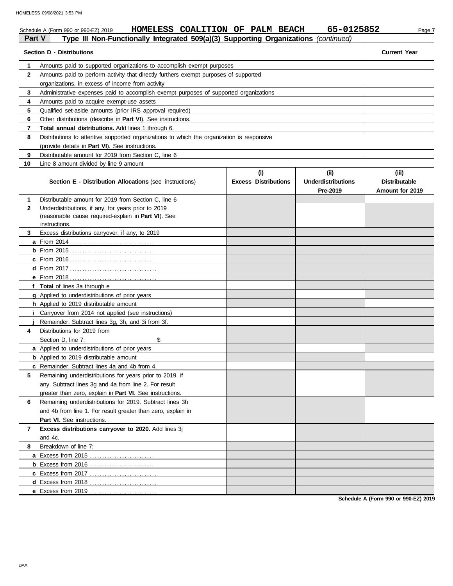| HOMELESS 09/08/2021 3:53 PM      | HOMELESS COALITION OF PALM BEACH<br>Schedule A (Form 990 or 990-EZ) 2019                                   |                                    | 65-0125852                                    | Page 7                                           |
|----------------------------------|------------------------------------------------------------------------------------------------------------|------------------------------------|-----------------------------------------------|--------------------------------------------------|
| <b>Part V</b>                    | Type III Non-Functionally Integrated 509(a)(3) Supporting Organizations (continued)                        |                                    |                                               |                                                  |
| <b>Section D - Distributions</b> |                                                                                                            |                                    |                                               | <b>Current Year</b>                              |
| -1                               | Amounts paid to supported organizations to accomplish exempt purposes                                      |                                    |                                               |                                                  |
| $\mathbf{2}$                     | Amounts paid to perform activity that directly furthers exempt purposes of supported                       |                                    |                                               |                                                  |
|                                  | organizations, in excess of income from activity                                                           |                                    |                                               |                                                  |
| 3                                | Administrative expenses paid to accomplish exempt purposes of supported organizations                      |                                    |                                               |                                                  |
| 4                                | Amounts paid to acquire exempt-use assets                                                                  |                                    |                                               |                                                  |
| 5                                | Qualified set-aside amounts (prior IRS approval required)                                                  |                                    |                                               |                                                  |
| 6                                | Other distributions (describe in Part VI). See instructions.                                               |                                    |                                               |                                                  |
| 7                                | Total annual distributions. Add lines 1 through 6.                                                         |                                    |                                               |                                                  |
| 8                                | Distributions to attentive supported organizations to which the organization is responsive                 |                                    |                                               |                                                  |
|                                  | (provide details in Part VI). See instructions.                                                            |                                    |                                               |                                                  |
| 9                                | Distributable amount for 2019 from Section C, line 6                                                       |                                    |                                               |                                                  |
| 10                               | Line 8 amount divided by line 9 amount                                                                     |                                    |                                               |                                                  |
|                                  | Section E - Distribution Allocations (see instructions)                                                    | (i)<br><b>Excess Distributions</b> | (ii)<br><b>Underdistributions</b><br>Pre-2019 | (iii)<br><b>Distributable</b><br>Amount for 2019 |
| $\mathbf 1$                      | Distributable amount for 2019 from Section C, line 6                                                       |                                    |                                               |                                                  |
| $\mathbf{2}$<br>instructions.    | Underdistributions, if any, for years prior to 2019<br>(reasonable cause required-explain in Part VI). See |                                    |                                               |                                                  |
| 3                                | Excess distributions carryover, if any, to 2019                                                            |                                    |                                               |                                                  |
|                                  |                                                                                                            |                                    |                                               |                                                  |
|                                  |                                                                                                            |                                    |                                               |                                                  |
|                                  |                                                                                                            |                                    |                                               |                                                  |
|                                  |                                                                                                            |                                    |                                               |                                                  |
|                                  |                                                                                                            |                                    |                                               |                                                  |
|                                  | f Total of lines 3a through e                                                                              |                                    |                                               |                                                  |
|                                  | <b>q</b> Applied to underdistributions of prior years                                                      |                                    |                                               |                                                  |
|                                  | <b>h</b> Applied to 2019 distributable amount                                                              |                                    |                                               |                                                  |
|                                  | <i>i</i> Carryover from 2014 not applied (see instructions)                                                |                                    |                                               |                                                  |
|                                  | Remainder. Subtract lines 3g, 3h, and 3i from 3f.                                                          |                                    |                                               |                                                  |
| 4                                | Distributions for 2019 from                                                                                |                                    |                                               |                                                  |
| Section D, line 7:               | \$                                                                                                         |                                    |                                               |                                                  |
|                                  | a Applied to underdistributions of prior years                                                             |                                    |                                               |                                                  |

**Schedule A (Form 990 or 990-EZ) 2019**

**7**

**6**

**8** Breakdown of line 7:

and 4c.

Part VI. See instructions.

**5** Remaining underdistributions for years prior to 2019, if

any. Subtract lines 3g and 4a from line 2. For result greater than zero, explain in **Part VI**. See instructions. Remaining underdistributions for 2019. Subtract lines 3h and 4b from line 1. For result greater than zero, explain in

**Excess distributions carryover to 2020.** Add lines 3j

**b** Applied to 2019 distributable amount **c** Remainder. Subtract lines 4a and 4b from 4.

**a** Excess from 2015 . . . . . . . . . . . . . . . . . . . . . . . . . . **b** Excess from 2016 . . . . . . . . . . . . . . . . . . . . . . . . . . **c** Excess from 2017 . . . . . . . . . . . . . . . . . . . . . . . . . . . **d** Excess from 2018 . . . . . . . . . . . . . . . . . . . . . . . . . . . **e** Excess from 2019 . . . . . . . . . . . . . . . . . . . . . . . . . . .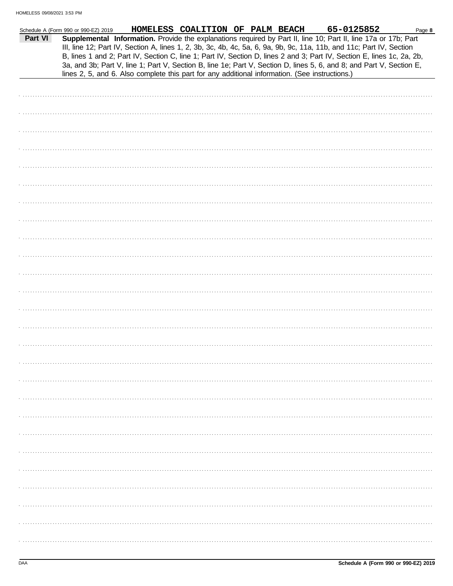|         | Schedule A (Form 990 or 990-EZ) 2019                                                           |  |  | HOMELESS COALITION OF PALM BEACH | 65-0125852                                                                                                                                                                                                                                                                                                                                                                                                                                                                                | Page 8 |
|---------|------------------------------------------------------------------------------------------------|--|--|----------------------------------|-------------------------------------------------------------------------------------------------------------------------------------------------------------------------------------------------------------------------------------------------------------------------------------------------------------------------------------------------------------------------------------------------------------------------------------------------------------------------------------------|--------|
| Part VI | lines 2, 5, and 6. Also complete this part for any additional information. (See instructions.) |  |  |                                  | Supplemental Information. Provide the explanations required by Part II, line 10; Part II, line 17a or 17b; Part<br>III, line 12; Part IV, Section A, lines 1, 2, 3b, 3c, 4b, 4c, 5a, 6, 9a, 9b, 9c, 11a, 11b, and 11c; Part IV, Section<br>B, lines 1 and 2; Part IV, Section C, line 1; Part IV, Section D, lines 2 and 3; Part IV, Section E, lines 1c, 2a, 2b,<br>3a, and 3b; Part V, line 1; Part V, Section B, line 1e; Part V, Section D, lines 5, 6, and 8; and Part V, Section E, |        |
|         |                                                                                                |  |  |                                  |                                                                                                                                                                                                                                                                                                                                                                                                                                                                                           |        |
|         |                                                                                                |  |  |                                  |                                                                                                                                                                                                                                                                                                                                                                                                                                                                                           |        |
|         |                                                                                                |  |  |                                  |                                                                                                                                                                                                                                                                                                                                                                                                                                                                                           |        |
|         |                                                                                                |  |  |                                  |                                                                                                                                                                                                                                                                                                                                                                                                                                                                                           |        |
|         |                                                                                                |  |  |                                  |                                                                                                                                                                                                                                                                                                                                                                                                                                                                                           |        |
|         |                                                                                                |  |  |                                  |                                                                                                                                                                                                                                                                                                                                                                                                                                                                                           |        |
|         |                                                                                                |  |  |                                  |                                                                                                                                                                                                                                                                                                                                                                                                                                                                                           |        |
|         |                                                                                                |  |  |                                  |                                                                                                                                                                                                                                                                                                                                                                                                                                                                                           |        |
|         |                                                                                                |  |  |                                  |                                                                                                                                                                                                                                                                                                                                                                                                                                                                                           |        |
|         |                                                                                                |  |  |                                  |                                                                                                                                                                                                                                                                                                                                                                                                                                                                                           |        |
|         |                                                                                                |  |  |                                  |                                                                                                                                                                                                                                                                                                                                                                                                                                                                                           |        |
|         |                                                                                                |  |  |                                  |                                                                                                                                                                                                                                                                                                                                                                                                                                                                                           |        |
|         |                                                                                                |  |  |                                  |                                                                                                                                                                                                                                                                                                                                                                                                                                                                                           |        |
|         |                                                                                                |  |  |                                  |                                                                                                                                                                                                                                                                                                                                                                                                                                                                                           |        |
|         |                                                                                                |  |  |                                  |                                                                                                                                                                                                                                                                                                                                                                                                                                                                                           |        |
|         |                                                                                                |  |  |                                  |                                                                                                                                                                                                                                                                                                                                                                                                                                                                                           |        |
|         |                                                                                                |  |  |                                  |                                                                                                                                                                                                                                                                                                                                                                                                                                                                                           |        |
|         |                                                                                                |  |  |                                  |                                                                                                                                                                                                                                                                                                                                                                                                                                                                                           |        |
|         |                                                                                                |  |  |                                  |                                                                                                                                                                                                                                                                                                                                                                                                                                                                                           |        |
|         |                                                                                                |  |  |                                  |                                                                                                                                                                                                                                                                                                                                                                                                                                                                                           |        |
|         |                                                                                                |  |  |                                  |                                                                                                                                                                                                                                                                                                                                                                                                                                                                                           |        |
|         |                                                                                                |  |  |                                  |                                                                                                                                                                                                                                                                                                                                                                                                                                                                                           |        |
|         |                                                                                                |  |  |                                  |                                                                                                                                                                                                                                                                                                                                                                                                                                                                                           |        |
|         |                                                                                                |  |  |                                  |                                                                                                                                                                                                                                                                                                                                                                                                                                                                                           |        |
|         |                                                                                                |  |  |                                  |                                                                                                                                                                                                                                                                                                                                                                                                                                                                                           |        |
|         |                                                                                                |  |  |                                  |                                                                                                                                                                                                                                                                                                                                                                                                                                                                                           |        |
|         |                                                                                                |  |  |                                  |                                                                                                                                                                                                                                                                                                                                                                                                                                                                                           |        |
|         |                                                                                                |  |  |                                  |                                                                                                                                                                                                                                                                                                                                                                                                                                                                                           |        |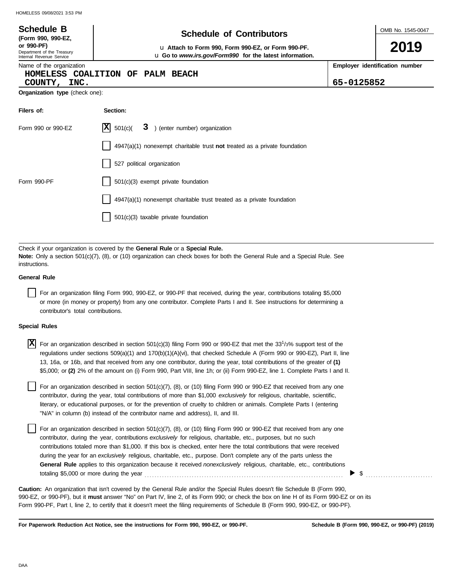| <b>Schedule B</b>                                                                          | <b>Schedule of Contributors</b>                                                                                       | OMB No. 1545-0047              |      |
|--------------------------------------------------------------------------------------------|-----------------------------------------------------------------------------------------------------------------------|--------------------------------|------|
| (Form 990, 990-EZ,<br>or 990-PF)<br>Department of the Treasury<br>Internal Revenue Service | La Attach to Form 990, Form 990-EZ, or Form 990-PF.<br><b>u</b> Go to www.irs.gov/Form990 for the latest information. |                                | 2019 |
| Name of the organization<br>HOMELESS COALITION                                             | 65-0125852                                                                                                            | Employer identification number |      |
| COUNTY, INC.<br><b>Organization type (check one):</b>                                      |                                                                                                                       |                                |      |
| Filers of:                                                                                 | Section:                                                                                                              |                                |      |
| Form 990 or 990-EZ                                                                         | X <br>501(c)<br>3<br>) (enter number) organization                                                                    |                                |      |
|                                                                                            | $4947(a)(1)$ nonexempt charitable trust not treated as a private foundation                                           |                                |      |
|                                                                                            | 527 political organization                                                                                            |                                |      |
| Form 990-PF                                                                                | 501(c)(3) exempt private foundation                                                                                   |                                |      |
|                                                                                            | 4947(a)(1) nonexempt charitable trust treated as a private foundation                                                 |                                |      |
|                                                                                            | 501(c)(3) taxable private foundation                                                                                  |                                |      |
|                                                                                            |                                                                                                                       |                                |      |

Check if your organization is covered by the **General Rule** or a **Special Rule. Note:** Only a section 501(c)(7), (8), or (10) organization can check boxes for both the General Rule and a Special Rule. See instructions.

#### **General Rule**

For an organization filing Form 990, 990-EZ, or 990-PF that received, during the year, contributions totaling \$5,000 or more (in money or property) from any one contributor. Complete Parts I and II. See instructions for determining a contributor's total contributions.

#### **Special Rules**

| $\overline{X}$ For an organization described in section 501(c)(3) filing Form 990 or 990-EZ that met the 33 <sup>1</sup> /3% support test of the |
|--------------------------------------------------------------------------------------------------------------------------------------------------|
| regulations under sections 509(a)(1) and 170(b)(1)(A)(vi), that checked Schedule A (Form 990 or 990-EZ), Part II, line                           |
| 13, 16a, or 16b, and that received from any one contributor, during the year, total contributions of the greater of (1)                          |
| \$5,000; or (2) 2% of the amount on (i) Form 990, Part VIII, line 1h; or (ii) Form 990-EZ, line 1. Complete Parts I and II.                      |

literary, or educational purposes, or for the prevention of cruelty to children or animals. Complete Parts I (entering For an organization described in section 501(c)(7), (8), or (10) filing Form 990 or 990-EZ that received from any one contributor, during the year, total contributions of more than \$1,000 *exclusively* for religious, charitable, scientific, "N/A" in column (b) instead of the contributor name and address), II, and III.

For an organization described in section 501(c)(7), (8), or (10) filing Form 990 or 990-EZ that received from any one contributor, during the year, contributions *exclusively* for religious, charitable, etc., purposes, but no such contributions totaled more than \$1,000. If this box is checked, enter here the total contributions that were received during the year for an *exclusively* religious, charitable, etc., purpose. Don't complete any of the parts unless the **General Rule** applies to this organization because it received *nonexclusively* religious, charitable, etc., contributions totaling \$5,000 or more during the year . . . . . . . . . . . . . . . . . . . . . . . . . . . . . . . . . . . . . . . . . . . . . . . . . . . . . . . . . . . . . . . . . . . . . . . . . . . . . . . .

990-EZ, or 990-PF), but it **must** answer "No" on Part IV, line 2, of its Form 990; or check the box on line H of its Form 990-EZ or on its Form 990-PF, Part I, line 2, to certify that it doesn't meet the filing requirements of Schedule B (Form 990, 990-EZ, or 990-PF). **Caution:** An organization that isn't covered by the General Rule and/or the Special Rules doesn't file Schedule B (Form 990,

**For Paperwork Reduction Act Notice, see the instructions for Form 990, 990-EZ, or 990-PF.**

\$ . . . . . . . . . . . . . . . . . . . . . . . . . . .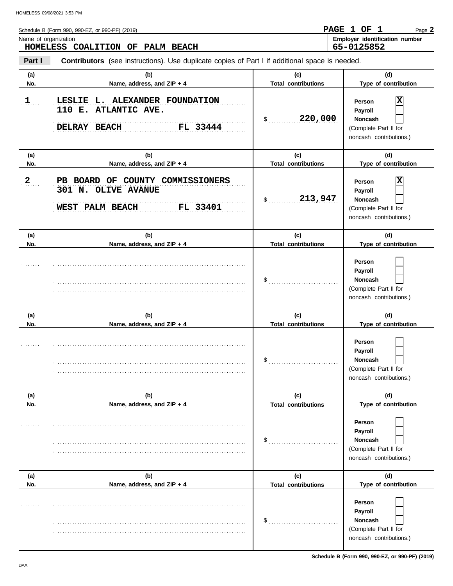| Schedule B (Form 990, 990-EZ, or 990-PF) (2019) | PAGE 1 OF  |  | Page 2                                |
|-------------------------------------------------|------------|--|---------------------------------------|
| Name of organization                            |            |  | <b>Employer identification number</b> |
| HOMELESS COALITION OF PALM BEACH                | 65-0125852 |  |                                       |

**Part I Contributors** (see instructions). Use duplicate copies of Part I if additional space is needed.

| (a)            | (b)                                                                                    | (c)                               | (d)                                                                                                    |
|----------------|----------------------------------------------------------------------------------------|-----------------------------------|--------------------------------------------------------------------------------------------------------|
| No.<br>1       | Name, address, and ZIP + 4<br>LESLIE L. ALEXANDER FOUNDATION                           | <b>Total contributions</b>        | Type of contribution<br>X<br>Person                                                                    |
|                | 110 E. ATLANTIC AVE.<br>FL 33444<br>DELRAY BEACH                                       | 220,000<br>$\mathsf{\$}$          | Payroll<br><b>Noncash</b><br>(Complete Part II for<br>noncash contributions.)                          |
| (a)<br>No.     | (b)<br>Name, address, and ZIP + 4                                                      | (c)<br><b>Total contributions</b> | (d)<br>Type of contribution                                                                            |
| $\overline{2}$ | PB BOARD OF COUNTY COMMISSIONERS<br>301 N. OLIVE AVANUE<br>FL 33401<br>WEST PALM BEACH | 213,947<br>$\mathcal{S}$          | $\mathbf x$<br>Person<br>Payroll<br><b>Noncash</b><br>(Complete Part II for<br>noncash contributions.) |
| (a)<br>No.     | (b)<br>Name, address, and ZIP + 4                                                      | (c)<br><b>Total contributions</b> | (d)<br>Type of contribution                                                                            |
|                |                                                                                        |                                   | Person<br>Payroll<br><b>Noncash</b><br>(Complete Part II for<br>noncash contributions.)                |
| (a)<br>No.     | (b)<br>Name, address, and ZIP + 4                                                      | (c)<br><b>Total contributions</b> | (d)<br>Type of contribution                                                                            |
|                |                                                                                        |                                   | <b>Person</b><br>Payroll<br>Noncash<br>(Complete Part II for<br>noncash contributions.)                |
| (a)<br>No.     | (b)<br>Name, address, and ZIP + 4                                                      | (c)<br><b>Total contributions</b> | (d)<br>Type of contribution                                                                            |
|                |                                                                                        | \$                                | Person<br>Payroll<br>Noncash<br>(Complete Part II for<br>noncash contributions.)                       |
| (a)<br>No.     | (b)<br>Name, address, and ZIP + 4                                                      | (c)<br><b>Total contributions</b> | (d)<br>Type of contribution                                                                            |
|                |                                                                                        | \$                                | Person<br>Payroll<br>Noncash<br>(Complete Part II for<br>noncash contributions.)                       |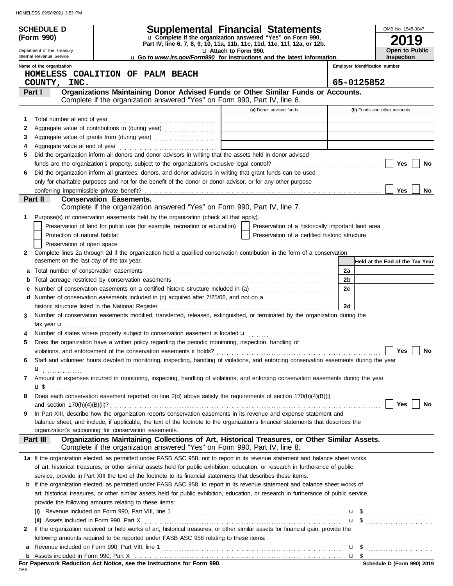|        | <b>SCHEDULE D</b>                                                  | Supplemental Financial Statements                                                                                                                                         |                       |                                                    |            |  |                              | OMB No. 1545-0047               |    |
|--------|--------------------------------------------------------------------|---------------------------------------------------------------------------------------------------------------------------------------------------------------------------|-----------------------|----------------------------------------------------|------------|--|------------------------------|---------------------------------|----|
|        | (Form 990)                                                         | u Complete if the organization answered "Yes" on Form 990,<br>Part IV, line 6, 7, 8, 9, 10, 11a, 11b, 11c, 11d, 11e, 11f, 12a, or 12b.                                    |                       |                                                    |            |  |                              |                                 |    |
|        | Department of the Treasury                                         |                                                                                                                                                                           | U Attach to Form 990. |                                                    |            |  |                              | Open to Public                  |    |
|        | Internal Revenue Service<br>Name of the organization               | U Go to www.irs.gov/Form990 for instructions and the latest information.                                                                                                  |                       |                                                    |            |  |                              | Inspection                      |    |
|        | Employer identification number<br>HOMELESS COALITION OF PALM BEACH |                                                                                                                                                                           |                       |                                                    |            |  |                              |                                 |    |
|        | COUNTY,<br>INC.                                                    |                                                                                                                                                                           |                       |                                                    | 65-0125852 |  |                              |                                 |    |
|        | Part I                                                             | Organizations Maintaining Donor Advised Funds or Other Similar Funds or Accounts.                                                                                         |                       |                                                    |            |  |                              |                                 |    |
|        |                                                                    | Complete if the organization answered "Yes" on Form 990, Part IV, line 6.                                                                                                 |                       |                                                    |            |  |                              |                                 |    |
|        |                                                                    |                                                                                                                                                                           |                       | (a) Donor advised funds                            |            |  | (b) Funds and other accounts |                                 |    |
| 1      |                                                                    |                                                                                                                                                                           |                       |                                                    |            |  |                              |                                 |    |
| 2      |                                                                    |                                                                                                                                                                           |                       |                                                    |            |  |                              |                                 |    |
| 3<br>4 |                                                                    |                                                                                                                                                                           |                       |                                                    |            |  |                              |                                 |    |
| 5      |                                                                    | Did the organization inform all donors and donor advisors in writing that the assets held in donor advised                                                                |                       |                                                    |            |  |                              |                                 |    |
|        |                                                                    |                                                                                                                                                                           |                       |                                                    |            |  |                              | Yes                             | No |
| 6      |                                                                    | Did the organization inform all grantees, donors, and donor advisors in writing that grant funds can be used                                                              |                       |                                                    |            |  |                              |                                 |    |
|        |                                                                    | only for charitable purposes and not for the benefit of the donor or donor advisor, or for any other purpose                                                              |                       |                                                    |            |  |                              |                                 |    |
|        |                                                                    |                                                                                                                                                                           |                       |                                                    |            |  |                              | Yes                             | No |
|        | Part II                                                            | <b>Conservation Easements.</b>                                                                                                                                            |                       |                                                    |            |  |                              |                                 |    |
|        |                                                                    | Complete if the organization answered "Yes" on Form 990, Part IV, line 7.                                                                                                 |                       |                                                    |            |  |                              |                                 |    |
| 1      |                                                                    | Purpose(s) of conservation easements held by the organization (check all that apply).                                                                                     |                       |                                                    |            |  |                              |                                 |    |
|        |                                                                    | Preservation of land for public use (for example, recreation or education)                                                                                                |                       | Preservation of a historically important land area |            |  |                              |                                 |    |
|        | Protection of natural habitat<br>Preservation of open space        |                                                                                                                                                                           |                       | Preservation of a certified historic structure     |            |  |                              |                                 |    |
| 2      |                                                                    | Complete lines 2a through 2d if the organization held a qualified conservation contribution in the form of a conservation                                                 |                       |                                                    |            |  |                              |                                 |    |
|        | easement on the last day of the tax year.                          |                                                                                                                                                                           |                       |                                                    |            |  |                              | Held at the End of the Tax Year |    |
| а      |                                                                    |                                                                                                                                                                           |                       |                                                    | 2a         |  |                              |                                 |    |
|        |                                                                    |                                                                                                                                                                           |                       |                                                    | 2b         |  |                              |                                 |    |
|        |                                                                    | Number of conservation easements on a certified historic structure included in (a)                                                                                        |                       |                                                    | 2c         |  |                              |                                 |    |
| d      |                                                                    | Number of conservation easements included in (c) acquired after 7/25/06, and not on a                                                                                     |                       |                                                    |            |  |                              |                                 |    |
|        |                                                                    | historic structure listed in the National Register                                                                                                                        |                       |                                                    | 2d         |  |                              |                                 |    |
| 3      |                                                                    | Number of conservation easements modified, transferred, released, extinguished, or terminated by the organization during the                                              |                       |                                                    |            |  |                              |                                 |    |
|        | tax year $\blacksquare$                                            |                                                                                                                                                                           |                       |                                                    |            |  |                              |                                 |    |
|        |                                                                    | Number of states where property subject to conservation easement is located U                                                                                             |                       |                                                    |            |  |                              |                                 |    |
| 5      |                                                                    | Does the organization have a written policy regarding the periodic monitoring, inspection, handling of                                                                    |                       |                                                    |            |  |                              |                                 |    |
| 6      |                                                                    | Staff and volunteer hours devoted to monitoring, inspecting, handling of violations, and enforcing conservation easements during the year                                 |                       |                                                    |            |  |                              |                                 |    |
|        |                                                                    |                                                                                                                                                                           |                       |                                                    |            |  |                              |                                 |    |
| 7      | u <u>.</u>                                                         | Amount of expenses incurred in monitoring, inspecting, handling of violations, and enforcing conservation easements during the year                                       |                       |                                                    |            |  |                              |                                 |    |
|        | u\$                                                                |                                                                                                                                                                           |                       |                                                    |            |  |                              |                                 |    |
| 8      |                                                                    | Does each conservation easement reported on line 2(d) above satisfy the requirements of section 170(h)(4)(B)(i)                                                           |                       |                                                    |            |  |                              |                                 |    |
|        |                                                                    |                                                                                                                                                                           |                       |                                                    |            |  |                              | Yes                             | No |
| 9      |                                                                    | In Part XIII, describe how the organization reports conservation easements in its revenue and expense statement and                                                       |                       |                                                    |            |  |                              |                                 |    |
|        |                                                                    | balance sheet, and include, if applicable, the text of the footnote to the organization's financial statements that describes the                                         |                       |                                                    |            |  |                              |                                 |    |
|        |                                                                    | organization's accounting for conservation easements.                                                                                                                     |                       |                                                    |            |  |                              |                                 |    |
|        | Part III                                                           | Organizations Maintaining Collections of Art, Historical Treasures, or Other Similar Assets.<br>Complete if the organization answered "Yes" on Form 990, Part IV, line 8. |                       |                                                    |            |  |                              |                                 |    |
|        |                                                                    | 1a If the organization elected, as permitted under FASB ASC 958, not to report in its revenue statement and balance sheet works                                           |                       |                                                    |            |  |                              |                                 |    |
|        |                                                                    | of art, historical treasures, or other similar assets held for public exhibition, education, or research in furtherance of public                                         |                       |                                                    |            |  |                              |                                 |    |
|        |                                                                    | service, provide in Part XIII the text of the footnote to its financial statements that describes these items.                                                            |                       |                                                    |            |  |                              |                                 |    |
|        |                                                                    | <b>b</b> If the organization elected, as permitted under FASB ASC 958, to report in its revenue statement and balance sheet works of                                      |                       |                                                    |            |  |                              |                                 |    |
|        |                                                                    | art, historical treasures, or other similar assets held for public exhibition, education, or research in furtherance of public service,                                   |                       |                                                    |            |  |                              |                                 |    |
|        |                                                                    | provide the following amounts relating to these items:                                                                                                                    |                       |                                                    |            |  |                              |                                 |    |
|        |                                                                    |                                                                                                                                                                           |                       |                                                    |            |  |                              |                                 |    |
|        |                                                                    |                                                                                                                                                                           |                       |                                                    |            |  |                              |                                 |    |
| 2      |                                                                    | If the organization received or held works of art, historical treasures, or other similar assets for financial gain, provide the                                          |                       |                                                    |            |  |                              |                                 |    |
|        |                                                                    | following amounts required to be reported under FASB ASC 958 relating to these items:                                                                                     |                       |                                                    |            |  |                              |                                 |    |
| a      |                                                                    |                                                                                                                                                                           |                       |                                                    |            |  |                              |                                 |    |
|        |                                                                    |                                                                                                                                                                           |                       |                                                    |            |  |                              |                                 |    |

| For Paperwork Reduction Act Notice, see the Instructions for Form 990. |  |  |  |
|------------------------------------------------------------------------|--|--|--|
| DAA                                                                    |  |  |  |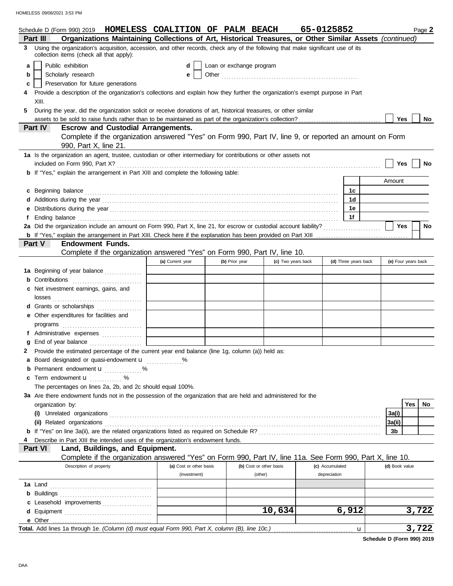|   |                  |                                          |                                                            | Schedule D (Form 990) 2019 HOMELESS COALITION OF PALM BEACH                                                                                                                                                                         |                          |                         |                    | 65-0125852      |                      |                     |       | Page 2 |
|---|------------------|------------------------------------------|------------------------------------------------------------|-------------------------------------------------------------------------------------------------------------------------------------------------------------------------------------------------------------------------------------|--------------------------|-------------------------|--------------------|-----------------|----------------------|---------------------|-------|--------|
|   | Part III         |                                          |                                                            | Organizations Maintaining Collections of Art, Historical Treasures, or Other Similar Assets (continued)                                                                                                                             |                          |                         |                    |                 |                      |                     |       |        |
| 3 |                  | collection items (check all that apply): |                                                            | Using the organization's acquisition, accession, and other records, check any of the following that make significant use of its                                                                                                     |                          |                         |                    |                 |                      |                     |       |        |
| a |                  | Public exhibition                        |                                                            | d                                                                                                                                                                                                                                   | Loan or exchange program |                         |                    |                 |                      |                     |       |        |
| b |                  | Scholarly research                       |                                                            | е                                                                                                                                                                                                                                   |                          |                         |                    |                 |                      |                     |       |        |
| c |                  | Preservation for future generations      |                                                            |                                                                                                                                                                                                                                     |                          |                         |                    |                 |                      |                     |       |        |
|   |                  |                                          |                                                            | Provide a description of the organization's collections and explain how they further the organization's exempt purpose in Part                                                                                                      |                          |                         |                    |                 |                      |                     |       |        |
|   | XIII.            |                                          |                                                            |                                                                                                                                                                                                                                     |                          |                         |                    |                 |                      |                     |       |        |
| 5 |                  |                                          |                                                            | During the year, did the organization solicit or receive donations of art, historical treasures, or other similar                                                                                                                   |                          |                         |                    |                 |                      |                     |       |        |
|   |                  |                                          |                                                            |                                                                                                                                                                                                                                     |                          |                         |                    |                 |                      | Yes                 |       | No     |
|   | Part IV          |                                          | <b>Escrow and Custodial Arrangements.</b>                  |                                                                                                                                                                                                                                     |                          |                         |                    |                 |                      |                     |       |        |
|   |                  |                                          |                                                            | Complete if the organization answered "Yes" on Form 990, Part IV, line 9, or reported an amount on Form                                                                                                                             |                          |                         |                    |                 |                      |                     |       |        |
|   |                  | 990, Part X, line 21.                    |                                                            |                                                                                                                                                                                                                                     |                          |                         |                    |                 |                      |                     |       |        |
|   |                  |                                          |                                                            | 1a Is the organization an agent, trustee, custodian or other intermediary for contributions or other assets not                                                                                                                     |                          |                         |                    |                 |                      |                     |       |        |
|   |                  |                                          |                                                            |                                                                                                                                                                                                                                     |                          |                         |                    |                 |                      | Yes                 |       | No     |
|   |                  |                                          |                                                            | b If "Yes," explain the arrangement in Part XIII and complete the following table:                                                                                                                                                  |                          |                         |                    |                 |                      |                     |       |        |
|   |                  |                                          |                                                            |                                                                                                                                                                                                                                     |                          |                         |                    |                 |                      | Amount              |       |        |
|   |                  |                                          |                                                            | c Beginning balance contract and contract and contract and contract and contract and contract and contract and contract and contract and contract and contract and contract and contract and contract and contract and contrac      |                          |                         |                    |                 | 1с                   |                     |       |        |
|   |                  |                                          |                                                            |                                                                                                                                                                                                                                     |                          |                         |                    |                 | 1d                   |                     |       |        |
|   |                  |                                          |                                                            |                                                                                                                                                                                                                                     |                          |                         |                    |                 | 1е                   |                     |       |        |
| f |                  |                                          |                                                            |                                                                                                                                                                                                                                     |                          |                         |                    |                 | 1f                   |                     |       |        |
|   |                  |                                          |                                                            | 2a Did the organization include an amount on Form 990, Part X, line 21, for escrow or custodial account liability?                                                                                                                  |                          |                         |                    |                 |                      | Yes                 |       | No     |
|   | <b>Part V</b>    | <b>Endowment Funds.</b>                  |                                                            |                                                                                                                                                                                                                                     |                          |                         |                    |                 |                      |                     |       |        |
|   |                  |                                          |                                                            | Complete if the organization answered "Yes" on Form 990, Part IV, line 10.                                                                                                                                                          |                          |                         |                    |                 |                      |                     |       |        |
|   |                  |                                          |                                                            | (a) Current year                                                                                                                                                                                                                    | (b) Prior year           |                         | (c) Two years back |                 | (d) Three years back | (e) Four years back |       |        |
|   |                  |                                          | 1a Beginning of year balance                               |                                                                                                                                                                                                                                     |                          |                         |                    |                 |                      |                     |       |        |
|   |                  |                                          | <b>b</b> Contributions <b>contributions</b>                |                                                                                                                                                                                                                                     |                          |                         |                    |                 |                      |                     |       |        |
|   |                  | c Net investment earnings, gains, and    |                                                            |                                                                                                                                                                                                                                     |                          |                         |                    |                 |                      |                     |       |        |
|   |                  |                                          |                                                            |                                                                                                                                                                                                                                     |                          |                         |                    |                 |                      |                     |       |        |
|   |                  |                                          | d Grants or scholarships                                   |                                                                                                                                                                                                                                     |                          |                         |                    |                 |                      |                     |       |        |
|   |                  | e Other expenditures for facilities and  |                                                            |                                                                                                                                                                                                                                     |                          |                         |                    |                 |                      |                     |       |        |
|   |                  |                                          |                                                            |                                                                                                                                                                                                                                     |                          |                         |                    |                 |                      |                     |       |        |
|   |                  |                                          | f Administrative expenses                                  |                                                                                                                                                                                                                                     |                          |                         |                    |                 |                      |                     |       |        |
| g |                  |                                          |                                                            |                                                                                                                                                                                                                                     |                          |                         |                    |                 |                      |                     |       |        |
| 2 |                  |                                          |                                                            | Provide the estimated percentage of the current year end balance (line 1g, column (a)) held as:                                                                                                                                     |                          |                         |                    |                 |                      |                     |       |        |
|   |                  |                                          | a Board designated or quasi-endowment u                    |                                                                                                                                                                                                                                     |                          |                         |                    |                 |                      |                     |       |        |
| b |                  |                                          | Permanent endowment <b>u</b> %                             |                                                                                                                                                                                                                                     |                          |                         |                    |                 |                      |                     |       |        |
|   |                  | <b>c</b> Term endowment $\mathbf{u}$ %   |                                                            |                                                                                                                                                                                                                                     |                          |                         |                    |                 |                      |                     |       |        |
|   |                  |                                          | The percentages on lines 2a, 2b, and 2c should equal 100%. |                                                                                                                                                                                                                                     |                          |                         |                    |                 |                      |                     |       |        |
|   |                  |                                          |                                                            | 3a Are there endowment funds not in the possession of the organization that are held and administered for the                                                                                                                       |                          |                         |                    |                 |                      |                     |       |        |
|   | organization by: |                                          |                                                            |                                                                                                                                                                                                                                     |                          |                         |                    |                 |                      |                     | Yes   | No     |
|   |                  |                                          |                                                            |                                                                                                                                                                                                                                     |                          |                         |                    |                 |                      | 3a(i)               |       |        |
|   |                  |                                          |                                                            | (ii) Related organizations <b>constants</b> and constant of the constant of the constant of the constant of the constant of the constant of the constant of the constant of the constant of the constant of the constant of the con |                          |                         |                    |                 |                      | 3a(ii)              |       |        |
|   |                  |                                          |                                                            |                                                                                                                                                                                                                                     |                          |                         |                    |                 |                      | 3b                  |       |        |
|   |                  |                                          |                                                            | Describe in Part XIII the intended uses of the organization's endowment funds.                                                                                                                                                      |                          |                         |                    |                 |                      |                     |       |        |
|   | Part VI          |                                          | Land, Buildings, and Equipment.                            |                                                                                                                                                                                                                                     |                          |                         |                    |                 |                      |                     |       |        |
|   |                  |                                          |                                                            | Complete if the organization answered "Yes" on Form 990, Part IV, line 11a. See Form 990, Part X, line 10.                                                                                                                          |                          |                         |                    |                 |                      |                     |       |        |
|   |                  | Description of property                  |                                                            | (a) Cost or other basis                                                                                                                                                                                                             |                          | (b) Cost or other basis |                    | (c) Accumulated |                      | (d) Book value      |       |        |
|   |                  |                                          |                                                            | (investment)                                                                                                                                                                                                                        |                          | (other)                 |                    | depreciation    |                      |                     |       |        |
|   |                  |                                          |                                                            |                                                                                                                                                                                                                                     |                          |                         |                    |                 |                      |                     |       |        |
|   |                  |                                          |                                                            |                                                                                                                                                                                                                                     |                          |                         |                    |                 |                      |                     |       |        |
| c |                  |                                          | Leasehold improvements                                     |                                                                                                                                                                                                                                     |                          |                         |                    |                 |                      |                     |       |        |
| d |                  |                                          |                                                            |                                                                                                                                                                                                                                     |                          | 10,634                  |                    |                 | 6,912                |                     | 3,722 |        |
|   |                  |                                          |                                                            |                                                                                                                                                                                                                                     |                          |                         |                    |                 |                      |                     |       |        |
|   |                  |                                          |                                                            |                                                                                                                                                                                                                                     |                          |                         |                    |                 | $\mathbf{u}$         |                     | 3,722 |        |

**Schedule D (Form 990) 2019**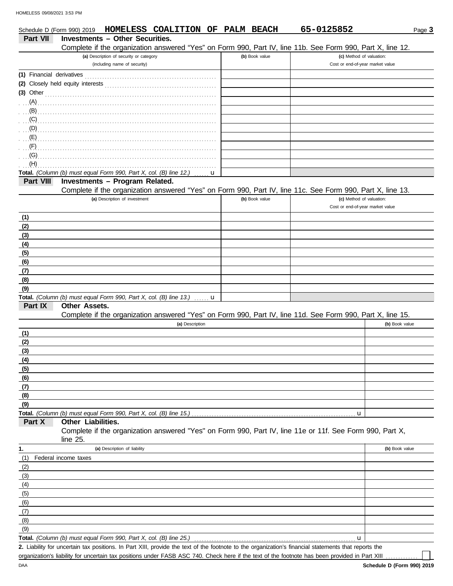|                           | Schedule D (Form 990) 2019 HOMELESS COALITION OF PALM BEACH                                                |                | 65-0125852                       | Page 3         |
|---------------------------|------------------------------------------------------------------------------------------------------------|----------------|----------------------------------|----------------|
| <b>Part VII</b>           | <b>Investments - Other Securities.</b>                                                                     |                |                                  |                |
|                           | Complete if the organization answered "Yes" on Form 990, Part IV, line 11b. See Form 990, Part X, line 12. |                |                                  |                |
|                           | (a) Description of security or category                                                                    | (b) Book value | (c) Method of valuation:         |                |
|                           | (including name of security)                                                                               |                | Cost or end-of-year market value |                |
| (1) Financial derivatives |                                                                                                            |                |                                  |                |
|                           |                                                                                                            |                |                                  |                |
| $(3)$ Other               |                                                                                                            |                |                                  |                |
| (A)                       |                                                                                                            |                |                                  |                |
| (B)                       |                                                                                                            |                |                                  |                |
| (C)                       |                                                                                                            |                |                                  |                |
|                           |                                                                                                            |                |                                  |                |
| (E)                       |                                                                                                            |                |                                  |                |
| (F)                       |                                                                                                            |                |                                  |                |
| (G)                       |                                                                                                            |                |                                  |                |
| (H)                       |                                                                                                            |                |                                  |                |
| Part VIII                 | Total. (Column (b) must equal Form 990, Part X, col. (B) line 12.)<br>u<br>Investments - Program Related.  |                |                                  |                |
|                           | Complete if the organization answered "Yes" on Form 990, Part IV, line 11c. See Form 990, Part X, line 13. |                |                                  |                |
|                           | (a) Description of investment                                                                              | (b) Book value | (c) Method of valuation:         |                |
|                           |                                                                                                            |                | Cost or end-of-year market value |                |
| (1)                       |                                                                                                            |                |                                  |                |
| (2)                       |                                                                                                            |                |                                  |                |
| (3)                       |                                                                                                            |                |                                  |                |
| (4)                       |                                                                                                            |                |                                  |                |
| (5)                       |                                                                                                            |                |                                  |                |
| (6)                       |                                                                                                            |                |                                  |                |
| (7)                       |                                                                                                            |                |                                  |                |
| (8)                       |                                                                                                            |                |                                  |                |
| (9)                       |                                                                                                            |                |                                  |                |
|                           | Total. (Column (b) must equal Form 990, Part X, col. (B) line 13.)<br>u                                    |                |                                  |                |
| Part IX                   | Other Assets.                                                                                              |                |                                  |                |
|                           | Complete if the organization answered "Yes" on Form 990, Part IV, line 11d. See Form 990, Part X, line 15. |                |                                  |                |
|                           | (a) Description                                                                                            |                |                                  | (b) Book value |
| (1)                       |                                                                                                            |                |                                  |                |
| (2)                       |                                                                                                            |                |                                  |                |
| (3)                       |                                                                                                            |                |                                  |                |
| <u>(4)</u>                |                                                                                                            |                |                                  |                |
| (5)                       |                                                                                                            |                |                                  |                |
| (6)<br>(7)                |                                                                                                            |                |                                  |                |
| (8)                       |                                                                                                            |                |                                  |                |
| (9)                       |                                                                                                            |                |                                  |                |
|                           | Total. (Column (b) must equal Form 990, Part X, col. (B) line 15.)                                         |                | u                                |                |
| Part X                    | Other Liabilities.                                                                                         |                |                                  |                |
|                           | Complete if the organization answered "Yes" on Form 990, Part IV, line 11e or 11f. See Form 990, Part X,   |                |                                  |                |
|                           | line 25.                                                                                                   |                |                                  |                |
| 1.                        | (a) Description of liability                                                                               |                |                                  | (b) Book value |
| (1)                       | Federal income taxes                                                                                       |                |                                  |                |
| (2)                       |                                                                                                            |                |                                  |                |
| (3)                       |                                                                                                            |                |                                  |                |
| (4)                       |                                                                                                            |                |                                  |                |
| (5)                       |                                                                                                            |                |                                  |                |
| (6)                       |                                                                                                            |                |                                  |                |
| (7)                       |                                                                                                            |                |                                  |                |
| (8)                       |                                                                                                            |                |                                  |                |
| (9)                       |                                                                                                            |                |                                  |                |
|                           | Total. (Column (b) must equal Form 990, Part X, col. (B) line 25.)                                         |                | u                                |                |

Liability for uncertain tax positions. In Part XIII, provide the text of the footnote to the organization's financial statements that reports the **2.** organization's liability for uncertain tax positions under FASB ASC 740. Check here if the text of the footnote has been provided in Part XIII ...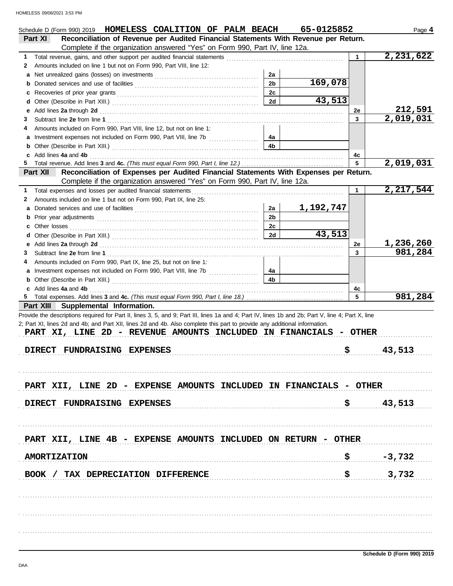|   | Schedule D (Form 990) 2019 HOMELESS COALITION OF PALM BEACH                                                                                                                                                                    |                | 65-0125852          |              | Page 4                 |
|---|--------------------------------------------------------------------------------------------------------------------------------------------------------------------------------------------------------------------------------|----------------|---------------------|--------------|------------------------|
|   | Reconciliation of Revenue per Audited Financial Statements With Revenue per Return.<br>Part XI                                                                                                                                 |                |                     |              |                        |
|   | Complete if the organization answered "Yes" on Form 990, Part IV, line 12a.                                                                                                                                                    |                |                     |              |                        |
| 1 | Total revenue, gains, and other support per audited financial statements [11] [11] Total revenues controlled in the statements and other statements and other statements and other statements and other statements and other s |                |                     | $\mathbf{1}$ | 2,231,622              |
| 2 | Amounts included on line 1 but not on Form 990, Part VIII, line 12:                                                                                                                                                            |                |                     |              |                        |
|   |                                                                                                                                                                                                                                | 2a             |                     |              |                        |
|   |                                                                                                                                                                                                                                | 2 <sub>b</sub> | 169,078             |              |                        |
| c |                                                                                                                                                                                                                                | 2c             |                     |              |                        |
|   |                                                                                                                                                                                                                                | 2d             | 43,513              |              |                        |
| е | Add lines 2a through 2d [11] March 2014 [12] March 2014 [12] March 2014 [12] March 2014 [12] March 2014 [12] March 2015 [12] March 2015 [12] March 2015 [12] March 2015 [12] March 2015 [12] March 2015 [12] March 2015 [12] M |                |                     | 2e           | 212,591                |
| 3 |                                                                                                                                                                                                                                |                |                     | 3            | $\overline{2,019,031}$ |
| 4 | Amounts included on Form 990, Part VIII, line 12, but not on line 1:                                                                                                                                                           |                |                     |              |                        |
| а |                                                                                                                                                                                                                                | 4a             |                     |              |                        |
| b |                                                                                                                                                                                                                                | 4b             |                     |              |                        |
| c | Add lines 4a and 4b                                                                                                                                                                                                            |                |                     | 4c           |                        |
| 5 |                                                                                                                                                                                                                                |                |                     | 5            | 2,019,031              |
|   | Reconciliation of Expenses per Audited Financial Statements With Expenses per Return.<br>Part XII                                                                                                                              |                |                     |              |                        |
|   | Complete if the organization answered "Yes" on Form 990, Part IV, line 12a.                                                                                                                                                    |                |                     |              |                        |
| 1 | Total expenses and losses per audited financial statements                                                                                                                                                                     |                |                     | 1            | 2,217,544              |
| 2 | Amounts included on line 1 but not on Form 990, Part IX, line 25:                                                                                                                                                              |                |                     |              |                        |
|   |                                                                                                                                                                                                                                | 2a             | 1,192,747           |              |                        |
| b |                                                                                                                                                                                                                                | 2 <sub>b</sub> |                     |              |                        |
| c |                                                                                                                                                                                                                                | 2c             |                     |              |                        |
| d |                                                                                                                                                                                                                                | 2d             | $\overline{43,513}$ |              |                        |
| е | Add lines 2a through 2d [11] Additional Property and Property and Property and Property and Property and Property and Property and Property and Property and Property and Property and Property and Property and Property and  |                |                     | 2e           | 1,236,260              |
| 3 |                                                                                                                                                                                                                                |                |                     | 3            | 981,284                |
| 4 | Amounts included on Form 990, Part IX, line 25, but not on line 1:                                                                                                                                                             |                |                     |              |                        |
| а |                                                                                                                                                                                                                                | 4a             |                     |              |                        |
| b |                                                                                                                                                                                                                                | 4b             |                     |              |                        |
|   | c Add lines 4a and 4b                                                                                                                                                                                                          |                |                     | 4c           |                        |
| 5 |                                                                                                                                                                                                                                |                |                     | 5            | 981,284                |
|   | Part XIII Supplemental Information.                                                                                                                                                                                            |                |                     |              |                        |
|   | Provide the descriptions required for Part II, lines 3, 5, and 9; Part III, lines 1a and 4; Part IV, lines 1b and 2b; Part V, line 4; Part X, line                                                                             |                |                     |              |                        |
|   | 2; Part XI, lines 2d and 4b; and Part XII, lines 2d and 4b. Also complete this part to provide any additional information.                                                                                                     |                |                     |              |                        |
|   | PART XI, LINE 2D - REVENUE AMOUNTS INCLUDED IN FINANCIALS - OTHER                                                                                                                                                              |                |                     |              |                        |
|   |                                                                                                                                                                                                                                |                |                     |              |                        |
|   | FUNDRAISING EXPENSES<br><b>DIRECT</b>                                                                                                                                                                                          |                | \$                  |              | 43,513                 |
|   |                                                                                                                                                                                                                                |                |                     |              |                        |
|   |                                                                                                                                                                                                                                |                |                     |              |                        |
|   |                                                                                                                                                                                                                                |                |                     |              |                        |
|   | - EXPENSE AMOUNTS INCLUDED IN FINANCIALS - OTHER<br>PART XII, LINE 2D                                                                                                                                                          |                |                     |              |                        |
|   |                                                                                                                                                                                                                                |                |                     |              |                        |
|   | <b>FUNDRAISING EXPENSES</b><br>DIRECT                                                                                                                                                                                          |                | \$                  |              | 43,513                 |
|   |                                                                                                                                                                                                                                |                |                     |              |                        |
|   |                                                                                                                                                                                                                                |                |                     |              |                        |
|   |                                                                                                                                                                                                                                |                |                     |              |                        |
|   | PART XII, LINE 4B - EXPENSE AMOUNTS INCLUDED ON RETURN - OTHER                                                                                                                                                                 |                |                     |              |                        |
|   |                                                                                                                                                                                                                                |                |                     |              |                        |
|   | <b>AMORTIZATION</b>                                                                                                                                                                                                            |                |                     |              | $-3,732$               |
|   |                                                                                                                                                                                                                                |                |                     |              |                        |
|   | / TAX DEPRECIATION DIFFERENCE<br><b>BOOK</b>                                                                                                                                                                                   |                | \$                  |              | 3,732                  |
|   |                                                                                                                                                                                                                                |                |                     |              |                        |
|   |                                                                                                                                                                                                                                |                |                     |              |                        |
|   |                                                                                                                                                                                                                                |                |                     |              |                        |
|   |                                                                                                                                                                                                                                |                |                     |              |                        |
|   |                                                                                                                                                                                                                                |                |                     |              |                        |
|   |                                                                                                                                                                                                                                |                |                     |              |                        |
|   |                                                                                                                                                                                                                                |                |                     |              |                        |
|   |                                                                                                                                                                                                                                |                |                     |              |                        |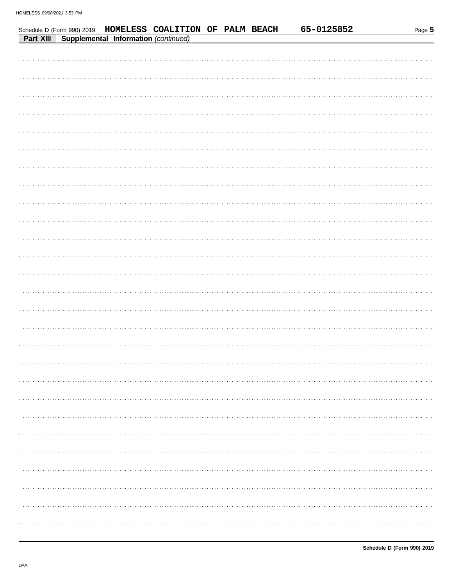|  |  | Schedule D (Form 990) 2019 HOMELESS COALITION OF PALM BEACH<br>Part XIII Supplemental Information (continued) |  | 65-0125852 | Page 5 |
|--|--|---------------------------------------------------------------------------------------------------------------|--|------------|--------|
|  |  |                                                                                                               |  |            |        |
|  |  |                                                                                                               |  |            |        |
|  |  |                                                                                                               |  |            |        |
|  |  |                                                                                                               |  |            |        |
|  |  |                                                                                                               |  |            |        |
|  |  |                                                                                                               |  |            |        |
|  |  |                                                                                                               |  |            |        |
|  |  |                                                                                                               |  |            |        |
|  |  |                                                                                                               |  |            |        |
|  |  |                                                                                                               |  |            |        |
|  |  |                                                                                                               |  |            |        |
|  |  |                                                                                                               |  |            |        |
|  |  |                                                                                                               |  |            |        |
|  |  |                                                                                                               |  |            |        |
|  |  |                                                                                                               |  |            |        |
|  |  |                                                                                                               |  |            |        |
|  |  |                                                                                                               |  |            |        |
|  |  |                                                                                                               |  |            |        |
|  |  |                                                                                                               |  |            |        |
|  |  |                                                                                                               |  |            |        |
|  |  |                                                                                                               |  |            |        |
|  |  |                                                                                                               |  |            |        |
|  |  |                                                                                                               |  |            |        |
|  |  |                                                                                                               |  |            |        |
|  |  |                                                                                                               |  |            |        |
|  |  |                                                                                                               |  |            |        |
|  |  |                                                                                                               |  |            |        |
|  |  |                                                                                                               |  |            |        |
|  |  |                                                                                                               |  |            |        |
|  |  |                                                                                                               |  |            |        |
|  |  |                                                                                                               |  |            |        |
|  |  |                                                                                                               |  |            |        |
|  |  |                                                                                                               |  |            |        |
|  |  |                                                                                                               |  |            |        |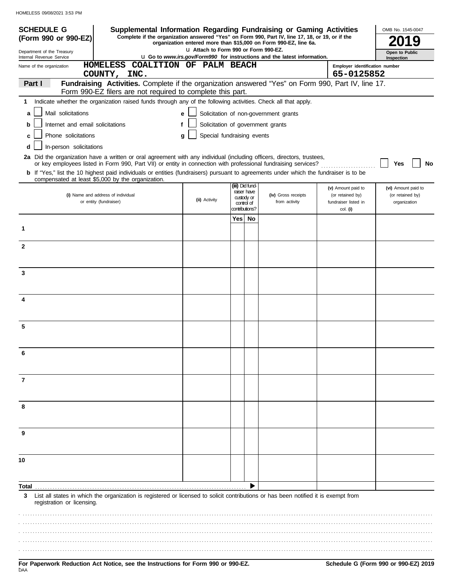| <b>SCHEDULE G</b><br>Supplemental Information Regarding Fundraising or Gaming Activities                                                                                                                                                 |                                      |                                                                              |    |                                                                          |                                                                            | OMB No. 1545-0047                                       |
|------------------------------------------------------------------------------------------------------------------------------------------------------------------------------------------------------------------------------------------|--------------------------------------|------------------------------------------------------------------------------|----|--------------------------------------------------------------------------|----------------------------------------------------------------------------|---------------------------------------------------------|
| Complete if the organization answered "Yes" on Form 990, Part IV, line 17, 18, or 19, or if the<br>(Form 990 or 990-EZ)                                                                                                                  |                                      |                                                                              |    | organization entered more than \$15,000 on Form 990-EZ, line 6a.         |                                                                            |                                                         |
| Department of the Treasury<br>Internal Revenue Service                                                                                                                                                                                   | U Attach to Form 990 or Form 990-EZ. |                                                                              |    | U Go to www.irs.gov/Form990 for instructions and the latest information. |                                                                            | Open to Public<br>Inspection                            |
| HOMELESS COALITION OF PALM BEACH<br>Name of the organization<br>COUNTY,<br>INC.                                                                                                                                                          |                                      |                                                                              |    |                                                                          | Employer identification number<br>65-0125852                               |                                                         |
| Fundraising Activities. Complete if the organization answered "Yes" on Form 990, Part IV, line 17.<br>Part I                                                                                                                             |                                      |                                                                              |    |                                                                          |                                                                            |                                                         |
| Form 990-EZ filers are not required to complete this part.                                                                                                                                                                               |                                      |                                                                              |    |                                                                          |                                                                            |                                                         |
| Indicate whether the organization raised funds through any of the following activities. Check all that apply.<br>1.                                                                                                                      |                                      |                                                                              |    |                                                                          |                                                                            |                                                         |
| Mail solicitations<br>a                                                                                                                                                                                                                  | e                                    |                                                                              |    | Solicitation of non-government grants                                    |                                                                            |                                                         |
| Internet and email solicitations<br>b                                                                                                                                                                                                    | f                                    |                                                                              |    | Solicitation of government grants                                        |                                                                            |                                                         |
| Phone solicitations<br>c                                                                                                                                                                                                                 | Special fundraising events<br>q      |                                                                              |    |                                                                          |                                                                            |                                                         |
| In-person solicitations<br>d                                                                                                                                                                                                             |                                      |                                                                              |    |                                                                          |                                                                            |                                                         |
| 2a Did the organization have a written or oral agreement with any individual (including officers, directors, trustees,<br>or key employees listed in Form 990, Part VII) or entity in connection with professional fundraising services? |                                      |                                                                              |    |                                                                          |                                                                            | No<br>Yes                                               |
| b If "Yes," list the 10 highest paid individuals or entities (fundraisers) pursuant to agreements under which the fundraiser is to be<br>compensated at least \$5,000 by the organization.                                               |                                      |                                                                              |    |                                                                          |                                                                            |                                                         |
| (i) Name and address of individual<br>or entity (fundraiser)                                                                                                                                                                             | (ii) Activity                        | (iii) Did fund-<br>raiser have<br>custody or<br>control of<br>contributions? |    | (iv) Gross receipts<br>from activity                                     | (v) Amount paid to<br>(or retained by)<br>fundraiser listed in<br>col. (i) | (vi) Amount paid to<br>(or retained by)<br>organization |
|                                                                                                                                                                                                                                          |                                      | Yes I                                                                        | No |                                                                          |                                                                            |                                                         |
| 1                                                                                                                                                                                                                                        |                                      |                                                                              |    |                                                                          |                                                                            |                                                         |
| $\mathbf{2}$                                                                                                                                                                                                                             |                                      |                                                                              |    |                                                                          |                                                                            |                                                         |
| 3                                                                                                                                                                                                                                        |                                      |                                                                              |    |                                                                          |                                                                            |                                                         |
|                                                                                                                                                                                                                                          |                                      |                                                                              |    |                                                                          |                                                                            |                                                         |
|                                                                                                                                                                                                                                          |                                      |                                                                              |    |                                                                          |                                                                            |                                                         |
| 5                                                                                                                                                                                                                                        |                                      |                                                                              |    |                                                                          |                                                                            |                                                         |
|                                                                                                                                                                                                                                          |                                      |                                                                              |    |                                                                          |                                                                            |                                                         |
|                                                                                                                                                                                                                                          |                                      |                                                                              |    |                                                                          |                                                                            |                                                         |
| 7                                                                                                                                                                                                                                        |                                      |                                                                              |    |                                                                          |                                                                            |                                                         |
| 8                                                                                                                                                                                                                                        |                                      |                                                                              |    |                                                                          |                                                                            |                                                         |
| 9                                                                                                                                                                                                                                        |                                      |                                                                              |    |                                                                          |                                                                            |                                                         |
|                                                                                                                                                                                                                                          |                                      |                                                                              |    |                                                                          |                                                                            |                                                         |
| 10                                                                                                                                                                                                                                       |                                      |                                                                              |    |                                                                          |                                                                            |                                                         |
| Total                                                                                                                                                                                                                                    |                                      |                                                                              |    |                                                                          |                                                                            |                                                         |
| List all states in which the organization is registered or licensed to solicit contributions or has been notified it is exempt from<br>3<br>registration or licensing.                                                                   |                                      |                                                                              |    |                                                                          |                                                                            |                                                         |
|                                                                                                                                                                                                                                          |                                      |                                                                              |    |                                                                          |                                                                            |                                                         |
|                                                                                                                                                                                                                                          |                                      |                                                                              |    |                                                                          |                                                                            |                                                         |

.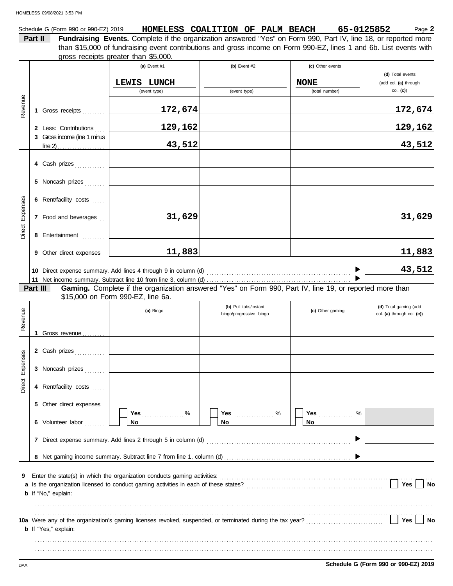|         | Schedule G (Form 990 or 990-EZ) 2019 | HOMELESS COALITION OF PALM BEACH |  | 65-0125852                                                                                                             | Page 2 |
|---------|--------------------------------------|----------------------------------|--|------------------------------------------------------------------------------------------------------------------------|--------|
| Part II |                                      |                                  |  | <b>Fundraising Events.</b> Complete if the organization answered "Yes" on Form 990, Part IV, line 18, or reported more |        |
|         |                                      |                                  |  | than \$15,000 of fundraising event contributions and gross income on Form 990-EZ, lines 1 and 6b. List events with     |        |
|         | gross receipts greater than \$5,000. |                                  |  |                                                                                                                        |        |

|          |          |                              | (a) Event #1                                                                                                                                                                                                                                                                                                                                                                                                                                                | (b) Event $#2$          | (c) Other events |                                           |
|----------|----------|------------------------------|-------------------------------------------------------------------------------------------------------------------------------------------------------------------------------------------------------------------------------------------------------------------------------------------------------------------------------------------------------------------------------------------------------------------------------------------------------------|-------------------------|------------------|-------------------------------------------|
|          |          |                              | LEWIS LUNCH                                                                                                                                                                                                                                                                                                                                                                                                                                                 |                         | <b>NONE</b>      | (d) Total events<br>(add col. (a) through |
|          |          |                              | (event type)                                                                                                                                                                                                                                                                                                                                                                                                                                                | (event type)            | (total number)   | col. (c)                                  |
|          |          |                              |                                                                                                                                                                                                                                                                                                                                                                                                                                                             |                         |                  |                                           |
| Revenue  |          | 1 Gross receipts             | 172,674                                                                                                                                                                                                                                                                                                                                                                                                                                                     |                         |                  | <u>172,674</u>                            |
|          |          | 2 Less: Contributions        | 129,162                                                                                                                                                                                                                                                                                                                                                                                                                                                     |                         |                  | 129,162                                   |
|          |          | 3 Gross income (line 1 minus |                                                                                                                                                                                                                                                                                                                                                                                                                                                             |                         |                  |                                           |
|          |          |                              | 43,512                                                                                                                                                                                                                                                                                                                                                                                                                                                      |                         |                  | 43,512                                    |
|          |          |                              |                                                                                                                                                                                                                                                                                                                                                                                                                                                             |                         |                  |                                           |
|          |          | 4 Cash prizes                |                                                                                                                                                                                                                                                                                                                                                                                                                                                             |                         |                  |                                           |
|          |          | 5 Noncash prizes             |                                                                                                                                                                                                                                                                                                                                                                                                                                                             |                         |                  |                                           |
|          |          | 6 Rent/facility costs        |                                                                                                                                                                                                                                                                                                                                                                                                                                                             |                         |                  |                                           |
| Expenses |          |                              |                                                                                                                                                                                                                                                                                                                                                                                                                                                             |                         |                  |                                           |
|          |          | 7 Food and beverages         | 31,629                                                                                                                                                                                                                                                                                                                                                                                                                                                      |                         |                  | 31,629                                    |
| Direct   |          |                              |                                                                                                                                                                                                                                                                                                                                                                                                                                                             |                         |                  |                                           |
|          |          | 8 Entertainment              |                                                                                                                                                                                                                                                                                                                                                                                                                                                             |                         |                  |                                           |
|          |          | 9 Other direct expenses      | 11,883                                                                                                                                                                                                                                                                                                                                                                                                                                                      |                         |                  | 11,883                                    |
|          |          |                              |                                                                                                                                                                                                                                                                                                                                                                                                                                                             |                         |                  |                                           |
|          |          |                              |                                                                                                                                                                                                                                                                                                                                                                                                                                                             |                         |                  | 43,512                                    |
|          | Part III |                              | Gaming. Complete if the organization answered "Yes" on Form 990, Part IV, line 19, or reported more than                                                                                                                                                                                                                                                                                                                                                    |                         |                  |                                           |
|          |          |                              | \$15,000 on Form 990-EZ, line 6a.                                                                                                                                                                                                                                                                                                                                                                                                                           |                         |                  |                                           |
|          |          |                              | (a) Bingo                                                                                                                                                                                                                                                                                                                                                                                                                                                   | (b) Pull tabs/instant   | (c) Other gaming | (d) Total gaming (add                     |
| Revenue  |          |                              |                                                                                                                                                                                                                                                                                                                                                                                                                                                             | bingo/progressive bingo |                  | col. (a) through col. (c))                |
|          |          |                              |                                                                                                                                                                                                                                                                                                                                                                                                                                                             |                         |                  |                                           |
|          |          | 1 Gross revenue              |                                                                                                                                                                                                                                                                                                                                                                                                                                                             |                         |                  |                                           |
|          |          |                              |                                                                                                                                                                                                                                                                                                                                                                                                                                                             |                         |                  |                                           |
|          |          |                              |                                                                                                                                                                                                                                                                                                                                                                                                                                                             |                         |                  |                                           |
| Expenses |          | 3 Noncash prizes             | $\mathcal{L}(\mathcal{L}(\mathcal{L}(\mathcal{L}(\mathcal{L}(\mathcal{L}(\mathcal{L}(\mathcal{L}(\mathcal{L}(\mathcal{L}(\mathcal{L}(\mathcal{L}(\mathcal{L}(\mathcal{L}(\mathcal{L}(\mathcal{L}(\mathcal{L}(\mathcal{L}(\mathcal{L}(\mathcal{L}(\mathcal{L}(\mathcal{L}(\mathcal{L}(\mathcal{L}(\mathcal{L}(\mathcal{L}(\mathcal{L}(\mathcal{L}(\mathcal{L}(\mathcal{L}(\mathcal{L}(\mathcal{L}(\mathcal{L}(\mathcal{L}(\mathcal{L}(\mathcal{L}(\mathcal{$ |                         |                  |                                           |
| Direct   |          | 4 Rent/facility costs        |                                                                                                                                                                                                                                                                                                                                                                                                                                                             |                         |                  |                                           |
|          |          | 5 Other direct expenses      |                                                                                                                                                                                                                                                                                                                                                                                                                                                             |                         |                  |                                           |
|          |          |                              | Yes<br>$\%$<br>a da da da da                                                                                                                                                                                                                                                                                                                                                                                                                                | Yes<br>%<br>.           | Yes<br>$\%$      |                                           |
|          |          | 6 Volunteer labor            | No                                                                                                                                                                                                                                                                                                                                                                                                                                                          | No                      | No               |                                           |
|          |          |                              |                                                                                                                                                                                                                                                                                                                                                                                                                                                             |                         |                  |                                           |
|          |          |                              |                                                                                                                                                                                                                                                                                                                                                                                                                                                             |                         |                  |                                           |
|          |          |                              |                                                                                                                                                                                                                                                                                                                                                                                                                                                             |                         |                  |                                           |
| 9        |          |                              |                                                                                                                                                                                                                                                                                                                                                                                                                                                             |                         |                  |                                           |
|          |          | <b>b</b> If "No," explain:   |                                                                                                                                                                                                                                                                                                                                                                                                                                                             |                         |                  | Yes<br>No                                 |
|          |          |                              |                                                                                                                                                                                                                                                                                                                                                                                                                                                             |                         |                  |                                           |
|          |          |                              |                                                                                                                                                                                                                                                                                                                                                                                                                                                             |                         |                  |                                           |
|          |          |                              | 10a Were any of the organization's gaming licenses revoked, suspended, or terminated during the tax year?<br>10a Were any of the organization's gaming licenses revoked, suspended, or terminated during the tax year?                                                                                                                                                                                                                                      |                         |                  | Yes<br>No                                 |
|          |          | <b>b</b> If "Yes," explain:  |                                                                                                                                                                                                                                                                                                                                                                                                                                                             |                         |                  |                                           |
|          |          |                              |                                                                                                                                                                                                                                                                                                                                                                                                                                                             |                         |                  |                                           |
|          |          |                              |                                                                                                                                                                                                                                                                                                                                                                                                                                                             |                         |                  |                                           |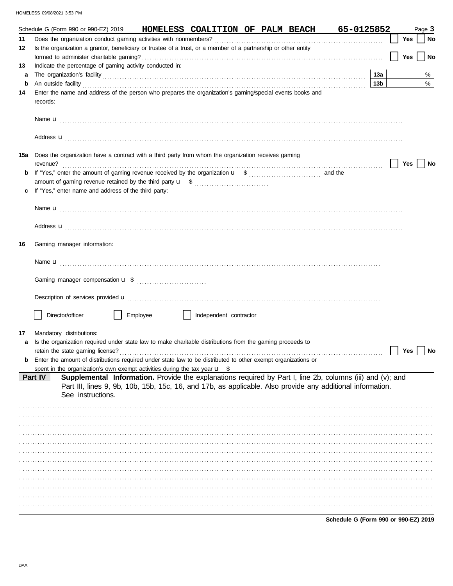|     | Schedule G (Form 990 or 990-EZ) 2019                                                                                                                                                                                                                                                                                                             |                                                                                                            | HOMELESS COALITION OF PALM BEACH 65-0125852 |  |  |                 |            | Page 3 |
|-----|--------------------------------------------------------------------------------------------------------------------------------------------------------------------------------------------------------------------------------------------------------------------------------------------------------------------------------------------------|------------------------------------------------------------------------------------------------------------|---------------------------------------------|--|--|-----------------|------------|--------|
| 11  |                                                                                                                                                                                                                                                                                                                                                  |                                                                                                            |                                             |  |  |                 | Yes        | No     |
| 12  | Is the organization a grantor, beneficiary or trustee of a trust, or a member of a partnership or other entity                                                                                                                                                                                                                                   |                                                                                                            |                                             |  |  |                 |            |        |
|     |                                                                                                                                                                                                                                                                                                                                                  |                                                                                                            |                                             |  |  |                 | Yes        | No     |
| 13  | Indicate the percentage of gaming activity conducted in:                                                                                                                                                                                                                                                                                         |                                                                                                            |                                             |  |  |                 |            |        |
| a   |                                                                                                                                                                                                                                                                                                                                                  |                                                                                                            |                                             |  |  | 13a             |            | %      |
| b   | An outside facility <b>contained a set of the contract of the contract of the contract of the contract of the contract of the contract of the contract of the contract of the contract of the contract of the contract of the co</b><br>Enter the name and address of the person who prepares the organization's gaming/special events books and |                                                                                                            |                                             |  |  | 13 <sub>b</sub> |            | %      |
| 14  | records:                                                                                                                                                                                                                                                                                                                                         |                                                                                                            |                                             |  |  |                 |            |        |
|     |                                                                                                                                                                                                                                                                                                                                                  |                                                                                                            |                                             |  |  |                 |            |        |
|     | Address <b>u</b>                                                                                                                                                                                                                                                                                                                                 |                                                                                                            |                                             |  |  |                 |            |        |
| 15a | Does the organization have a contract with a third party from whom the organization receives gaming<br>revenue?                                                                                                                                                                                                                                  |                                                                                                            |                                             |  |  |                 | Yes        | No     |
| b   |                                                                                                                                                                                                                                                                                                                                                  |                                                                                                            |                                             |  |  |                 |            |        |
|     |                                                                                                                                                                                                                                                                                                                                                  |                                                                                                            |                                             |  |  |                 |            |        |
| c   | If "Yes," enter name and address of the third party:                                                                                                                                                                                                                                                                                             |                                                                                                            |                                             |  |  |                 |            |        |
|     |                                                                                                                                                                                                                                                                                                                                                  |                                                                                                            |                                             |  |  |                 |            |        |
|     |                                                                                                                                                                                                                                                                                                                                                  |                                                                                                            |                                             |  |  |                 |            |        |
|     | Address <b>u</b>                                                                                                                                                                                                                                                                                                                                 |                                                                                                            |                                             |  |  |                 |            |        |
| 16  | Gaming manager information:                                                                                                                                                                                                                                                                                                                      |                                                                                                            |                                             |  |  |                 |            |        |
|     |                                                                                                                                                                                                                                                                                                                                                  |                                                                                                            |                                             |  |  |                 |            |        |
|     |                                                                                                                                                                                                                                                                                                                                                  |                                                                                                            |                                             |  |  |                 |            |        |
|     | Description of services provided <b>u</b> electron contract the contract of the contract of the contract of the contract of the contract of the contract of the contract of the contract of the contract of the contract of the con                                                                                                              |                                                                                                            |                                             |  |  |                 |            |        |
|     | Director/officer                                                                                                                                                                                                                                                                                                                                 | Employee                                                                                                   | Independent contractor                      |  |  |                 |            |        |
| 17  |                                                                                                                                                                                                                                                                                                                                                  |                                                                                                            |                                             |  |  |                 |            |        |
| a   | Mandatory distributions:<br>Is the organization required under state law to make charitable distributions from the gaming proceeds to                                                                                                                                                                                                            |                                                                                                            |                                             |  |  |                 |            |        |
|     | retain the state gaming license?                                                                                                                                                                                                                                                                                                                 |                                                                                                            |                                             |  |  |                 | <b>Yes</b> | No     |
| b   | Enter the amount of distributions required under state law to be distributed to other exempt organizations or                                                                                                                                                                                                                                    |                                                                                                            |                                             |  |  |                 |            |        |
|     | spent in the organization's own exempt activities during the tax year $\frac{u}{s}$                                                                                                                                                                                                                                                              |                                                                                                            |                                             |  |  |                 |            |        |
|     | Part IV                                                                                                                                                                                                                                                                                                                                          | Supplemental Information. Provide the explanations required by Part I, line 2b, columns (iii) and (v); and |                                             |  |  |                 |            |        |
|     |                                                                                                                                                                                                                                                                                                                                                  | Part III, lines 9, 9b, 10b, 15b, 15c, 16, and 17b, as applicable. Also provide any additional information. |                                             |  |  |                 |            |        |
|     | See instructions.                                                                                                                                                                                                                                                                                                                                |                                                                                                            |                                             |  |  |                 |            |        |
|     |                                                                                                                                                                                                                                                                                                                                                  |                                                                                                            |                                             |  |  |                 |            |        |
|     |                                                                                                                                                                                                                                                                                                                                                  |                                                                                                            |                                             |  |  |                 |            |        |
|     |                                                                                                                                                                                                                                                                                                                                                  |                                                                                                            |                                             |  |  |                 |            |        |
|     |                                                                                                                                                                                                                                                                                                                                                  |                                                                                                            |                                             |  |  |                 |            |        |
|     |                                                                                                                                                                                                                                                                                                                                                  |                                                                                                            |                                             |  |  |                 |            |        |
|     |                                                                                                                                                                                                                                                                                                                                                  |                                                                                                            |                                             |  |  |                 |            |        |
|     |                                                                                                                                                                                                                                                                                                                                                  |                                                                                                            |                                             |  |  |                 |            |        |
|     |                                                                                                                                                                                                                                                                                                                                                  |                                                                                                            |                                             |  |  |                 |            |        |
|     |                                                                                                                                                                                                                                                                                                                                                  |                                                                                                            |                                             |  |  |                 |            |        |
|     |                                                                                                                                                                                                                                                                                                                                                  |                                                                                                            |                                             |  |  |                 |            |        |
|     |                                                                                                                                                                                                                                                                                                                                                  |                                                                                                            |                                             |  |  |                 |            |        |
|     |                                                                                                                                                                                                                                                                                                                                                  |                                                                                                            |                                             |  |  |                 |            |        |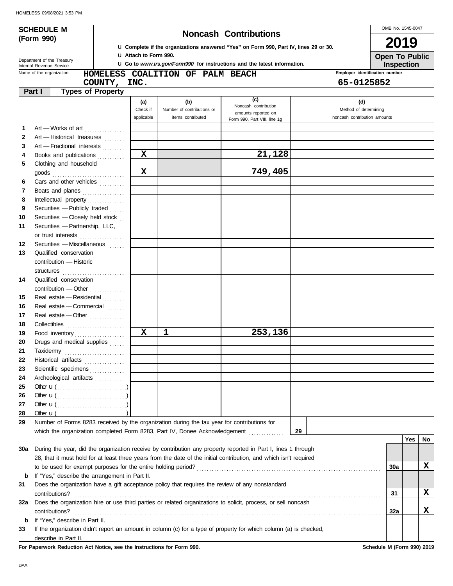| <b>SCHEDULE M</b><br>(Form 990) |                                                                                                                                                                                           |  |                       |   |                            |                                                                                      |    | OMB No. 1545-0047              |                       |     |    |
|---------------------------------|-------------------------------------------------------------------------------------------------------------------------------------------------------------------------------------------|--|-----------------------|---|----------------------------|--------------------------------------------------------------------------------------|----|--------------------------------|-----------------------|-----|----|
|                                 |                                                                                                                                                                                           |  |                       |   |                            | <b>Noncash Contributions</b>                                                         |    |                                | 2019                  |     |    |
|                                 |                                                                                                                                                                                           |  |                       |   |                            | U Complete if the organizations answered "Yes" on Form 990, Part IV, lines 29 or 30. |    |                                |                       |     |    |
|                                 | Department of the Treasury                                                                                                                                                                |  | U Attach to Form 990. |   |                            | U Go to www.irs.gov/Form990 for instructions and the latest information.             |    |                                | <b>Open To Public</b> |     |    |
|                                 | Internal Revenue Service<br>Name of the organization                                                                                                                                      |  |                       |   |                            | HOMELESS COALITION OF PALM BEACH                                                     |    | Employer identification number | Inspection            |     |    |
|                                 | COUNTY,                                                                                                                                                                                   |  | INC.                  |   |                            |                                                                                      |    | 65-0125852                     |                       |     |    |
|                                 | <b>Types of Property</b><br>Part I                                                                                                                                                        |  |                       |   |                            |                                                                                      |    |                                |                       |     |    |
|                                 |                                                                                                                                                                                           |  | (a)                   |   | (b)                        | (c)                                                                                  |    | (d)                            |                       |     |    |
|                                 |                                                                                                                                                                                           |  | Check if              |   | Number of contributions or | Noncash contribution<br>amounts reported on                                          |    | Method of determining          |                       |     |    |
|                                 |                                                                                                                                                                                           |  | applicable            |   | items contributed          | Form 990, Part VIII, line 1g                                                         |    | noncash contribution amounts   |                       |     |    |
| 1                               | Art - Works of art                                                                                                                                                                        |  |                       |   |                            |                                                                                      |    |                                |                       |     |    |
| $\mathbf{2}$                    | Art - Historical treasures                                                                                                                                                                |  |                       |   |                            |                                                                                      |    |                                |                       |     |    |
| 3                               | Art - Fractional interests                                                                                                                                                                |  |                       |   |                            |                                                                                      |    |                                |                       |     |    |
| 4                               | Books and publications                                                                                                                                                                    |  | $\mathbf x$           |   |                            | 21,128                                                                               |    |                                |                       |     |    |
| 5                               | Clothing and household                                                                                                                                                                    |  |                       |   |                            |                                                                                      |    |                                |                       |     |    |
|                                 |                                                                                                                                                                                           |  | X                     |   |                            | 749,405                                                                              |    |                                |                       |     |    |
| 6                               | Cars and other vehicles                                                                                                                                                                   |  |                       |   |                            |                                                                                      |    |                                |                       |     |    |
| 7                               | Boats and planes                                                                                                                                                                          |  |                       |   |                            |                                                                                      |    |                                |                       |     |    |
| 8                               | Intellectual property                                                                                                                                                                     |  |                       |   |                            |                                                                                      |    |                                |                       |     |    |
| 9                               | Securities - Publicly traded                                                                                                                                                              |  |                       |   |                            |                                                                                      |    |                                |                       |     |    |
| 10                              | Securities - Closely held stock                                                                                                                                                           |  |                       |   |                            |                                                                                      |    |                                |                       |     |    |
| 11                              | Securities - Partnership, LLC,                                                                                                                                                            |  |                       |   |                            |                                                                                      |    |                                |                       |     |    |
| 12                              | or trust interests<br>Securities - Miscellaneous                                                                                                                                          |  |                       |   |                            |                                                                                      |    |                                |                       |     |    |
| 13                              | Qualified conservation                                                                                                                                                                    |  |                       |   |                            |                                                                                      |    |                                |                       |     |    |
|                                 | contribution - Historic                                                                                                                                                                   |  |                       |   |                            |                                                                                      |    |                                |                       |     |    |
|                                 | structures                                                                                                                                                                                |  |                       |   |                            |                                                                                      |    |                                |                       |     |    |
| 14                              | Qualified conservation                                                                                                                                                                    |  |                       |   |                            |                                                                                      |    |                                |                       |     |    |
|                                 | contribution - Other                                                                                                                                                                      |  |                       |   |                            |                                                                                      |    |                                |                       |     |    |
| 15                              | Real estate - Residential                                                                                                                                                                 |  |                       |   |                            |                                                                                      |    |                                |                       |     |    |
| 16                              | Real estate - Commercial                                                                                                                                                                  |  |                       |   |                            |                                                                                      |    |                                |                       |     |    |
| 17                              | Real estate - Other                                                                                                                                                                       |  |                       |   |                            |                                                                                      |    |                                |                       |     |    |
| 18                              |                                                                                                                                                                                           |  |                       |   |                            |                                                                                      |    |                                |                       |     |    |
| 19                              | Food inventory                                                                                                                                                                            |  | $\mathbf x$           | 1 |                            | 253,136                                                                              |    |                                |                       |     |    |
| 20                              | Drugs and medical supplies                                                                                                                                                                |  |                       |   |                            |                                                                                      |    |                                |                       |     |    |
| 21                              | Taxidermy                                                                                                                                                                                 |  |                       |   |                            |                                                                                      |    |                                |                       |     |    |
| 22                              | Historical artifacts                                                                                                                                                                      |  |                       |   |                            |                                                                                      |    |                                |                       |     |    |
| 23                              | Scientific specimens                                                                                                                                                                      |  |                       |   |                            |                                                                                      |    |                                |                       |     |    |
| 24                              | Archeological artifacts                                                                                                                                                                   |  |                       |   |                            |                                                                                      |    |                                |                       |     |    |
| 25                              |                                                                                                                                                                                           |  |                       |   |                            |                                                                                      |    |                                |                       |     |    |
| 26                              |                                                                                                                                                                                           |  |                       |   |                            |                                                                                      |    |                                |                       |     |    |
| 27                              |                                                                                                                                                                                           |  |                       |   |                            |                                                                                      |    |                                |                       |     |    |
| 28                              | Other $U($                                                                                                                                                                                |  |                       |   |                            |                                                                                      |    |                                |                       |     |    |
| 29                              | Number of Forms 8283 received by the organization during the tax year for contributions for<br>which the organization completed Form 8283, Part IV, Donee Acknowledgement [ [ [ [ [ ] ] ] |  |                       |   |                            |                                                                                      | 29 |                                |                       |     |    |
|                                 |                                                                                                                                                                                           |  |                       |   |                            |                                                                                      |    |                                |                       | Yes | No |
| 30a                             | During the year, did the organization receive by contribution any property reported in Part I, lines 1 through                                                                            |  |                       |   |                            |                                                                                      |    |                                |                       |     |    |
|                                 | 28, that it must hold for at least three years from the date of the initial contribution, and which isn't required                                                                        |  |                       |   |                            |                                                                                      |    |                                |                       |     |    |
|                                 |                                                                                                                                                                                           |  |                       |   |                            |                                                                                      |    |                                | 30a                   |     | x  |
| b                               | If "Yes," describe the arrangement in Part II.                                                                                                                                            |  |                       |   |                            |                                                                                      |    |                                |                       |     |    |
| 31                              | Does the organization have a gift acceptance policy that requires the review of any nonstandard                                                                                           |  |                       |   |                            |                                                                                      |    |                                |                       |     |    |
|                                 | contributions?                                                                                                                                                                            |  |                       |   |                            |                                                                                      |    |                                | 31                    |     | x  |
| 32a                             | Does the organization hire or use third parties or related organizations to solicit, process, or sell noncash                                                                             |  |                       |   |                            |                                                                                      |    |                                |                       |     |    |
|                                 | contributions?                                                                                                                                                                            |  |                       |   |                            |                                                                                      |    |                                | 32a                   |     | x  |
| b                               | If "Yes," describe in Part II.                                                                                                                                                            |  |                       |   |                            |                                                                                      |    |                                |                       |     |    |
| 33                              | If the organization didn't report an amount in column (c) for a type of property for which column (a) is checked,                                                                         |  |                       |   |                            |                                                                                      |    |                                |                       |     |    |
|                                 | describe in Part II.                                                                                                                                                                      |  |                       |   |                            |                                                                                      |    |                                |                       |     |    |

**For Paperwork Reduction Act Notice, see the Instructions for Form 990. Schedule M (Form 990) 2019**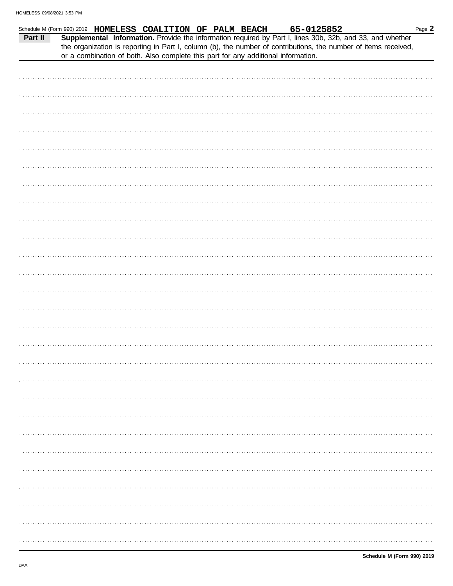|         | Schedule M (Form 990) 2019 HOMELESS COALITION OF PALM BEACH |  |  |  |  | 65-0125852                                                                        |                                                                                                                                                                                                                              | Page 2 |
|---------|-------------------------------------------------------------|--|--|--|--|-----------------------------------------------------------------------------------|------------------------------------------------------------------------------------------------------------------------------------------------------------------------------------------------------------------------------|--------|
| Part II |                                                             |  |  |  |  | or a combination of both. Also complete this part for any additional information. | Supplemental Information. Provide the information required by Part I, lines 30b, 32b, and 33, and whether<br>the organization is reporting in Part I, column (b), the number of contributions, the number of items received, |        |
|         |                                                             |  |  |  |  |                                                                                   |                                                                                                                                                                                                                              |        |
|         |                                                             |  |  |  |  |                                                                                   |                                                                                                                                                                                                                              |        |
|         |                                                             |  |  |  |  |                                                                                   |                                                                                                                                                                                                                              |        |
|         |                                                             |  |  |  |  |                                                                                   |                                                                                                                                                                                                                              |        |
|         |                                                             |  |  |  |  |                                                                                   |                                                                                                                                                                                                                              |        |
|         |                                                             |  |  |  |  |                                                                                   |                                                                                                                                                                                                                              |        |
|         |                                                             |  |  |  |  |                                                                                   |                                                                                                                                                                                                                              |        |
|         |                                                             |  |  |  |  |                                                                                   |                                                                                                                                                                                                                              |        |
|         |                                                             |  |  |  |  |                                                                                   |                                                                                                                                                                                                                              |        |
|         |                                                             |  |  |  |  |                                                                                   |                                                                                                                                                                                                                              |        |
|         |                                                             |  |  |  |  |                                                                                   |                                                                                                                                                                                                                              |        |
|         |                                                             |  |  |  |  |                                                                                   |                                                                                                                                                                                                                              |        |
|         |                                                             |  |  |  |  |                                                                                   |                                                                                                                                                                                                                              |        |
|         |                                                             |  |  |  |  |                                                                                   |                                                                                                                                                                                                                              |        |
|         |                                                             |  |  |  |  |                                                                                   |                                                                                                                                                                                                                              |        |
|         |                                                             |  |  |  |  |                                                                                   |                                                                                                                                                                                                                              |        |
|         |                                                             |  |  |  |  |                                                                                   |                                                                                                                                                                                                                              |        |
|         |                                                             |  |  |  |  |                                                                                   |                                                                                                                                                                                                                              |        |
|         |                                                             |  |  |  |  |                                                                                   |                                                                                                                                                                                                                              |        |
|         |                                                             |  |  |  |  |                                                                                   |                                                                                                                                                                                                                              |        |
|         |                                                             |  |  |  |  |                                                                                   |                                                                                                                                                                                                                              |        |
|         |                                                             |  |  |  |  |                                                                                   |                                                                                                                                                                                                                              |        |
|         |                                                             |  |  |  |  |                                                                                   |                                                                                                                                                                                                                              |        |
|         |                                                             |  |  |  |  |                                                                                   |                                                                                                                                                                                                                              |        |
|         |                                                             |  |  |  |  |                                                                                   |                                                                                                                                                                                                                              |        |
|         |                                                             |  |  |  |  |                                                                                   |                                                                                                                                                                                                                              |        |
|         |                                                             |  |  |  |  |                                                                                   |                                                                                                                                                                                                                              |        |
|         |                                                             |  |  |  |  |                                                                                   |                                                                                                                                                                                                                              |        |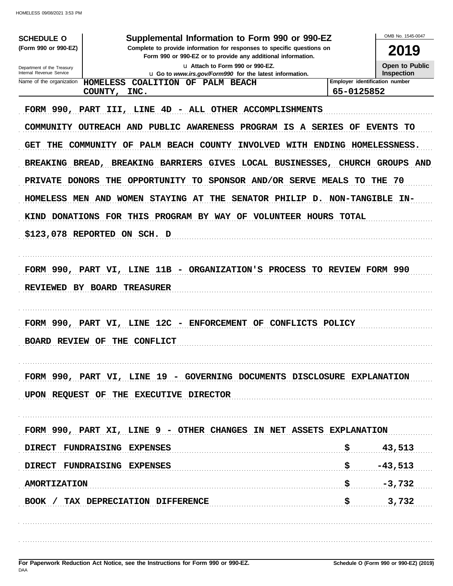| <b>SCHEDULE O</b>                                      | Supplemental Information to Form 990 or 990-EZ                                                                                                                                                                                                                                                                                                                                                                                                                                                                           |                                | OMB No. 1545-0047     |
|--------------------------------------------------------|--------------------------------------------------------------------------------------------------------------------------------------------------------------------------------------------------------------------------------------------------------------------------------------------------------------------------------------------------------------------------------------------------------------------------------------------------------------------------------------------------------------------------|--------------------------------|-----------------------|
| (Form 990 or 990-EZ)                                   | Complete to provide information for responses to specific questions on<br>Form 990 or 990-EZ or to provide any additional information.                                                                                                                                                                                                                                                                                                                                                                                   |                                | 2019                  |
| Department of the Treasury                             | U Attach to Form 990 or 990-EZ.                                                                                                                                                                                                                                                                                                                                                                                                                                                                                          |                                | <b>Open to Public</b> |
| Internal Revenue Service<br>Name of the organization   | U Go to www.irs.gov/Form990 for the latest information.<br><b>HOMELESS</b><br>COALITION OF PALM BEACH                                                                                                                                                                                                                                                                                                                                                                                                                    | Employer identification number | <b>Inspection</b>     |
|                                                        | COUNTY,<br>INC.                                                                                                                                                                                                                                                                                                                                                                                                                                                                                                          | 65-0125852                     |                       |
| <b>GET</b><br>THE<br>BREAKING BREAD,<br>PRIVATE DONORS | FORM 990, PART III, LINE 4D - ALL OTHER ACCOMPLISHMENTS<br>COMMUNITY OUTREACH AND PUBLIC AWARENESS PROGRAM IS<br>COMMUNITY OF PALM BEACH COUNTY<br>INVOLVED WITH ENDING HOMELESSNESS.<br>BREAKING BARRIERS GIVES LOCAL BUSINESSES, CHURCH GROUPS AND<br>SPONSOR AND/OR SERVE MEALS TO THE<br>THE OPPORTUNITY<br><b>TO</b><br>HOMELESS MEN AND WOMEN STAYING AT<br>THE<br>SENATOR PHILIP D. NON-TANGIBLE IN-<br>KIND DONATIONS FOR THIS PROGRAM BY WAY OF<br><b>VOLUNTEER HOURS TOTAL</b><br>\$123,078 REPORTED ON SCH. D | A SERIES OF EVENTS             | TO<br>-70             |
| REVIEWED BY BOARD                                      | FORM 990, PART VI, LINE 11B - ORGANIZATION'S PROCESS TO REVIEW FORM 990<br>TREASURER                                                                                                                                                                                                                                                                                                                                                                                                                                     |                                |                       |
| <b>BOARD REVIEW</b>                                    | FORM 990, PART VI, LINE 12C - ENFORCEMENT OF CONFLICTS POLICY<br><b>CONFLICT</b><br>OF<br>THE                                                                                                                                                                                                                                                                                                                                                                                                                            |                                |                       |
|                                                        | FORM 990, PART VI, LINE 19 - GOVERNING DOCUMENTS DISCLOSURE EXPLANATION<br>UPON REQUEST OF THE EXECUTIVE DIRECTOR                                                                                                                                                                                                                                                                                                                                                                                                        |                                |                       |
|                                                        | FORM 990, PART XI, LINE 9 - OTHER CHANGES IN NET ASSETS EXPLANATION                                                                                                                                                                                                                                                                                                                                                                                                                                                      |                                |                       |
|                                                        | DIRECT FUNDRAISING EXPENSES                                                                                                                                                                                                                                                                                                                                                                                                                                                                                              |                                | 43,513                |
|                                                        | DIRECT FUNDRAISING EXPENSES                                                                                                                                                                                                                                                                                                                                                                                                                                                                                              |                                | $$ -43,513$           |
| <b>AMORTIZATION</b>                                    |                                                                                                                                                                                                                                                                                                                                                                                                                                                                                                                          |                                | $-3,732$              |
|                                                        | BOOK / TAX DEPRECIATION DIFFERENCE                                                                                                                                                                                                                                                                                                                                                                                                                                                                                       |                                | \$732                 |
|                                                        |                                                                                                                                                                                                                                                                                                                                                                                                                                                                                                                          |                                |                       |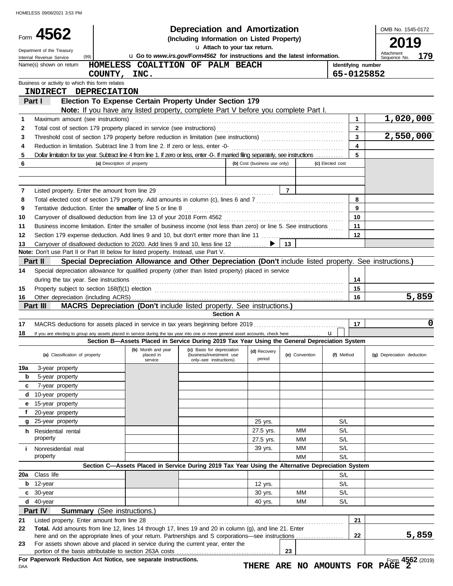|          | Form $4562$<br>Department of the Treasury<br>(99)<br>Internal Revenue Service                                                                                      | Lu Go to www.irs.gov/Form4562 for instructions and the latest information.                               | <b>Depreciation and Amortization</b><br>(Including Information on Listed Property) |                  |                              | OMB No. 1545-0172<br>19<br>Attachment<br>179<br>Sequence No. |                  |                         |                            |
|----------|--------------------------------------------------------------------------------------------------------------------------------------------------------------------|----------------------------------------------------------------------------------------------------------|------------------------------------------------------------------------------------|------------------|------------------------------|--------------------------------------------------------------|------------------|-------------------------|----------------------------|
|          | Name(s) shown on return                                                                                                                                            | HOMELESS COALITION OF PALM BEACH                                                                         |                                                                                    |                  |                              |                                                              |                  | Identifying number      |                            |
|          |                                                                                                                                                                    | COUNTY, INC.                                                                                             |                                                                                    |                  |                              |                                                              |                  | 65-0125852              |                            |
|          | Business or activity to which this form relates                                                                                                                    |                                                                                                          |                                                                                    |                  |                              |                                                              |                  |                         |                            |
|          | <b>INDIRECT DEPRECIATION</b>                                                                                                                                       |                                                                                                          |                                                                                    |                  |                              |                                                              |                  |                         |                            |
|          | Part I                                                                                                                                                             | Election To Expense Certain Property Under Section 179                                                   |                                                                                    |                  |                              |                                                              |                  |                         |                            |
|          |                                                                                                                                                                    | Note: If you have any listed property, complete Part V before you complete Part I.                       |                                                                                    |                  |                              |                                                              |                  |                         |                            |
| 1        | Maximum amount (see instructions)                                                                                                                                  |                                                                                                          |                                                                                    |                  |                              |                                                              |                  | $\mathbf{1}$            | 1,020,000                  |
| 2        |                                                                                                                                                                    |                                                                                                          |                                                                                    |                  |                              |                                                              |                  | $\overline{2}$          |                            |
| 3        |                                                                                                                                                                    |                                                                                                          |                                                                                    |                  |                              |                                                              |                  | 3                       | 2,550,000                  |
| 4        | Reduction in limitation. Subtract line 3 from line 2. If zero or less, enter -0-                                                                                   |                                                                                                          |                                                                                    |                  |                              |                                                              |                  | $\overline{\mathbf{4}}$ |                            |
| 5        | Dollar limitation for tax year. Subtract line 4 from line 1. If zero or less, enter -0-. If married filing separately, see instructions                            |                                                                                                          |                                                                                    |                  | (b) Cost (business use only) |                                                              | (c) Elected cost | 5                       |                            |
| 6        |                                                                                                                                                                    | (a) Description of property                                                                              |                                                                                    |                  |                              |                                                              |                  |                         |                            |
|          |                                                                                                                                                                    |                                                                                                          |                                                                                    |                  |                              |                                                              |                  |                         |                            |
|          |                                                                                                                                                                    |                                                                                                          |                                                                                    |                  |                              |                                                              |                  |                         |                            |
| 7        | Listed property. Enter the amount from line 29                                                                                                                     |                                                                                                          |                                                                                    |                  |                              |                                                              |                  |                         |                            |
| 8        | Total elected cost of section 179 property. Add amounts in column (c), lines 6 and 7 [[[[[[[[[[[[[[[[[[[[[[[[                                                      |                                                                                                          |                                                                                    |                  |                              |                                                              |                  | 8<br>9                  |                            |
| 9        | Tentative deduction. Enter the smaller of line 5 or line 8                                                                                                         |                                                                                                          |                                                                                    |                  |                              |                                                              |                  |                         |                            |
| 10       | Carryover of disallowed deduction from line 13 of your 2018 Form 4562                                                                                              |                                                                                                          |                                                                                    |                  |                              |                                                              |                  | 10                      |                            |
| 11       | Business income limitation. Enter the smaller of business income (not less than zero) or line 5. See instructions                                                  |                                                                                                          |                                                                                    |                  |                              |                                                              |                  | 11<br>12                |                            |
| 12       |                                                                                                                                                                    |                                                                                                          |                                                                                    |                  |                              |                                                              |                  |                         |                            |
| 13       | Carryover of disallowed deduction to 2020. Add lines 9 and 10, less line 12<br>Note: Don't use Part II or Part III below for listed property. Instead, use Part V. |                                                                                                          |                                                                                    |                  | ▶                            | 13                                                           |                  |                         |                            |
|          | Part II                                                                                                                                                            |                                                                                                          |                                                                                    |                  |                              |                                                              |                  |                         |                            |
|          |                                                                                                                                                                    | Special Depreciation Allowance and Other Depreciation (Don't include listed property. See instructions.) |                                                                                    |                  |                              |                                                              |                  |                         |                            |
| 14       | Special depreciation allowance for qualified property (other than listed property) placed in service                                                               |                                                                                                          |                                                                                    |                  |                              |                                                              |                  |                         |                            |
|          | during the tax year. See instructions                                                                                                                              |                                                                                                          |                                                                                    |                  |                              |                                                              |                  | 14                      |                            |
| 15       |                                                                                                                                                                    |                                                                                                          |                                                                                    |                  |                              |                                                              |                  | 15                      | 5,859                      |
| 16       |                                                                                                                                                                    | <b>MACRS Depreciation (Don't include listed property. See instructions.)</b>                             |                                                                                    |                  |                              |                                                              |                  | 16                      |                            |
|          | Part III                                                                                                                                                           |                                                                                                          |                                                                                    | <b>Section A</b> |                              |                                                              |                  |                         |                            |
| 17       |                                                                                                                                                                    |                                                                                                          |                                                                                    |                  |                              |                                                              |                  | 17                      | $\mathbf 0$                |
| 18       | If you are electing to group any assets placed in service during the tax year into one or more general asset accounts, check here                                  |                                                                                                          |                                                                                    |                  |                              |                                                              | $\mathbf{u}$     |                         |                            |
|          |                                                                                                                                                                    | Section B-Assets Placed in Service During 2019 Tax Year Using the General Depreciation System            |                                                                                    |                  |                              |                                                              |                  |                         |                            |
|          | (a) Classification of property                                                                                                                                     | (b) Month and year<br>placed in<br>service                                                               | (c) Basis for depreciation<br>(business/investment use<br>only-see instructions)   |                  | (d) Recovery<br>period       | (e) Convention                                               | (f) Method       |                         | (g) Depreciation deduction |
| 19a      | 3-year property                                                                                                                                                    |                                                                                                          |                                                                                    |                  |                              |                                                              |                  |                         |                            |
| b        | 5-year property                                                                                                                                                    |                                                                                                          |                                                                                    |                  |                              |                                                              |                  |                         |                            |
| c        | 7-year property                                                                                                                                                    |                                                                                                          |                                                                                    |                  |                              |                                                              |                  |                         |                            |
| d        | 10-year property                                                                                                                                                   |                                                                                                          |                                                                                    |                  |                              |                                                              |                  |                         |                            |
| е        | 15-year property                                                                                                                                                   |                                                                                                          |                                                                                    |                  |                              |                                                              |                  |                         |                            |
| f        | 20-year property                                                                                                                                                   |                                                                                                          |                                                                                    |                  |                              |                                                              |                  |                         |                            |
| q        | 25-year property                                                                                                                                                   |                                                                                                          |                                                                                    |                  | 25 yrs.                      |                                                              | S/L              |                         |                            |
|          | <b>h</b> Residential rental                                                                                                                                        |                                                                                                          |                                                                                    |                  | 27.5 yrs.                    | МM                                                           | S/L              |                         |                            |
|          | property                                                                                                                                                           |                                                                                                          |                                                                                    |                  | 27.5 yrs.                    | МM                                                           | S/L              |                         |                            |
| Î.       | Nonresidential real                                                                                                                                                |                                                                                                          |                                                                                    |                  | 39 yrs.                      | МM                                                           | S/L              |                         |                            |
|          | property                                                                                                                                                           |                                                                                                          |                                                                                    |                  |                              | <b>MM</b>                                                    | S/L              |                         |                            |
|          |                                                                                                                                                                    | Section C-Assets Placed in Service During 2019 Tax Year Using the Alternative Depreciation System        |                                                                                    |                  |                              |                                                              |                  |                         |                            |
|          | Class life                                                                                                                                                         |                                                                                                          |                                                                                    |                  |                              |                                                              | S/L              |                         |                            |
| 20a      |                                                                                                                                                                    |                                                                                                          |                                                                                    |                  | 12 yrs.                      |                                                              | S/L              |                         |                            |
| b        | 12-year                                                                                                                                                            |                                                                                                          |                                                                                    |                  | 30 yrs.                      | ΜМ                                                           | S/L              |                         |                            |
| c        | 30-year                                                                                                                                                            |                                                                                                          |                                                                                    |                  |                              |                                                              |                  |                         |                            |
| d        | 40-year                                                                                                                                                            |                                                                                                          |                                                                                    |                  | 40 yrs.                      | ΜМ                                                           | S/L              |                         |                            |
|          |                                                                                                                                                                    |                                                                                                          |                                                                                    |                  |                              |                                                              |                  |                         |                            |
|          | Part IV<br><b>Summary</b> (See instructions.)                                                                                                                      |                                                                                                          |                                                                                    |                  |                              |                                                              |                  |                         |                            |
| 21<br>22 |                                                                                                                                                                    |                                                                                                          |                                                                                    |                  |                              |                                                              |                  | 21                      |                            |
|          | Total. Add amounts from line 12, lines 14 through 17, lines 19 and 20 in column (g), and line 21. Enter                                                            |                                                                                                          |                                                                                    |                  |                              |                                                              |                  | 22                      |                            |
| 23       | For assets shown above and placed in service during the current year, enter the                                                                                    |                                                                                                          |                                                                                    |                  |                              | 23                                                           |                  |                         | 5,859                      |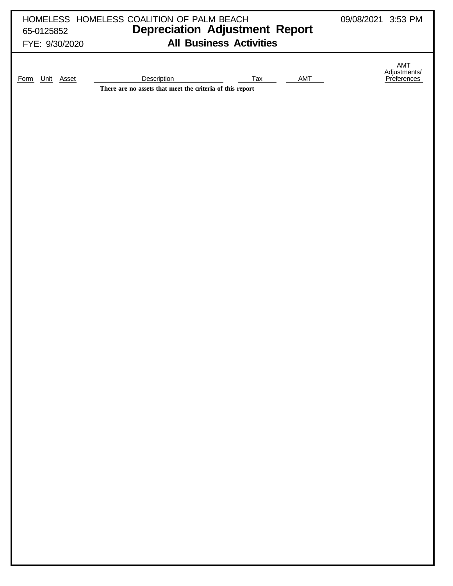| HOMELESS HOMELESS COALITION OF PALM BEACH<br>65-0125852<br>FYE: 9/30/2020 | <b>Depreciation Adjustment Report</b><br><b>All Business Activities</b>  | 09/08/2021 3:53 PM |                                    |  |
|---------------------------------------------------------------------------|--------------------------------------------------------------------------|--------------------|------------------------------------|--|
| Unit Asset<br>Form                                                        | Description<br>There are no assets that meet the criteria of this report | AMT                | AMT<br>Adjustments/<br>Preferences |  |
|                                                                           |                                                                          |                    |                                    |  |
|                                                                           |                                                                          |                    |                                    |  |
|                                                                           |                                                                          |                    |                                    |  |
|                                                                           |                                                                          |                    |                                    |  |
|                                                                           |                                                                          |                    |                                    |  |
|                                                                           |                                                                          |                    |                                    |  |
|                                                                           |                                                                          |                    |                                    |  |
|                                                                           |                                                                          |                    |                                    |  |
|                                                                           |                                                                          |                    |                                    |  |
|                                                                           |                                                                          |                    |                                    |  |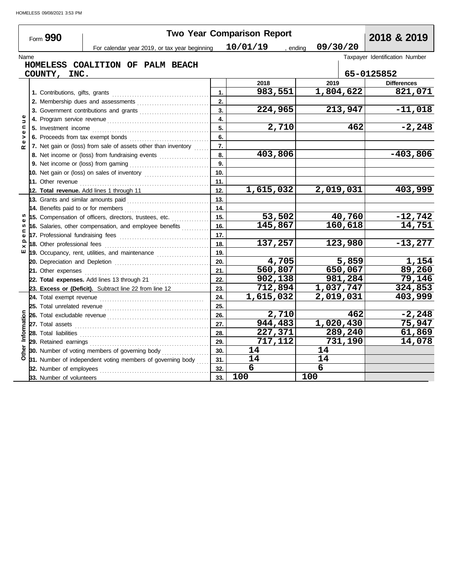|             | Form 990                        |                                                                                                                                                                                                                                                                                    |            | <b>Two Year Comparison Report</b> |                | 2018 & 2019                    |  |
|-------------|---------------------------------|------------------------------------------------------------------------------------------------------------------------------------------------------------------------------------------------------------------------------------------------------------------------------------|------------|-----------------------------------|----------------|--------------------------------|--|
|             |                                 | For calendar year 2019, or tax year beginning                                                                                                                                                                                                                                      |            | 10/01/19<br>, ending              | 09/30/20       |                                |  |
| Name        |                                 |                                                                                                                                                                                                                                                                                    |            |                                   |                | Taxpayer Identification Number |  |
|             |                                 | HOMELESS COALITION OF PALM BEACH                                                                                                                                                                                                                                                   |            |                                   |                |                                |  |
|             | COUNTY,<br>INC.                 |                                                                                                                                                                                                                                                                                    |            |                                   |                | 65-0125852                     |  |
|             |                                 |                                                                                                                                                                                                                                                                                    |            | 2018                              | 2019           | <b>Differences</b>             |  |
|             | 1. Contributions, gifts, grants |                                                                                                                                                                                                                                                                                    | 1.         | 983,551                           | 1,804,622      | 821,071                        |  |
|             |                                 |                                                                                                                                                                                                                                                                                    | 2.         |                                   |                |                                |  |
|             |                                 | 3. Government contributions and grants                                                                                                                                                                                                                                             | 3.         | 224,965                           | 213,947        | $-11,018$                      |  |
| Ξ           |                                 |                                                                                                                                                                                                                                                                                    | 4.         |                                   |                |                                |  |
|             |                                 |                                                                                                                                                                                                                                                                                    | 5.         | 2,710                             | 462            | $-2,248$                       |  |
|             |                                 |                                                                                                                                                                                                                                                                                    | 6.         |                                   |                |                                |  |
| œ           |                                 | 7. Net gain or (loss) from sale of assets other than inventory                                                                                                                                                                                                                     | 7.         |                                   |                |                                |  |
|             |                                 | 8. Net income or (loss) from fundraising events                                                                                                                                                                                                                                    | 8.         | 403,806                           |                | $-403,806$                     |  |
|             |                                 |                                                                                                                                                                                                                                                                                    | 9.         |                                   |                |                                |  |
|             |                                 | 10. Net gain or (loss) on sales of inventory $\ldots$                                                                                                                                                                                                                              | 10.        |                                   |                |                                |  |
|             |                                 | 11. Other revenue <i>communication</i> and the revenue of the contract of the contract of the set of the contract of the contract of the contract of the contract of the contract of the contract of the contract of the contract o                                                | 11.        |                                   |                |                                |  |
|             |                                 | 12. Total revenue. Add lines 1 through 11                                                                                                                                                                                                                                          | 12.        | 1,615,032                         | 2,019,031      | 403,999                        |  |
|             |                                 | 13. Grants and similar amounts paid                                                                                                                                                                                                                                                | 13.        |                                   |                |                                |  |
|             |                                 | 14. Benefits paid to or for members                                                                                                                                                                                                                                                | 14.        | 53,502                            | 40,760         | $-12,742$                      |  |
| m           |                                 | 15. Compensation of officers, directors, trustees, etc.                                                                                                                                                                                                                            | 15.        | 145,867                           | 160,618        | 14,751                         |  |
|             |                                 | 16. Salaries, other compensation, and employee benefits                                                                                                                                                                                                                            | 16.        |                                   |                |                                |  |
| o           |                                 |                                                                                                                                                                                                                                                                                    | 17.        | 137,257                           | 123,980        | $-13,277$                      |  |
| ш           | 18. Other professional fees     |                                                                                                                                                                                                                                                                                    | 18.<br>19. |                                   |                |                                |  |
|             |                                 | 19. Occupancy, rent, utilities, and maintenance                                                                                                                                                                                                                                    | 20.        | 4,705                             | 5,859          | 1,154                          |  |
|             |                                 |                                                                                                                                                                                                                                                                                    | 21.        | 560,807                           | 650,067        | 89,260                         |  |
|             |                                 | 21. Other expenses <b>constants</b> and the constant of the constant of the constant of the constant of the constant of the constant of the constant of the constant of the constant of the constant of the constant of the constan<br>22. Total expenses. Add lines 13 through 21 | 22.        | 902, 138                          | 981,284        | 79,146                         |  |
|             |                                 | 23. Excess or (Deficit). Subtract line 22 from line 12                                                                                                                                                                                                                             | 23.        | 712,894                           | 1,037,747      | 324,853                        |  |
|             |                                 |                                                                                                                                                                                                                                                                                    | 24.        | 1,615,032                         | 2,019,031      | 403,999                        |  |
|             |                                 |                                                                                                                                                                                                                                                                                    | 25.        |                                   |                |                                |  |
|             |                                 |                                                                                                                                                                                                                                                                                    | 26.        | 2,710                             | 462            | $-2,248$                       |  |
|             |                                 |                                                                                                                                                                                                                                                                                    | 27.        | 944,483                           | 1,020,430      | 75,947                         |  |
| Information | 28. Total liabilities           |                                                                                                                                                                                                                                                                                    | 28.        | 227,371                           | 289,240        | 61,869                         |  |
|             |                                 |                                                                                                                                                                                                                                                                                    | 29.        | 717,112                           | 731,190        | 14,078                         |  |
|             |                                 | 30. Number of voting members of governing body                                                                                                                                                                                                                                     | 30.        | 14                                | 14             |                                |  |
|             |                                 | 31. Number of independent voting members of governing body                                                                                                                                                                                                                         | 31.        | 14                                | 14             |                                |  |
|             | 32. Number of employees         |                                                                                                                                                                                                                                                                                    | 32.        | 6                                 | $\overline{6}$ |                                |  |
|             | 33. Number of volunteers        |                                                                                                                                                                                                                                                                                    | 33.        | 100                               | 100            |                                |  |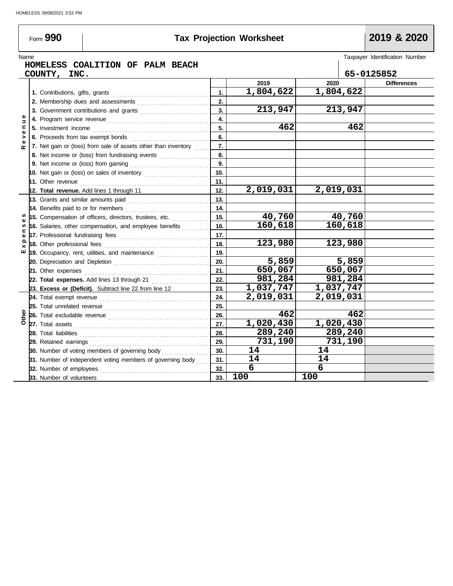Form **990**

# **Tax Projection Worksheet 2019 & 2020**

Name<br>
Taxpayer Identification Number<br>
Taxpayer Identification Number<br>
Taxpayer Identification Number

|               | HOMELESS COALITION OF PALM BEACH<br>COUNTY, INC.                                                          |                           |                        |           |         | 65-0125852         |
|---------------|-----------------------------------------------------------------------------------------------------------|---------------------------|------------------------|-----------|---------|--------------------|
|               |                                                                                                           |                           | 2019                   | 2020      |         | <b>Differences</b> |
|               |                                                                                                           | 1.                        | 1,804,622              | 1,804,622 |         |                    |
|               |                                                                                                           | 2.                        |                        |           |         |                    |
|               | 3. Government contributions and grants                                                                    | $\overline{\mathbf{3}}$ . | 213,947                |           | 213,947 |                    |
| Φ<br>Ξ        |                                                                                                           | 4.                        |                        |           |         |                    |
| Ξ             |                                                                                                           | 5.                        | 462                    |           | 462     |                    |
| $\omega$<br>> |                                                                                                           | 6.                        |                        |           |         |                    |
| ω<br>œ        | 7. Net gain or (loss) from sale of assets other than inventory                                            | 7.                        |                        |           |         |                    |
|               | 8. Net income or (loss) from fundraising events                                                           | 8.                        |                        |           |         |                    |
|               |                                                                                                           | 9.                        |                        |           |         |                    |
|               |                                                                                                           | 10.                       |                        |           |         |                    |
|               |                                                                                                           | 11.                       |                        |           |         |                    |
|               | 12. Total revenue. Add lines 1 through 11                                                                 | 12.                       | 2,019,031              | 2,019,031 |         |                    |
|               |                                                                                                           | 13.                       |                        |           |         |                    |
|               |                                                                                                           | 14.                       |                        |           |         |                    |
|               | 15. Compensation of officers, directors, trustees, etc.                                                   | 15.                       | 40,760                 |           | 40,760  |                    |
| w             | 16. Salaries, other compensation, and employee benefits                                                   | 16.                       | 160,618                |           | 160,618 |                    |
| ω             |                                                                                                           | 17.                       |                        |           |         |                    |
| ≏<br>$\times$ | 18. Other professional fees                                                                               | 18.                       | 123,980                |           | 123,980 |                    |
| ш             | 19. Occupancy, rent, utilities, and maintenance <i>[[19. Occupancy, rent, utilities</i> , and maintenance | 19.                       |                        |           |         |                    |
|               |                                                                                                           | 20.                       | 5,859                  |           | 5,859   |                    |
|               |                                                                                                           | 21.                       | 650,067                |           | 650,067 |                    |
|               | 22. Total expenses. Add lines 13 through 21                                                               | 22.                       | 981,284                |           | 981,284 |                    |
|               | 23. Excess or (Deficit). Subtract line 22 from line 12                                                    | 23.                       | 1,037,747              | 1,037,747 |         |                    |
|               |                                                                                                           | 24.                       | 2,019,031              | 2,019,031 |         |                    |
|               |                                                                                                           | 25.                       |                        |           |         |                    |
|               |                                                                                                           | 26.                       | 462                    |           | 462     |                    |
|               |                                                                                                           | 27.                       | $\overline{1,020,430}$ | 1,020,430 |         |                    |
|               |                                                                                                           | 28.                       | 289,240                |           | 289,240 |                    |
|               |                                                                                                           | 29.<br>30.                | 731,190                |           | 731,190 |                    |
|               | 30. Number of voting members of governing body                                                            |                           | 14                     | 14        |         |                    |
|               | 31. Number of independent voting members of governing body                                                | 31.                       | 14                     | 14        |         |                    |
|               | 32. Number of employees                                                                                   | 32.                       | 6                      | 6         |         |                    |
|               | 33. Number of volunteers                                                                                  | 33.                       | 100                    | 100       |         |                    |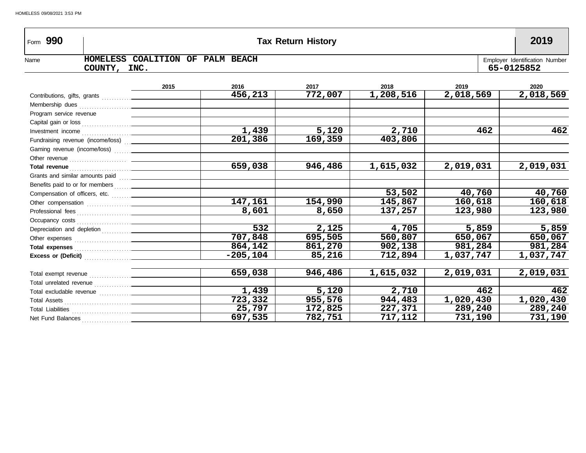| Form 990                                       |              |                                  |             | <b>Tax Return History</b> |           |           |       | 2019                                         |
|------------------------------------------------|--------------|----------------------------------|-------------|---------------------------|-----------|-----------|-------|----------------------------------------------|
| Name                                           | COUNTY, INC. | HOMELESS COALITION OF PALM BEACH |             |                           |           |           |       | Employer Identification Number<br>65-0125852 |
|                                                |              | 2015                             | 2016        | 2017                      | 2018      | 2019      |       | 2020                                         |
|                                                |              |                                  | 456,213     | 772,007                   | 1,208,516 | 2,018,569 |       | 2,018,569                                    |
|                                                |              |                                  |             |                           |           |           |       |                                              |
| Program service revenue                        |              |                                  |             |                           |           |           |       |                                              |
|                                                |              |                                  |             |                           |           |           |       |                                              |
|                                                |              |                                  | 1,439       | 5,120                     | 2,710     |           | 462   | 462                                          |
| Fundraising revenue (income/loss) [11]         |              |                                  | 201,386     | 169,359                   | 403,806   |           |       |                                              |
|                                                |              |                                  |             |                           |           |           |       |                                              |
|                                                |              |                                  |             |                           |           |           |       |                                              |
|                                                |              |                                  | 659,038     | 946,486                   | 1,615,032 | 2,019,031 |       | 2,019,031                                    |
| Grants and similar amounts paid                |              |                                  |             |                           |           |           |       |                                              |
|                                                |              |                                  |             |                           |           |           |       |                                              |
|                                                |              |                                  |             |                           | 53,502    | 40,760    |       | 40,760                                       |
|                                                |              |                                  | 147,161     | 154,990                   | 145,867   | 160,618   |       | 160,618                                      |
|                                                |              |                                  | 8,601       | 8,650                     | 137,257   | 123,980   |       | 123,980                                      |
|                                                |              |                                  |             |                           |           |           |       |                                              |
|                                                |              |                                  | 532         | 2,125                     | 4,705     |           | 5,859 | 5,859                                        |
|                                                |              |                                  | 707,848     | 695,505                   | 560,807   | 650,067   |       | 650,067                                      |
| <b>Total expenses</b>                          |              |                                  | 864,142     | 861,270                   | 902,138   | 981,284   |       | 981,284                                      |
| Excess or (Deficit) <b>Excess</b> or (Deficit) |              |                                  | $-205, 104$ | 85,216                    | 712,894   | 1,037,747 |       | 1,037,747                                    |
|                                                |              |                                  |             |                           |           |           |       |                                              |
|                                                |              |                                  | 659,038     | 946,486                   | 1,615,032 | 2,019,031 |       | 2,019,031                                    |
|                                                |              |                                  |             |                           |           |           |       |                                              |
|                                                |              |                                  | 1,439       | 5,120                     | 2,710     |           | 462   | 462                                          |
|                                                |              |                                  | 723,332     | 955,576                   | 944,483   | 1,020,430 |       | 1,020,430                                    |
|                                                |              |                                  | 25,797      | 172,825                   | 227,371   | 289,240   |       | 289,240                                      |
| Net Fund Balances                              |              |                                  | 697,535     | 782,751                   | 717,112   | 731,190   |       | 731,190                                      |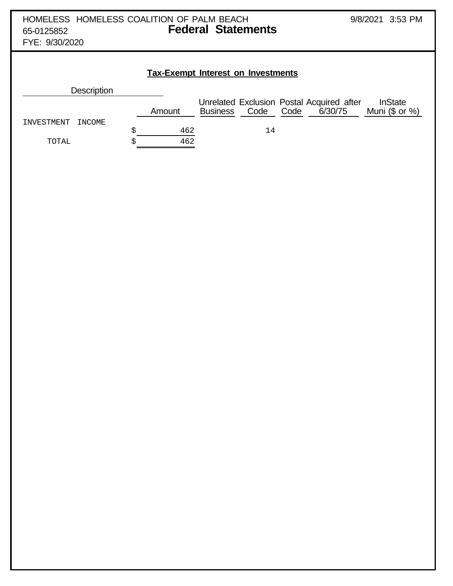|            |             |   | <b>Tax-Exempt Interest on Investments</b> |                 |      |      |                                                      |                                      |
|------------|-------------|---|-------------------------------------------|-----------------|------|------|------------------------------------------------------|--------------------------------------|
|            | Description |   |                                           |                 |      |      |                                                      |                                      |
|            |             |   | Amount                                    | <b>Business</b> | Code | Code | Unrelated Exclusion Postal Acquired after<br>6/30/75 | <b>InState</b><br>Muni $($$ or $\%)$ |
| INVESTMENT | INCOME      |   |                                           |                 |      |      |                                                      |                                      |
|            |             | Ŝ | 462                                       |                 | 14   |      |                                                      |                                      |
| TOTAL      |             | Ŝ | 462                                       |                 |      |      |                                                      |                                      |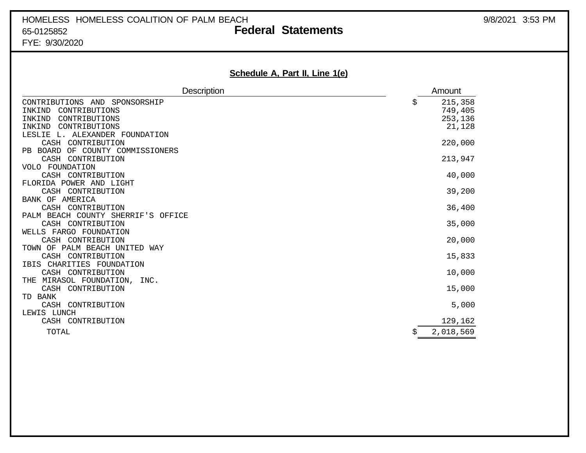# HOMELESS HOMELESS COALITION OF PALM BEACH **19/8/2021** 3:53 PM 65-0125852 **Federal Statements**

FYE: 9/30/2020

## **Schedule A, Part II, Line 1(e)**

| <b>Description</b>                                                                  | Amount                              |
|-------------------------------------------------------------------------------------|-------------------------------------|
| CONTRIBUTIONS AND SPONSORSHIP<br>INKIND<br>CONTRIBUTIONS<br>CONTRIBUTIONS<br>INKIND | 215,358<br>\$<br>749,405<br>253,136 |
| CONTRIBUTIONS<br>INKIND<br>LESLIE L. ALEXANDER FOUNDATION                           | 21,128                              |
| CONTRIBUTION<br>CASH<br>OF COUNTY COMMISSIONERS<br>PB BOARD                         | 220,000                             |
| CASH CONTRIBUTION<br>VOLO FOUNDATION                                                | 213,947                             |
| CASH CONTRIBUTION                                                                   | 40,000                              |
| FLORIDA POWER AND LIGHT<br>CASH CONTRIBUTION                                        | 39,200                              |
| AMERICA<br>BANK OF<br>CASH CONTRIBUTION                                             | 36,400                              |
| PALM BEACH COUNTY SHERRIF'S OFFICE<br>CASH CONTRIBUTION                             | 35,000                              |
| WELLS FARGO FOUNDATION<br>CASH CONTRIBUTION                                         | 20,000                              |
| PALM BEACH UNITED WAY<br>TOWN OF<br>CASH CONTRIBUTION                               |                                     |
| IBIS CHARITIES FOUNDATION                                                           | 15,833                              |
| CASH CONTRIBUTION<br>MIRASOL FOUNDATION,<br>THE<br>INC.                             | 10,000                              |
| CASH CONTRIBUTION<br>TD BANK                                                        | 15,000                              |
| CASH CONTRIBUTION<br>LEWIS LUNCH                                                    | 5,000                               |
| CASH CONTRIBUTION                                                                   | 129,162                             |
| TOTAL                                                                               | 2,018,569                           |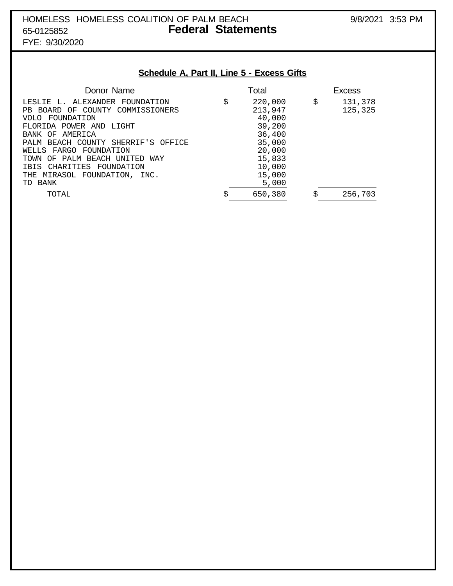# HOMELESS HOMELESS COALITION OF PALM BEACH 9/8/2021 3:53 PM 65-0125852 **Federal Statements**

FYE: 9/30/2020

## **Schedule A, Part II, Line 5 - Excess Gifts**

| Donor Name                         | Total         | <b>Excess</b> |
|------------------------------------|---------------|---------------|
| LESLIE L. ALEXANDER FOUNDATION     | \$<br>220,000 | \$<br>131,378 |
| PB BOARD OF COUNTY COMMISSIONERS   | 213,947       | 125,325       |
| VOLO FOUNDATION                    | 40,000        |               |
| FLORIDA POWER AND LIGHT            | 39,200        |               |
| BANK OF AMERICA                    | 36,400        |               |
| PALM BEACH COUNTY SHERRIF'S OFFICE | 35,000        |               |
| WELLS FARGO FOUNDATION             | 20,000        |               |
| TOWN OF PALM BEACH UNITED WAY      | 15,833        |               |
| IBIS CHARITIES FOUNDATION          | 10,000        |               |
| THE MIRASOL FOUNDATION, INC.       | 15,000        |               |
| BANK<br>TD.                        | 5,000         |               |
| TOTAL                              | \$<br>650,380 | \$<br>256,703 |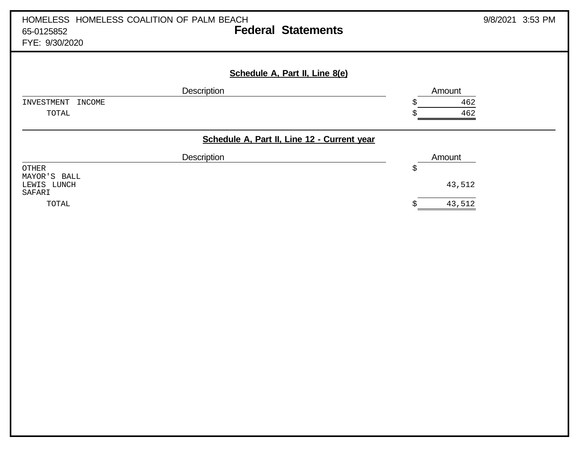| HOMELESS HOMELESS COALITION OF PALM BEACH<br><b>Federal Statements</b><br>65-0125852<br>FYE: 9/30/2020 |             | 9/8/2021<br>3:53 PM |
|--------------------------------------------------------------------------------------------------------|-------------|---------------------|
| Schedule A, Part II, Line 8(e)                                                                         |             |                     |
| Description                                                                                            | Amount      |                     |
| INCOME<br>INVESTMENT                                                                                   | 462         |                     |
| TOTAL                                                                                                  | 462<br>Ŝ    |                     |
| Schedule A, Part II, Line 12 - Current year                                                            |             |                     |
| Description                                                                                            | Amount      |                     |
| <b>OTHER</b>                                                                                           | \$          |                     |
| MAYOR'S BALL<br>LEWIS LUNCH                                                                            | 43,512      |                     |
| SAFARI                                                                                                 |             |                     |
| TOTAL                                                                                                  | 43,512<br>Ś |                     |